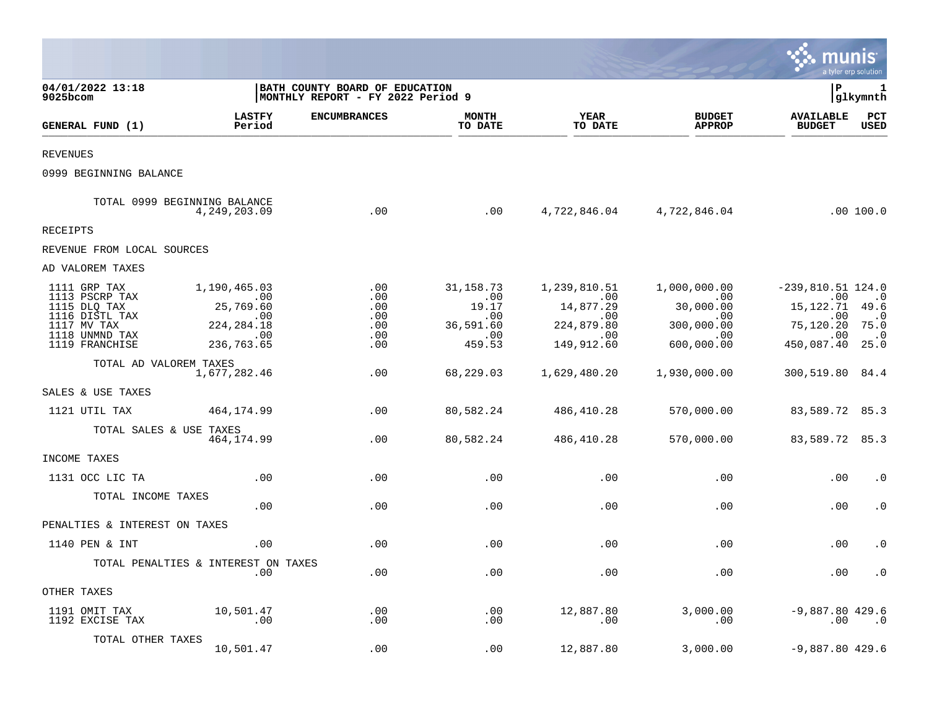|                                                                                                                     |                                                                                    |                                                                      |                                                                |                                                                            |                                                                            |                                                                                       | munis<br>a tyler erp solution                                                    |
|---------------------------------------------------------------------------------------------------------------------|------------------------------------------------------------------------------------|----------------------------------------------------------------------|----------------------------------------------------------------|----------------------------------------------------------------------------|----------------------------------------------------------------------------|---------------------------------------------------------------------------------------|----------------------------------------------------------------------------------|
| 04/01/2022 13:18<br>9025bcom                                                                                        |                                                                                    | BATH COUNTY BOARD OF EDUCATION<br> MONTHLY REPORT - FY 2022 Period 9 |                                                                |                                                                            |                                                                            | l P                                                                                   | 1<br> glkymnth                                                                   |
| GENERAL FUND (1)                                                                                                    | <b>LASTFY</b><br>Period                                                            | <b>ENCUMBRANCES</b>                                                  | <b>MONTH</b><br>TO DATE                                        | <b>YEAR</b><br>TO DATE                                                     | <b>BUDGET</b><br><b>APPROP</b>                                             | <b>AVAILABLE</b><br><b>BUDGET</b>                                                     | PCT<br><b>USED</b>                                                               |
| <b>REVENUES</b>                                                                                                     |                                                                                    |                                                                      |                                                                |                                                                            |                                                                            |                                                                                       |                                                                                  |
| 0999 BEGINNING BALANCE                                                                                              |                                                                                    |                                                                      |                                                                |                                                                            |                                                                            |                                                                                       |                                                                                  |
|                                                                                                                     | TOTAL 0999 BEGINNING BALANCE<br>4,249,203.09                                       | .00                                                                  | .00                                                            |                                                                            | 4,722,846.04 4,722,846.04                                                  |                                                                                       | .00 100.0                                                                        |
| <b>RECEIPTS</b>                                                                                                     |                                                                                    |                                                                      |                                                                |                                                                            |                                                                            |                                                                                       |                                                                                  |
| REVENUE FROM LOCAL SOURCES                                                                                          |                                                                                    |                                                                      |                                                                |                                                                            |                                                                            |                                                                                       |                                                                                  |
| AD VALOREM TAXES                                                                                                    |                                                                                    |                                                                      |                                                                |                                                                            |                                                                            |                                                                                       |                                                                                  |
| 1111 GRP TAX<br>1113 PSCRP TAX<br>1115 DLQ TAX<br>1116 DISTL TAX<br>1117 MV TAX<br>1118 UNMND TAX<br>1119 FRANCHISE | 1,190,465.03<br>$\sim$ 00<br>25,769.60<br>.00<br>224, 284. 18<br>.00<br>236,763.65 | .00<br>.00<br>.00<br>.00<br>.00<br>.00<br>.00                        | 31,158.73<br>.00<br>19.17<br>.00<br>36,591.60<br>.00<br>459.53 | 1,239,810.51<br>.00<br>14,877.29<br>.00<br>224,879.80<br>.00<br>149,912.60 | 1,000,000.00<br>.00<br>30,000.00<br>.00<br>300,000.00<br>.00<br>600,000.00 | $-239,810.51$ 124.0<br>.00<br>15,122.71<br>.00<br>75,120.20<br>.00<br>450,087.40 25.0 | .0<br>49.6<br>$\overline{\phantom{0}}$ .0<br>75.0<br>$\overline{\phantom{0}}$ .0 |
| TOTAL AD VALOREM TAXES                                                                                              | 1,677,282.46                                                                       | .00                                                                  | 68,229.03                                                      | 1,629,480.20                                                               | 1,930,000.00                                                               | 300,519.80 84.4                                                                       |                                                                                  |
| SALES & USE TAXES                                                                                                   |                                                                                    |                                                                      |                                                                |                                                                            |                                                                            |                                                                                       |                                                                                  |
| 1121 UTIL TAX                                                                                                       | 464,174.99                                                                         | .00                                                                  | 80,582.24                                                      | 486,410.28                                                                 | 570,000.00                                                                 | 83,589.72 85.3                                                                        |                                                                                  |
| TOTAL SALES & USE TAXES                                                                                             | 464, 174.99                                                                        | .00                                                                  | 80,582.24                                                      | 486,410.28                                                                 | 570,000.00                                                                 | 83,589.72 85.3                                                                        |                                                                                  |
| INCOME TAXES                                                                                                        |                                                                                    |                                                                      |                                                                |                                                                            |                                                                            |                                                                                       |                                                                                  |
| 1131 OCC LIC TA                                                                                                     | .00                                                                                | .00                                                                  | .00                                                            | .00                                                                        | .00                                                                        | .00                                                                                   | $\cdot$ 0                                                                        |
| TOTAL INCOME TAXES                                                                                                  | .00                                                                                | .00                                                                  | .00                                                            | .00                                                                        | .00                                                                        | .00                                                                                   | $\cdot$ 0                                                                        |
| PENALTIES & INTEREST ON TAXES                                                                                       |                                                                                    |                                                                      |                                                                |                                                                            |                                                                            |                                                                                       |                                                                                  |
| 1140 PEN & INT                                                                                                      | .00                                                                                | .00                                                                  | .00                                                            | .00                                                                        | .00                                                                        | .00                                                                                   | $\cdot$ 0                                                                        |
|                                                                                                                     | TOTAL PENALTIES & INTEREST ON TAXES<br>.00                                         | .00                                                                  | .00                                                            | .00                                                                        | .00                                                                        | .00                                                                                   | $\cdot$ 0                                                                        |
| OTHER TAXES                                                                                                         |                                                                                    |                                                                      |                                                                |                                                                            |                                                                            |                                                                                       |                                                                                  |
| 1191 OMIT TAX<br>1192 EXCISE TAX                                                                                    | 10,501.47<br>.00                                                                   | .00<br>$.00 \,$                                                      | .00<br>.00                                                     | 12,887.80<br>.00                                                           | 3,000.00<br>.00                                                            | $-9,887.80$ 429.6<br>.00                                                              | $\cdot$ 0                                                                        |
| TOTAL OTHER TAXES                                                                                                   | 10,501.47                                                                          | .00                                                                  | .00                                                            | 12,887.80                                                                  | 3,000.00                                                                   | $-9,887.80$ 429.6                                                                     |                                                                                  |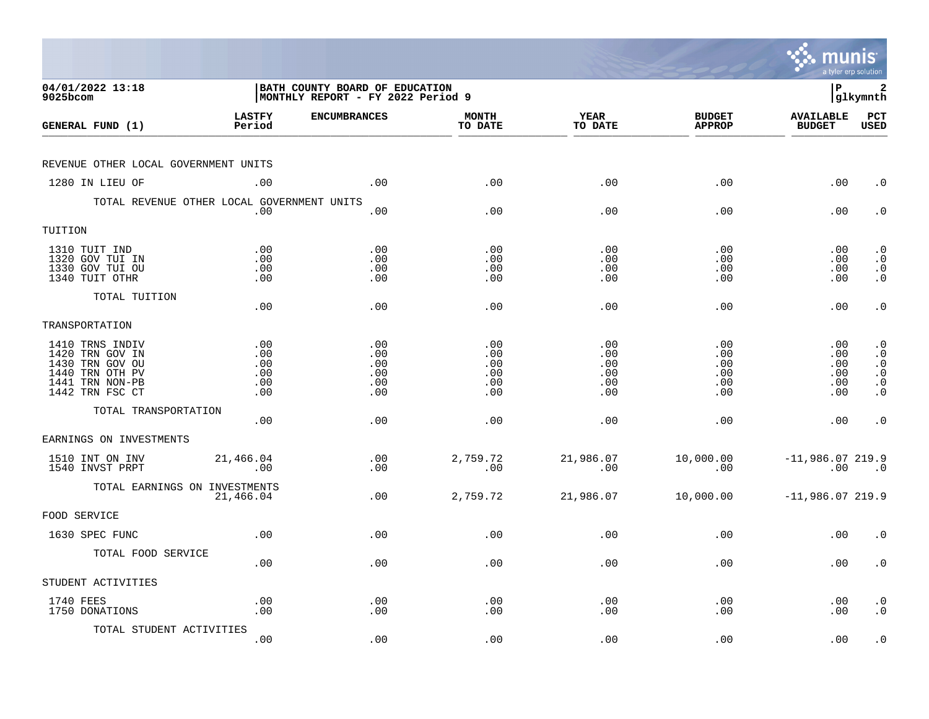|                                                                                                                |                                        |                                                                             |                                        |                                        |                                        | munis                                   | a tyler erp solution                                                              |
|----------------------------------------------------------------------------------------------------------------|----------------------------------------|-----------------------------------------------------------------------------|----------------------------------------|----------------------------------------|----------------------------------------|-----------------------------------------|-----------------------------------------------------------------------------------|
| 04/01/2022 13:18<br>9025bcom                                                                                   |                                        | <b>BATH COUNTY BOARD OF EDUCATION</b><br> MONTHLY REPORT - FY 2022 Period 9 |                                        |                                        |                                        | l P                                     | 2<br> glkymnth                                                                    |
| GENERAL FUND (1)                                                                                               | <b>LASTFY</b><br>Period                | <b>ENCUMBRANCES</b>                                                         | <b>MONTH</b><br>TO DATE                | <b>YEAR</b><br>TO DATE                 | <b>BUDGET</b><br><b>APPROP</b>         | <b>AVAILABLE</b><br><b>BUDGET</b>       | PCT<br><b>USED</b>                                                                |
| REVENUE OTHER LOCAL GOVERNMENT UNITS                                                                           |                                        |                                                                             |                                        |                                        |                                        |                                         |                                                                                   |
| 1280 IN LIEU OF                                                                                                | .00                                    | .00                                                                         | .00                                    | .00                                    | .00                                    | .00                                     | $\cdot$ 0                                                                         |
| TOTAL REVENUE OTHER LOCAL GOVERNMENT UNITS                                                                     | .00                                    | .00                                                                         | .00                                    | .00                                    | .00                                    | .00                                     | $\cdot$ 0                                                                         |
| TUITION                                                                                                        |                                        |                                                                             |                                        |                                        |                                        |                                         |                                                                                   |
| 1310 TUIT IND<br>1320 GOV TUI IN<br>1330 GOV TUI OU<br>1340 TUIT OTHR                                          | .00<br>.00<br>.00<br>.00               | .00<br>.00<br>.00<br>.00                                                    | .00<br>.00<br>.00<br>.00               | .00<br>.00<br>.00<br>.00               | .00<br>.00<br>.00<br>.00               | $.00 \,$<br>$.00 \,$<br>.00<br>$.00 \,$ | $\cdot$ 0<br>$\cdot$ 0<br>$\begin{smallmatrix} 0 \\ 0 \\ 0 \end{smallmatrix}$     |
| TOTAL TUITION                                                                                                  | .00                                    | .00                                                                         | .00                                    | .00                                    | .00                                    | .00                                     | $\cdot$ 0                                                                         |
| TRANSPORTATION                                                                                                 |                                        |                                                                             |                                        |                                        |                                        |                                         |                                                                                   |
| 1410 TRNS INDIV<br>1420 TRN GOV IN<br>1430 TRN GOV OU<br>1440 TRN OTH PV<br>1441 TRN NON-PB<br>1442 TRN FSC CT | .00<br>.00<br>.00<br>.00<br>.00<br>.00 | .00<br>.00<br>.00<br>.00<br>.00<br>.00                                      | .00<br>.00<br>.00<br>.00<br>.00<br>.00 | .00<br>.00<br>.00<br>.00<br>.00<br>.00 | .00<br>.00<br>.00<br>.00<br>.00<br>.00 | .00<br>.00<br>.00<br>.00<br>.00<br>.00  | $\cdot$ 0<br>$\cdot$ 0<br>$\cdot$ 0<br>$\overline{0}$ .<br>$\cdot$ 0<br>$\cdot$ 0 |
| TOTAL TRANSPORTATION                                                                                           | .00                                    | .00                                                                         | .00                                    | .00                                    | .00                                    | .00                                     | $\cdot$ 0                                                                         |
| EARNINGS ON INVESTMENTS                                                                                        |                                        |                                                                             |                                        |                                        |                                        |                                         |                                                                                   |
| 1510 INT ON INV<br>1540 INVST PRPT                                                                             | 21,466.04<br>.00                       | .00<br>.00                                                                  | 2,759.72<br>.00                        | 21,986.07<br>.00                       | 10,000.00<br>.00                       | $-11,986.07$ 219.9<br>.00               | $\overline{\phantom{0}}$ .0                                                       |
| TOTAL EARNINGS ON INVESTMENTS                                                                                  | 21,466.04                              | .00                                                                         | 2,759.72                               | 21,986.07                              | 10,000.00                              | $-11,986.07219.9$                       |                                                                                   |
| FOOD SERVICE                                                                                                   |                                        |                                                                             |                                        |                                        |                                        |                                         |                                                                                   |
| 1630 SPEC FUNC                                                                                                 | .00                                    | .00                                                                         | .00                                    | .00                                    | .00                                    | .00                                     | $\cdot$ 0                                                                         |
| TOTAL FOOD SERVICE                                                                                             | .00                                    | .00                                                                         | .00                                    | .00                                    | .00                                    | $.00 \,$                                | $\cdot$ 0                                                                         |
| STUDENT ACTIVITIES                                                                                             |                                        |                                                                             |                                        |                                        |                                        |                                         |                                                                                   |
| 1740 FEES<br>1750 DONATIONS                                                                                    | .00<br>.00                             | .00<br>.00                                                                  | .00<br>.00                             | .00<br>.00                             | .00<br>.00                             | $.00 \,$<br>.00                         | $\cdot$ 0<br>$\cdot$ 0                                                            |
| TOTAL STUDENT ACTIVITIES                                                                                       | .00                                    | .00                                                                         | .00                                    | .00                                    | .00                                    | .00                                     | $\cdot$ 0                                                                         |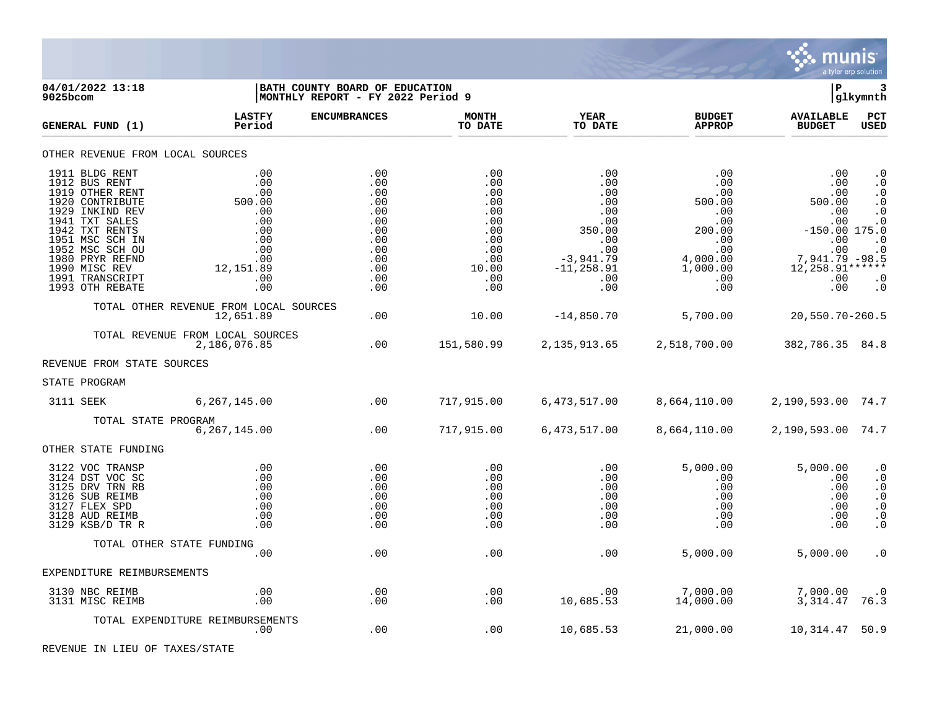

| 04/01/2022 13:18<br>$9025$ bcom                                                                                                                                                                                                              |                                                                                                  | BATH COUNTY BOARD OF EDUCATION<br>MONTHLY REPORT - FY 2022 Period 9                     |                                                                                           |                                                                                                                   |                                                                                                                        | lР                                                                                                                                | 3<br> glkymnth                                                                                                                 |
|----------------------------------------------------------------------------------------------------------------------------------------------------------------------------------------------------------------------------------------------|--------------------------------------------------------------------------------------------------|-----------------------------------------------------------------------------------------|-------------------------------------------------------------------------------------------|-------------------------------------------------------------------------------------------------------------------|------------------------------------------------------------------------------------------------------------------------|-----------------------------------------------------------------------------------------------------------------------------------|--------------------------------------------------------------------------------------------------------------------------------|
| GENERAL FUND (1)                                                                                                                                                                                                                             | <b>LASTFY</b><br>Period                                                                          | <b>ENCUMBRANCES</b>                                                                     | <b>MONTH</b><br>TO DATE                                                                   | <b>YEAR</b><br>TO DATE                                                                                            | <b>BUDGET</b><br><b>APPROP</b>                                                                                         | <b>AVAILABLE</b><br><b>BUDGET</b>                                                                                                 | PCT<br><b>USED</b>                                                                                                             |
| OTHER REVENUE FROM LOCAL SOURCES                                                                                                                                                                                                             |                                                                                                  |                                                                                         |                                                                                           |                                                                                                                   |                                                                                                                        |                                                                                                                                   |                                                                                                                                |
| 1911 BLDG RENT<br>1912 BUS RENT<br>1919 OTHER RENT<br>1920 CONTRIBUTE<br>1929 INKIND REV<br>1941 TXT SALES<br>1942 TXT RENTS<br>1951 MSC SCH IN<br>1952 MSC SCH OU<br>1980 PRYR REFND<br>1990 MISC REV<br>1991 TRANSCRIPT<br>1993 OTH REBATE | .00<br>.00<br>.00<br>500.00<br>.00<br>.00<br>.00<br>.00<br>.00<br>.00<br>12,151.89<br>.00<br>.00 | .00<br>.00<br>.00<br>.00<br>.00<br>.00<br>.00<br>.00<br>.00<br>.00<br>.00<br>.00<br>.00 | .00<br>.00<br>.00<br>.00<br>.00<br>.00<br>.00<br>.00<br>.00<br>.00<br>10.00<br>.00<br>.00 | .00<br>.00<br>.00<br>.00<br>.00<br>.00<br>350.00<br>$.00 \,$<br>.00<br>$-3,941.79$<br>$-11, 258.91$<br>.00<br>.00 | .00<br>$.00 \,$<br>.00<br>500.00<br>.00<br>.00<br>200.00<br>$.00 \,$<br>.00<br>4,000.00<br>1,000.00<br>$.00 \,$<br>.00 | .00<br>.00<br>.00<br>500.00<br>.00<br>.00<br>$-150.00$ 175.0<br>.00<br>$000$<br>7,941.79 -98.5<br>12, 258. 91******<br>.00<br>.00 | $\cdot$ 0<br>$\cdot$ 0<br>$\cdot$ 0<br>$\cdot$ 0<br>$\cdot$ 0<br>$\cdot$ 0<br>$\cdot$ 0<br>$\cdot$ 0<br>$\cdot$ 0<br>$\cdot$ 0 |
|                                                                                                                                                                                                                                              | TOTAL OTHER REVENUE FROM LOCAL SOURCES<br>12,651.89                                              | .00                                                                                     | 10.00                                                                                     | $-14,850.70$                                                                                                      | 5,700.00                                                                                                               | 20,550.70-260.5                                                                                                                   |                                                                                                                                |
|                                                                                                                                                                                                                                              | TOTAL REVENUE FROM LOCAL SOURCES<br>2,186,076.85                                                 | .00                                                                                     | 151,580.99                                                                                | 2, 135, 913.65                                                                                                    | 2,518,700.00                                                                                                           | 382,786.35 84.8                                                                                                                   |                                                                                                                                |
| REVENUE FROM STATE SOURCES                                                                                                                                                                                                                   |                                                                                                  |                                                                                         |                                                                                           |                                                                                                                   |                                                                                                                        |                                                                                                                                   |                                                                                                                                |
| STATE PROGRAM                                                                                                                                                                                                                                |                                                                                                  |                                                                                         |                                                                                           |                                                                                                                   |                                                                                                                        |                                                                                                                                   |                                                                                                                                |
| 3111 SEEK                                                                                                                                                                                                                                    | 6,267,145.00                                                                                     | $\sim$ 00                                                                               | 717,915.00                                                                                | 6,473,517.00                                                                                                      | 8,664,110.00                                                                                                           | 2,190,593.00 74.7                                                                                                                 |                                                                                                                                |
| TOTAL STATE PROGRAM                                                                                                                                                                                                                          | 6, 267, 145.00                                                                                   | .00                                                                                     | 717,915.00                                                                                | 6,473,517.00                                                                                                      | 8,664,110.00                                                                                                           | 2,190,593.00 74.7                                                                                                                 |                                                                                                                                |
| OTHER STATE FUNDING                                                                                                                                                                                                                          |                                                                                                  |                                                                                         |                                                                                           |                                                                                                                   |                                                                                                                        |                                                                                                                                   |                                                                                                                                |
| 3122 VOC TRANSP<br>3124 DST VOC SC<br>3125 DRV TRN RB<br>3126 SUB REIMB<br>3127 FLEX SPD<br>3128 AUD REIMB<br>3129 KSB/D TR R                                                                                                                | .00<br>.00<br>.00<br>.00<br>.00<br>.00<br>.00                                                    | .00<br>.00<br>.00<br>.00<br>.00<br>.00<br>.00                                           | .00<br>.00<br>.00<br>.00<br>.00<br>.00<br>.00                                             | .00<br>.00<br>.00<br>.00<br>.00<br>.00<br>.00                                                                     | 5,000.00<br>.00<br>.00<br>$.00 \ \rm$<br>.00<br>$.00 \ \rm$<br>.00                                                     | 5,000.00<br>.00<br>.00<br>.00<br>.00<br>.00<br>.00                                                                                | $\cdot$ 0<br>$\cdot$ 0<br>$\cdot$ 0<br>$\cdot$ 0<br>$\cdot$ 0<br>$\cdot$ 0<br>$\cdot$ 0                                        |
|                                                                                                                                                                                                                                              | TOTAL OTHER STATE FUNDING<br>.00                                                                 |                                                                                         |                                                                                           |                                                                                                                   |                                                                                                                        |                                                                                                                                   |                                                                                                                                |
| EXPENDITURE REIMBURSEMENTS                                                                                                                                                                                                                   |                                                                                                  | .00                                                                                     | .00                                                                                       | .00                                                                                                               | 5,000.00                                                                                                               | 5,000.00                                                                                                                          | $\cdot$ 0                                                                                                                      |
| 3130 NBC REIMB                                                                                                                                                                                                                               | .00                                                                                              | .00                                                                                     | .00                                                                                       | .00                                                                                                               | 7,000.00                                                                                                               | 7,000.00                                                                                                                          | $\cdot$ 0                                                                                                                      |
| 3131 MISC REIMB                                                                                                                                                                                                                              | .00                                                                                              | .00                                                                                     | .00                                                                                       | 10,685.53                                                                                                         | 14,000.00                                                                                                              | 3, 314.47                                                                                                                         | 76.3                                                                                                                           |
|                                                                                                                                                                                                                                              | TOTAL EXPENDITURE REIMBURSEMENTS<br>$.00 \,$                                                     | .00                                                                                     | .00                                                                                       | 10,685.53                                                                                                         | 21,000.00                                                                                                              | 10, 314.47                                                                                                                        | 50.9                                                                                                                           |

REVENUE IN LIEU OF TAXES/STATE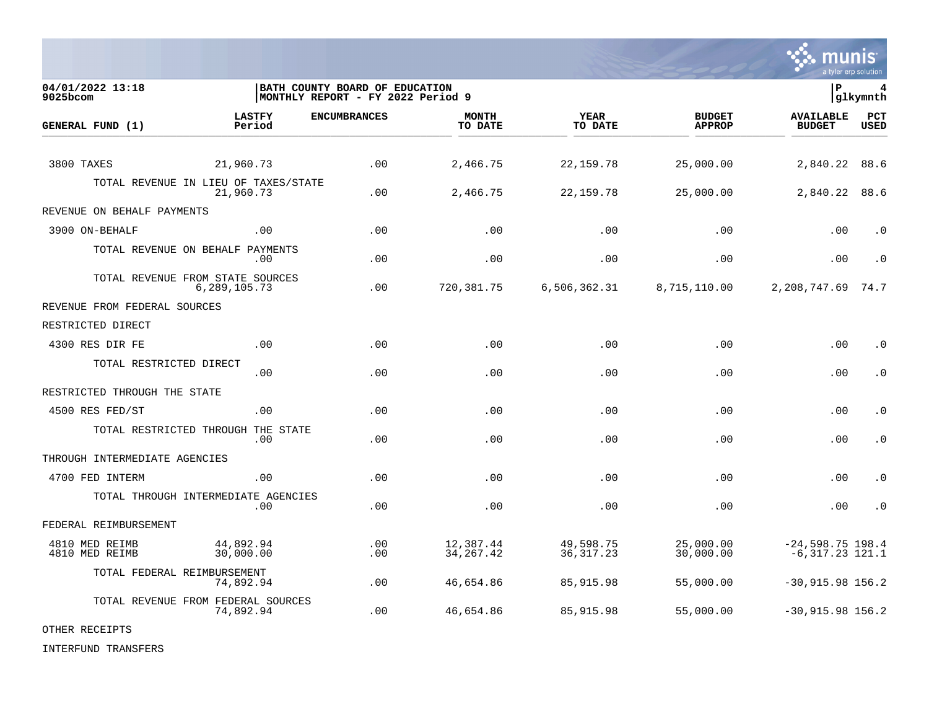

| 04/01/2022 13:18<br>9025bcom     |                                                   | BATH COUNTY BOARD OF EDUCATION<br> MONTHLY REPORT - FY 2022 Period 9 |                          |                          |                                | l P                                     | 4<br> glkymnth     |
|----------------------------------|---------------------------------------------------|----------------------------------------------------------------------|--------------------------|--------------------------|--------------------------------|-----------------------------------------|--------------------|
| GENERAL FUND (1)                 | <b>LASTFY</b><br>Period                           | <b>ENCUMBRANCES</b>                                                  | <b>MONTH</b><br>TO DATE  | <b>YEAR</b><br>TO DATE   | <b>BUDGET</b><br><b>APPROP</b> | <b>AVAILABLE</b><br><b>BUDGET</b>       | PCT<br><b>USED</b> |
| 3800 TAXES                       | 21,960.73                                         | .00                                                                  | 2,466.75                 | 22, 159. 78              | 25,000.00                      | 2,840.22                                | 88.6               |
|                                  | TOTAL REVENUE IN LIEU OF TAXES/STATE<br>21,960.73 | .00                                                                  | 2,466.75                 | 22,159.78                | 25,000.00                      | 2,840.22                                | 88.6               |
| REVENUE ON BEHALF PAYMENTS       |                                                   |                                                                      |                          |                          |                                |                                         |                    |
| 3900 ON-BEHALF                   | .00                                               | .00                                                                  | .00                      | .00                      | .00                            | .00                                     | $\cdot$ 0          |
|                                  | TOTAL REVENUE ON BEHALF PAYMENTS<br>.00           | .00                                                                  | .00                      | .00                      | .00                            | .00                                     | $\cdot$ 0          |
|                                  | TOTAL REVENUE FROM STATE SOURCES<br>6,289,105.73  | .00                                                                  | 720, 381.75              | 6,506,362.31             | 8,715,110.00                   | 2,208,747.69                            | 74.7               |
| REVENUE FROM FEDERAL SOURCES     |                                                   |                                                                      |                          |                          |                                |                                         |                    |
| RESTRICTED DIRECT                |                                                   |                                                                      |                          |                          |                                |                                         |                    |
| 4300 RES DIR FE                  | .00                                               | .00                                                                  | .00                      | .00                      | .00                            | .00                                     | $\cdot$ 0          |
| TOTAL RESTRICTED DIRECT          | .00                                               | .00                                                                  | .00                      | .00                      | .00                            | .00                                     | $\cdot$ 0          |
| RESTRICTED THROUGH THE STATE     |                                                   |                                                                      |                          |                          |                                |                                         |                    |
| 4500 RES FED/ST                  | .00                                               | .00                                                                  | .00                      | .00                      | .00                            | .00                                     | $\cdot$ 0          |
|                                  | TOTAL RESTRICTED THROUGH THE STATE<br>.00         | .00                                                                  | .00                      | .00                      | .00                            | .00                                     | $\cdot$ 0          |
| THROUGH INTERMEDIATE AGENCIES    |                                                   |                                                                      |                          |                          |                                |                                         |                    |
| 4700 FED INTERM                  | .00                                               | .00                                                                  | .00                      | .00                      | .00                            | .00                                     | $\cdot$ 0          |
|                                  | TOTAL THROUGH INTERMEDIATE AGENCIES<br>.00        | .00                                                                  | .00                      | .00                      | .00                            | .00                                     | $\cdot$ 0          |
| FEDERAL REIMBURSEMENT            |                                                   |                                                                      |                          |                          |                                |                                         |                    |
| 4810 MED REIMB<br>4810 MED REIMB | 44,892.94<br>30,000.00                            | .00<br>.00                                                           | 12,387.44<br>34, 267. 42 | 49,598.75<br>36, 317. 23 | 25,000.00<br>30,000.00         | $-24,598.75$ 198.4<br>$-6,317.23$ 121.1 |                    |
|                                  | TOTAL FEDERAL REIMBURSEMENT<br>74,892.94          | .00                                                                  | 46,654.86                | 85,915.98                | 55,000.00                      | $-30,915.98$ 156.2                      |                    |
|                                  | TOTAL REVENUE FROM FEDERAL SOURCES<br>74,892.94   | .00                                                                  | 46,654.86                | 85,915.98                | 55,000.00                      | $-30,915.98$ 156.2                      |                    |

## OTHER RECEIPTS

INTERFUND TRANSFERS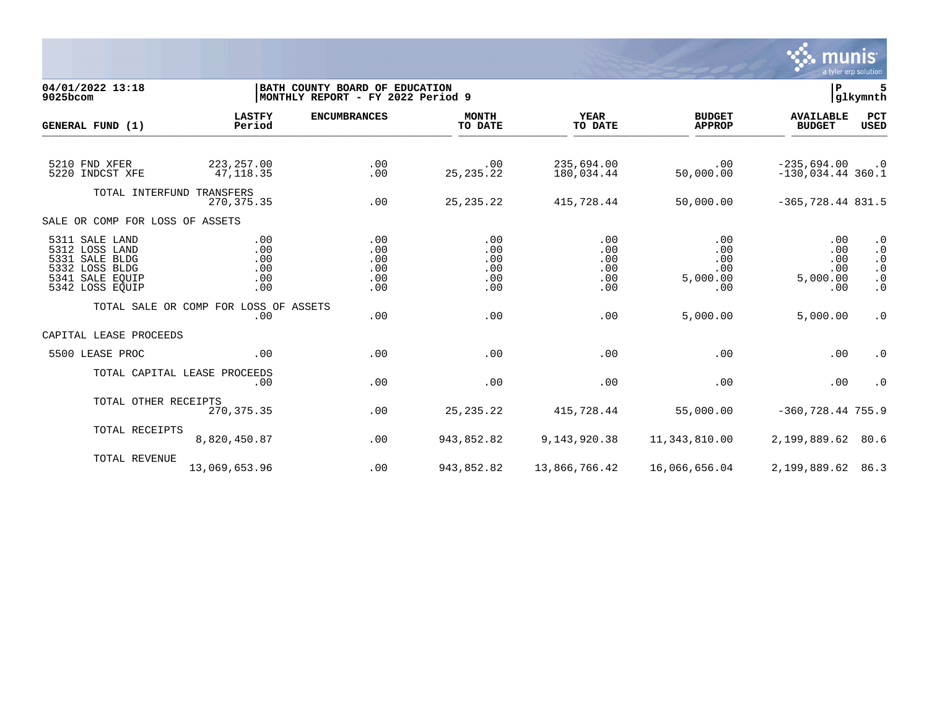

**04/01/2022 13:18 |BATH COUNTY BOARD OF EDUCATION |P 5 MONTHLY REPORT - FY 2022 Period 9 LASTFY ENCUMBRANCES MONTH YEAR BUDGET AVAILABLE PCT GENERAL FUND (1)** TO DATE THE RELIGION CONDUCT TO DATE THE RELIGION CONDUCT TO DATE THE RELIGION OF THE RELIGION OF THE RELIGION OF THE RELIGION OF THE RELIGION OF THE RELIGION OF THE RELIGION OF THE RELIGION OF THE RELIGION OF THE RELIGION 5210 FND XFER 223,257.00 .00 .00 235,694.00 .00 -235,694.00 .0  $-130.034.44$  360.1 TOTAL INTERFUND TRANSFERS<br>270.375.35 270,375.35 .00 25,235.22 415,728.44 50,000.00 -365,728.44 831.5 SALE OR COMP FOR LOSS OF ASSETS 5311 SALE LAND .00 .00 .00 .00 .00 .00 .0 5312 LOSS LAND .00 .00 .00 .00 .00 .00 .0 5331 SALE BLDG .00 .00 .00 .00 .00 .00 .0 5332 LOSS BLDG .00 .00 .00 .00 .00 .00 .0 5341 SALE EQUIP .00 .00 .00 .00 5,000.00 5,000.00 .0 5342 LOSS EQUIP .00 .00 .00 .00 .00 .00 .0 TOTAL SALE OR COMP FOR LOSS OF ASSETS<br>.00 .00 .00 .00 .00 5,000.00 5,000.00 .0 CAPITAL LEASE PROCEEDS 5500 LEASE PROC .00 .00 .00 .00 .00 .00 .0 TOTAL CAPITAL LEASE PROCEEDS .00 .00 .00 .00 .00 .00 .0 TOTAL OTHER RECEIPTS<br>270.375.35 270,375.35 .00 25,235.22 415,728.44 55,000.00 -360,728.44 755.9 TOTAL RECEIPTS 8,820,450.87 .00 943,852.82 9,143,920.38 11,343,810.00 2,199,889.62 80.6 TOTAL REVENUE 13,069,653.96 .00 943,852.82 13,866,766.42 16,066,656.04 2,199,889.62 86.3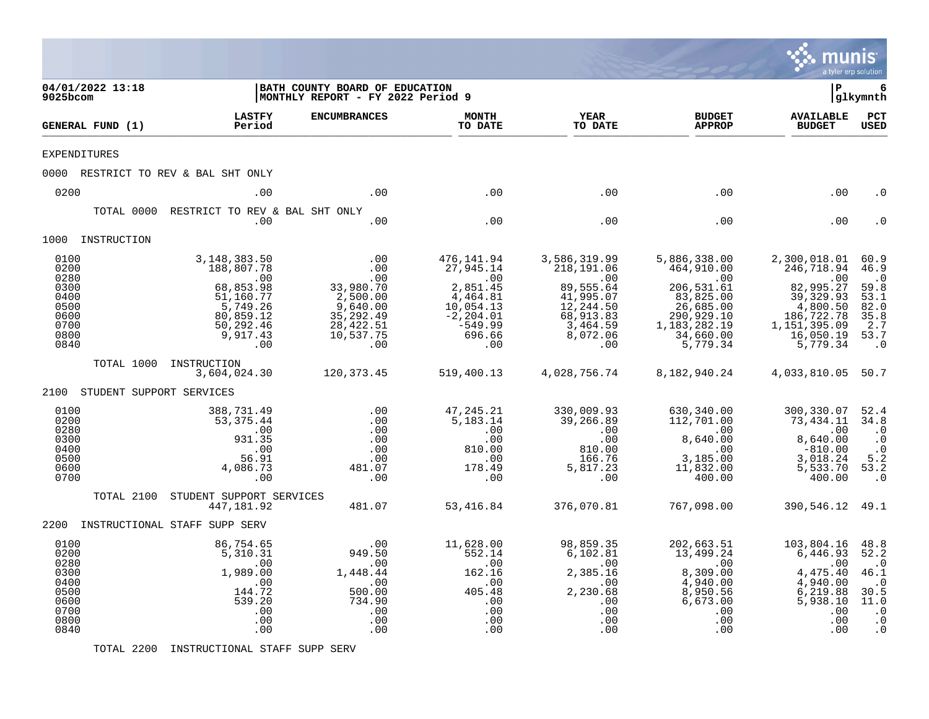|                                                                              |                               |                                                                                                                                                    |                                                                                                        |                                                                                                                       |                                                                                                                      |                                                                                                                                              | munis<br>a tyler erp solution                                                                                                  |                                                                                                       |
|------------------------------------------------------------------------------|-------------------------------|----------------------------------------------------------------------------------------------------------------------------------------------------|--------------------------------------------------------------------------------------------------------|-----------------------------------------------------------------------------------------------------------------------|----------------------------------------------------------------------------------------------------------------------|----------------------------------------------------------------------------------------------------------------------------------------------|--------------------------------------------------------------------------------------------------------------------------------|-------------------------------------------------------------------------------------------------------|
| 9025bcom                                                                     | 04/01/2022 13:18              |                                                                                                                                                    | BATH COUNTY BOARD OF EDUCATION<br>MONTHLY REPORT - FY 2022 Period 9                                    |                                                                                                                       |                                                                                                                      |                                                                                                                                              | l P                                                                                                                            | 6<br>glkymnth                                                                                         |
|                                                                              | GENERAL FUND (1)              | <b>LASTFY</b><br>Period                                                                                                                            | <b>ENCUMBRANCES</b>                                                                                    | <b>MONTH</b><br>TO DATE                                                                                               | YEAR<br>TO DATE                                                                                                      | <b>BUDGET</b><br><b>APPROP</b>                                                                                                               | <b>AVAILABLE</b><br><b>BUDGET</b>                                                                                              | $_{\rm PCT}$<br>USED                                                                                  |
| <b>EXPENDITURES</b>                                                          |                               |                                                                                                                                                    |                                                                                                        |                                                                                                                       |                                                                                                                      |                                                                                                                                              |                                                                                                                                |                                                                                                       |
|                                                                              |                               | 0000 RESTRICT TO REV & BAL SHT ONLY                                                                                                                |                                                                                                        |                                                                                                                       |                                                                                                                      |                                                                                                                                              |                                                                                                                                |                                                                                                       |
| 0200                                                                         |                               | .00                                                                                                                                                | .00                                                                                                    | .00                                                                                                                   | .00                                                                                                                  | .00                                                                                                                                          | .00                                                                                                                            | . 0                                                                                                   |
|                                                                              | TOTAL 0000                    | RESTRICT TO REV & BAL SHT ONLY<br>.00                                                                                                              | .00                                                                                                    | .00                                                                                                                   | .00                                                                                                                  | .00                                                                                                                                          | .00                                                                                                                            | . 0                                                                                                   |
|                                                                              | 1000 INSTRUCTION              |                                                                                                                                                    |                                                                                                        |                                                                                                                       |                                                                                                                      |                                                                                                                                              |                                                                                                                                |                                                                                                       |
| 0100<br>0200<br>0280<br>0300<br>0400<br>0500<br>0600<br>0700<br>0800<br>0840 | TOTAL 1000                    | 3,148,383.50<br>188,807.78<br>.00<br>68,853.98<br>51,160.77<br>$\frac{2}{5}$ , 749.26<br>80,859.12<br>50, 292.46<br>9,917.43<br>.00<br>INSTRUCTION | .00<br>.00<br>.00<br>33,980.70<br>2,500.00<br>9,640.00<br>35, 292.49<br>28, 422.51<br>10,537.75<br>.00 | 476,141.94<br>27,945.14<br>$\sim$ 00<br>2,851.45<br>4,464.81<br>10,054.13<br>$-2, 204.01$<br>-549.99<br>696.66<br>.00 | 3,586,319.99<br>218,191.06<br>.00<br>89,555.64<br>41,995.07<br>12,244.50<br>68,913.83<br>3,464.59<br>8,072.06<br>.00 | 5,886,338.00<br>464,910.00<br>$\overline{00}$<br>206,531.61<br>83,825.00<br>26,685.00<br>290,929.10<br>1,183,282.19<br>34,660.00<br>5,779.34 | 2,300,018.01<br>246,718.94<br>.00<br>82,995.27<br>39,329.93<br>4,800.50<br>186,722.78<br>1,151,395.09<br>16,050.19<br>5,779.34 | 60.9<br>46.9<br>$\cdot$ 0<br>59.8<br>53.1<br>82.0<br>35.8<br>2.7<br>53.7<br>$\cdot$ 0                 |
|                                                                              | 2100 STUDENT SUPPORT SERVICES | 3,604,024.30                                                                                                                                       | 120, 373. 45                                                                                           | 519,400.13                                                                                                            | 4,028,756.74                                                                                                         | 8,182,940.24                                                                                                                                 | 4,033,810.05 50.7                                                                                                              |                                                                                                       |
| 0100<br>0200<br>0280<br>0300<br>0400<br>0500<br>0600<br>0700                 |                               | 388,731.49<br>53,375.44<br>.00<br>931.35<br>.00<br>56.91<br>4,086.73<br>.00                                                                        | .00<br>.00<br>.00<br>.00<br>.00<br>.00<br>481.07<br>.00                                                | 47,245.21<br>5,183.14<br>.00<br>.00<br>810.00<br>.00<br>178.49<br>.00                                                 | 330,009.93<br>39,266.89<br>.00<br>.00<br>810.00<br>166.76<br>5,817.23<br>.00                                         | 630,340.00<br>112,701.00<br>$\sim$ 00<br>8,640.00<br>.00<br>3,185.00<br>11,832.00<br>400.00                                                  | 300, 330.07 52.4<br>73,434.11 34.8<br>.00<br>8,640.00<br>$-810.00$<br>3,018.24<br>5,533.70<br>400.00                           | $\cdot$ 0<br>$\cdot$ 0<br>$\cdot$ 0<br>5.2<br>53.2<br>$\cdot$ 0                                       |
|                                                                              | TOTAL 2100                    | STUDENT SUPPORT SERVICES<br>447,181.92                                                                                                             | 481.07                                                                                                 | 53,416.84                                                                                                             | 376,070.81                                                                                                           | 767,098.00                                                                                                                                   | 390,546.12 49.1                                                                                                                |                                                                                                       |
|                                                                              |                               | 2200 INSTRUCTIONAL STAFF SUPP SERV                                                                                                                 |                                                                                                        |                                                                                                                       |                                                                                                                      |                                                                                                                                              |                                                                                                                                |                                                                                                       |
| 0100<br>0200<br>0280<br>0300<br>0400<br>0500<br>0600<br>0700<br>0800<br>0840 |                               | 86,754.65<br>5,310.31<br>$\sim 00$<br>1,989.00<br>.00<br>144.72<br>539.20<br>.00<br>.00<br>.00                                                     | .00<br>949.50<br>.00<br>1,448.44<br>.00<br>500.00<br>734.90<br>.00<br>.00<br>.00                       | 11,628.00<br>552.14<br>.00<br>162.16<br>$\overline{\phantom{0}}$ .00<br>405.48<br>.00<br>.00<br>.00<br>.00            | 98,859.35<br>6,102.81<br>$\sim 00$<br>2,385.16<br>$\sim$ 00<br>2,230.68<br>.00<br>.00<br>.00<br>.00                  | 202,663.51<br>13,499.24<br>$.00 \,$<br>8,309.00<br>4,940.00<br>8,950.56<br>6,673.00<br>.00<br>.00<br>.00                                     | 103,804.16<br>6,446.93<br>.00<br>4,475.40<br>4,940.00<br>6, 219.88<br>5,938.10<br>.00<br>.00<br>.00                            | 48.8<br>52.2<br>$\cdot$ 0<br>46.1<br>$\cdot$ 0<br>30.5<br>11.0<br>$\cdot$ 0<br>$\cdot$ 0<br>$\cdot$ 0 |

TOTAL 2200 INSTRUCTIONAL STAFF SUPP SERV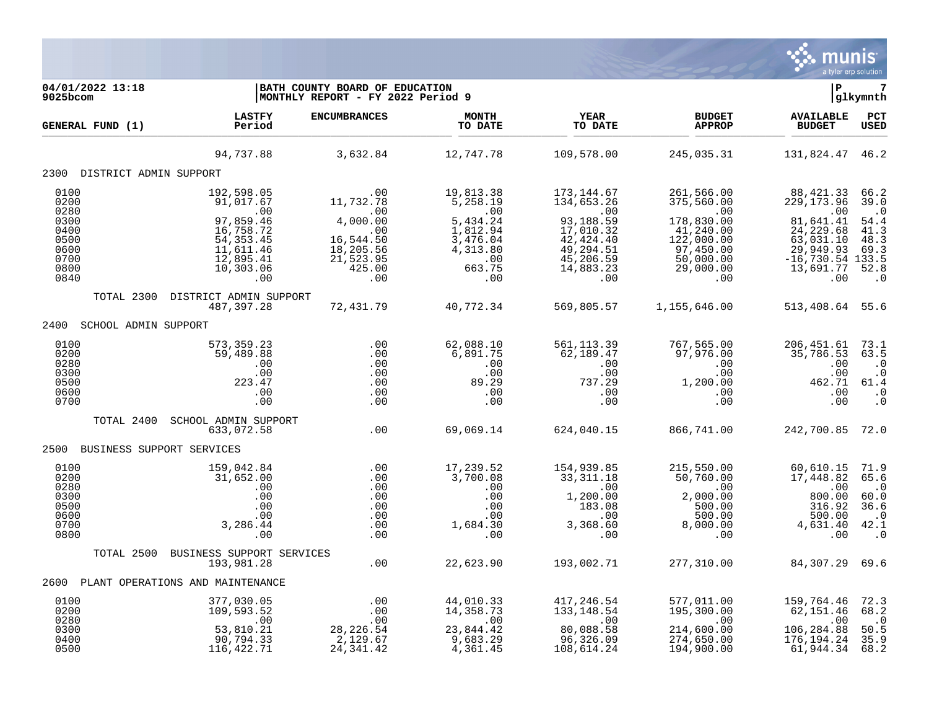

| 04/01/2022 13:18<br>$9025$ bcom                              |                                                                                                  | BATH COUNTY BOARD OF EDUCATION<br>MONTHLY REPORT - FY 2022 Period 9                             |                                                                                     |                                                                                                  |                                                                                                         | ΙP                                                                                                              | 7<br> glkymnth                                                                |
|--------------------------------------------------------------|--------------------------------------------------------------------------------------------------|-------------------------------------------------------------------------------------------------|-------------------------------------------------------------------------------------|--------------------------------------------------------------------------------------------------|---------------------------------------------------------------------------------------------------------|-----------------------------------------------------------------------------------------------------------------|-------------------------------------------------------------------------------|
| GENERAL FUND (1)                                             | LASTFY<br>Period                                                                                 | <b>ENCUMBRANCES</b>                                                                             | <b>MONTH</b><br>TO DATE                                                             | YEAR<br>TO DATE                                                                                  | <b>BUDGET</b><br><b>APPROP</b>                                                                          | <b>AVAILABLE</b><br><b>BUDGET</b>                                                                               | PCT<br><b>USED</b>                                                            |
|                                                              | 94,737.88                                                                                        | 3,632.84                                                                                        | 12,747.78                                                                           | 109,578.00                                                                                       | 245,035.31                                                                                              | 131,824.47 46.2                                                                                                 |                                                                               |
| 2300 DISTRICT ADMIN SUPPORT                                  |                                                                                                  |                                                                                                 |                                                                                     |                                                                                                  |                                                                                                         |                                                                                                                 |                                                                               |
| 0100<br>0200<br>0280<br>0300<br>0400<br>0500<br>0600<br>0700 | 192,598.05<br>91,017.67<br>.00<br>97,859.46<br>16,758.72<br>54, 353.45<br>11,611.46<br>12,895.41 | .00<br>11,732.78<br>$\sim$ 00<br>4,000.00<br>$\ddotsc$<br>16,544.50<br>18, 205.56<br>21, 523.95 | 19,813.38<br>5,258.19<br>.00<br>5,434.24<br>1,812.94<br>3,476.04<br>4,313.80<br>.00 | 173,144.67<br>134,653.26<br>.00<br>93,188.59<br>17,010.32<br>42,424.40<br>49,294.51<br>45,206.59 | 261,566.00<br>375,560.00<br>$.00 \,$<br>178,830.00<br>41,240.00<br>122,000.00<br>97,450.00<br>50,000.00 | 88,421.33 66.2<br>229, 173.96<br>.00<br>81,641.41<br>24, 229.68<br>63,031.10<br>29,949.93<br>$-16,730.54$ 133.5 | 39.0<br>$\cdot$ 0<br>54.4<br>41.3<br>48.3<br>69.3                             |
| 0800<br>0840                                                 | 10,303.06<br>.00                                                                                 | 425.00<br>.00                                                                                   | 663.75<br>.00                                                                       | 14,883.23<br>.00                                                                                 | 29,000.00<br>.00                                                                                        | 13,691.77<br>.00                                                                                                | 52.8<br>$\cdot$ 0                                                             |
|                                                              | TOTAL 2300 DISTRICT ADMIN SUPPORT<br>487,397.28                                                  | 72,431.79                                                                                       | 40,772.34                                                                           | 569,805.57                                                                                       | 1,155,646.00                                                                                            | 513,408.64 55.6                                                                                                 |                                                                               |
| 2400<br>SCHOOL ADMIN SUPPORT                                 |                                                                                                  |                                                                                                 |                                                                                     |                                                                                                  |                                                                                                         |                                                                                                                 |                                                                               |
| 0100<br>0200<br>0280<br>0300<br>0500<br>0600<br>0700         | 573,359.23<br>59,489.88<br>.00<br>.00<br>223.47<br>.00<br>.00                                    | .00<br>.00<br>.00<br>.00<br>.00<br>.00<br>.00                                                   | 62,088.10<br>6,891.75<br>.00<br>.00<br>89.29<br>.00<br>.00                          | 561, 113.39<br>62,189.47<br>.00<br>.00<br>737.29<br>.00<br>.00                                   | 767,565.00<br>97,976.00<br>.00<br>.00<br>1,200.00<br>.00<br>.00                                         | 206,451.61<br>35,786.53<br>.00<br>.00<br>462.71<br>.00<br>.00                                                   | 73.1<br>63.5<br>$\cdot$ 0<br>$\cdot$ 0<br>61.4<br>$\cdot$ 0<br>$\cdot$ 0      |
| TOTAL 2400                                                   | SCHOOL ADMIN SUPPORT<br>633,072.58                                                               | .00                                                                                             | 69,069.14                                                                           | 624,040.15                                                                                       | 866,741.00                                                                                              | 242,700.85 72.0                                                                                                 |                                                                               |
| 2500 BUSINESS SUPPORT SERVICES                               |                                                                                                  |                                                                                                 |                                                                                     |                                                                                                  |                                                                                                         |                                                                                                                 |                                                                               |
| 0100<br>0200<br>0280<br>0300<br>0500<br>0600<br>0700<br>0800 | 159,042.84<br>31,652.00<br>.00<br>.00<br>.00<br>.00<br>3,286.44<br>.00                           | .00<br>.00<br>.00<br>.00<br>.00<br>.00<br>.00<br>.00                                            | 17,239.52<br>3,700.08<br>.00<br>.00<br>.00<br>.00<br>$1,684.30$<br>.00              | 154,939.85<br>33,311.18<br>.00<br>1,200.00<br>183.08<br>00.<br>3,368.60.<br>00.                  | 215,550.00<br>50,760.00<br>.00<br>2,000.00<br>500.00<br>500.00<br>8,000.00<br>.00                       | 60,610.15<br>17,448.82<br>.00<br>800.00<br>316.92<br>500.00<br>4,631.40<br>.00                                  | 71.9<br>65.6<br>$\cdot$ . 0<br>60.0<br>36.6<br>$\cdot$ 0<br>42.1<br>$\cdot$ 0 |
|                                                              | TOTAL 2500 BUSINESS SUPPORT SERVICES<br>193,981.28                                               | .00                                                                                             | 22,623.90                                                                           | 193,002.71                                                                                       | 277,310.00                                                                                              | 84,307.29 69.6                                                                                                  |                                                                               |
|                                                              | 2600 PLANT OPERATIONS AND MAINTENANCE                                                            |                                                                                                 |                                                                                     |                                                                                                  |                                                                                                         |                                                                                                                 |                                                                               |
| 0100<br>0200<br>0280<br>0300<br>0400                         | 377,030.05<br>109,593.52<br>.00<br>53,810.21<br>90,794.33                                        | .00<br>.00<br>.00<br>28, 226.54<br>2,129.67                                                     | 44,010.33<br>14,358.73<br>$\overline{00}$<br>23,844.42<br>9,683.29                  | 417,246.54<br>133, 148.54<br>$\overline{00}$<br>80,088.58<br>96,326.09                           | 577,011.00<br>195,300.00<br>$\overline{00}$<br>214,600.00<br>274,650.00                                 | 159, 764. 46 72. 3<br>62,151.46<br>.00<br>106,284.88<br>176, 194.24                                             | 68.2<br>$\overline{0}$<br>50.5<br>35.9                                        |
| 0500                                                         | 116,422.71                                                                                       | 24, 341.42                                                                                      | 4,361.45                                                                            | 108,614.24                                                                                       | 194,900.00                                                                                              | 61,944.34 68.2                                                                                                  |                                                                               |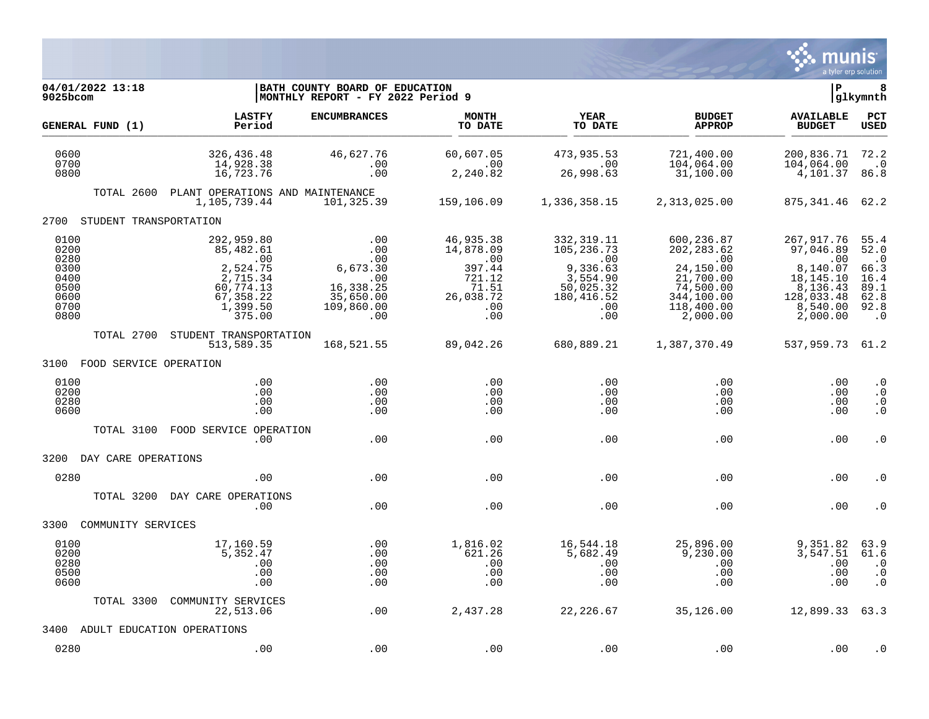

| 04/01/2022 13:18<br>9025bcom                                         |                                                                                                              | BATH COUNTY BOARD OF EDUCATION<br> MONTHLY REPORT - FY 2022 Period 9                                                                                     |                                                                                                   |                                                                                                         |                                                                                                                       | l P                                                                                                       | 8<br>glkymnth                                                                  |
|----------------------------------------------------------------------|--------------------------------------------------------------------------------------------------------------|----------------------------------------------------------------------------------------------------------------------------------------------------------|---------------------------------------------------------------------------------------------------|---------------------------------------------------------------------------------------------------------|-----------------------------------------------------------------------------------------------------------------------|-----------------------------------------------------------------------------------------------------------|--------------------------------------------------------------------------------|
| GENERAL FUND (1)                                                     | <b>LASTFY</b><br>Period                                                                                      | <b>ENCUMBRANCES</b>                                                                                                                                      | <b>MONTH</b><br>TO DATE                                                                           | <b>YEAR</b><br>TO DATE                                                                                  | <b>BUDGET</b><br><b>APPROP</b>                                                                                        | <b>AVAILABLE</b><br><b>BUDGET</b>                                                                         | PCT<br><b>USED</b>                                                             |
| 0600<br>0700<br>0800                                                 | 326,436.48<br>14,928.38<br>16,723.76                                                                         | 46,627.76<br>.00<br>.00                                                                                                                                  | 60,607.05<br>$\sim 00$<br>2,240.82                                                                | 473,935.53<br>.00<br>26,998.63                                                                          | 721,400.00<br>104,064.00<br>31,100.00                                                                                 | 200,836.71<br>104,064.00<br>4,101.37                                                                      | 72.2<br>$\cdot$ 0<br>86.8                                                      |
|                                                                      | TOTAL 2600 PLANT OPERATIONS AND MAINTENANCE<br>1,105,739.44                                                  | 101,325.39                                                                                                                                               | 159,106.09                                                                                        | 1,336,358.15                                                                                            | 2,313,025.00                                                                                                          | 875, 341. 46 62. 2                                                                                        |                                                                                |
| 2700 STUDENT TRANSPORTATION                                          |                                                                                                              |                                                                                                                                                          |                                                                                                   |                                                                                                         |                                                                                                                       |                                                                                                           |                                                                                |
| 0100<br>0200<br>0280<br>0300<br>0400<br>0500<br>0600<br>0700<br>0800 | 292,959.80<br>85,482.61<br>$\sim 00$<br>2,524.75<br>2,715.34<br>60,774.13<br>67,358.22<br>1,399.50<br>375.00 | .00<br>$\begin{array}{c} 0.00 \\ -0.00 \end{array}$<br>$00$<br>00:<br>6, 673.30<br>$\overline{00}$<br>16, 338.25<br>35,650.00<br>109,860.00<br>$\sim$ 00 | 46,935.38<br>14,878.09<br>$\overline{00}$<br>397.44<br>721.12<br>71.51<br>26,038.72<br>.00<br>.00 | 332, 319.11<br>105,236.73<br>$\sim 00$<br>9,336.63<br>3,554.90<br>50,025.32<br>180,416.52<br>.00<br>.00 | 600,236.87<br>202, 283.62<br>$\sim 00$<br>24,150.00<br>21,700.00<br>74,500.00<br>344,100.00<br>118,400.00<br>2,000.00 | 267,917.76<br>97,046.89<br>.00<br>8,140.07<br>18,145.10<br>8,136.43<br>128,033.48<br>8,540.00<br>2,000.00 | 55.4<br>52.0<br>$\cdot$ 0<br>66.3<br>16.4<br>89.1<br>62.8<br>92.8<br>$\cdot$ 0 |
| TOTAL 2700                                                           | STUDENT TRANSPORTATION<br>513,589.35                                                                         | 168,521.55                                                                                                                                               | 89,042.26                                                                                         |                                                                                                         | 680,889.21 1,387,370.49                                                                                               | 537,959.73 61.2                                                                                           |                                                                                |
| 3100 FOOD SERVICE OPERATION                                          |                                                                                                              |                                                                                                                                                          |                                                                                                   |                                                                                                         |                                                                                                                       |                                                                                                           |                                                                                |
| 0100<br>0200<br>0280<br>0600                                         | .00<br>.00<br>.00<br>.00                                                                                     | .00<br>.00<br>.00<br>.00                                                                                                                                 | .00<br>.00<br>.00<br>.00                                                                          | .00<br>.00<br>$.00 \ \,$<br>.00                                                                         | .00<br>.00<br>$.00 \,$<br>.00                                                                                         | .00<br>.00<br>.00<br>.00                                                                                  | $\cdot$ 0<br>$\cdot$ 0<br>$\cdot$ 0<br>$\cdot$ 0                               |
| TOTAL 3100                                                           | FOOD SERVICE OPERATION<br>.00                                                                                | .00                                                                                                                                                      | .00                                                                                               | .00                                                                                                     | .00                                                                                                                   | .00                                                                                                       | $\cdot$ 0                                                                      |
| 3200 DAY CARE OPERATIONS                                             |                                                                                                              |                                                                                                                                                          |                                                                                                   |                                                                                                         |                                                                                                                       |                                                                                                           |                                                                                |
| 0280                                                                 | .00                                                                                                          | .00                                                                                                                                                      | .00                                                                                               | .00                                                                                                     | .00                                                                                                                   | .00                                                                                                       | . 0                                                                            |
|                                                                      | TOTAL 3200 DAY CARE OPERATIONS<br>.00                                                                        | .00                                                                                                                                                      | .00                                                                                               | .00                                                                                                     | .00                                                                                                                   | .00                                                                                                       | . 0                                                                            |
| 3300<br>COMMUNITY SERVICES                                           |                                                                                                              |                                                                                                                                                          |                                                                                                   |                                                                                                         |                                                                                                                       |                                                                                                           |                                                                                |
| 0100<br>0200<br>0280<br>0500<br>0600                                 | 17,160.59<br>5,352.47<br>.00<br>.00<br>.00                                                                   | .00<br>.00<br>.00<br>.00<br>.00                                                                                                                          | 1,816.02<br>621.26<br>.00<br>.00<br>.00                                                           | 16,544.18<br>5,682.49<br>$\,$ .00<br>.00<br>.00                                                         | 25,896.00<br>9,230.00<br>.00<br>.00<br>.00                                                                            | 9,351.82<br>3,547.51<br>.00<br>.00<br>.00                                                                 | 63.9<br>61.6<br>$\cdot$ 0<br>$\cdot$ 0<br>$\cdot$ 0                            |
| TOTAL 3300                                                           | COMMUNITY SERVICES<br>22,513.06                                                                              | .00                                                                                                                                                      | 2,437.28                                                                                          | 22,226.67                                                                                               | 35,126.00                                                                                                             | 12,899.33 63.3                                                                                            |                                                                                |
| 3400                                                                 | ADULT EDUCATION OPERATIONS                                                                                   |                                                                                                                                                          |                                                                                                   |                                                                                                         |                                                                                                                       |                                                                                                           |                                                                                |
| 0280                                                                 | .00                                                                                                          | .00                                                                                                                                                      | .00                                                                                               | .00                                                                                                     | .00                                                                                                                   | .00                                                                                                       | . 0                                                                            |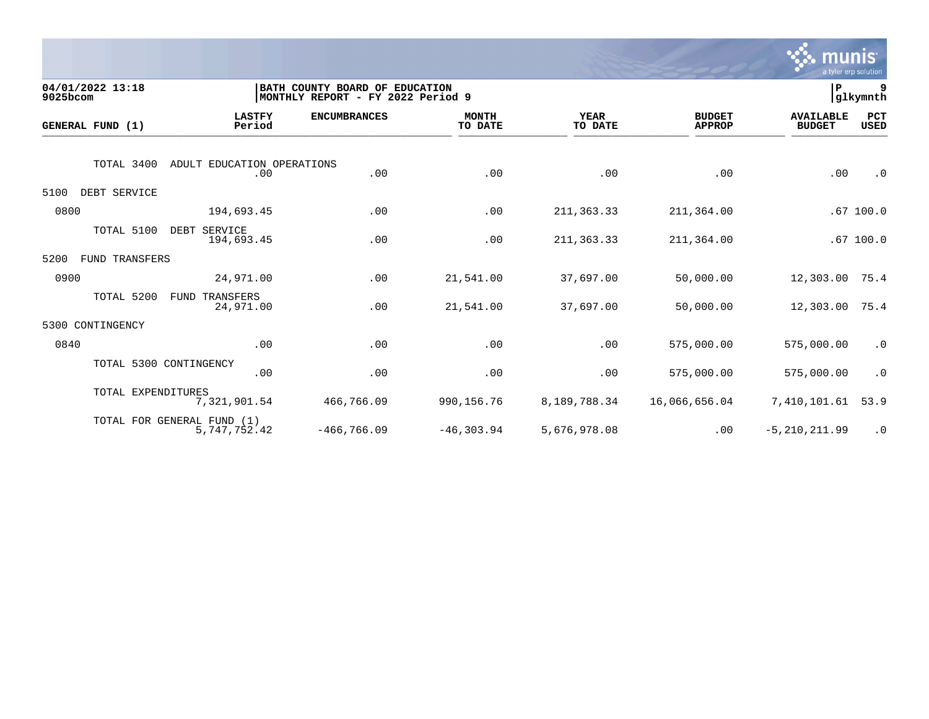

| 9025bcom | 04/01/2022 13:18   |                                            | BATH COUNTY BOARD OF<br>MONTHLY REPORT - FY 2022 Period 9 | <b>EDUCATION</b>        |                        |                                | ∣P                                | 9<br> glkymnth |
|----------|--------------------|--------------------------------------------|-----------------------------------------------------------|-------------------------|------------------------|--------------------------------|-----------------------------------|----------------|
|          | GENERAL FUND (1)   | <b>LASTFY</b><br>Period                    | <b>ENCUMBRANCES</b>                                       | <b>MONTH</b><br>TO DATE | <b>YEAR</b><br>TO DATE | <b>BUDGET</b><br><b>APPROP</b> | <b>AVAILABLE</b><br><b>BUDGET</b> | PCT<br>USED    |
|          | TOTAL 3400         | ADULT EDUCATION OPERATIONS<br>.00          | .00                                                       | .00                     | .00                    | .00                            | .00                               | $\cdot$ 0      |
| 5100     | DEBT SERVICE       |                                            |                                                           |                         |                        |                                |                                   |                |
| 0800     |                    | 194,693.45                                 | .00                                                       | .00                     | 211, 363. 33           | 211,364.00                     |                                   | .67100.0       |
|          | TOTAL 5100         | DEBT SERVICE<br>194,693.45                 | .00                                                       | .00                     | 211,363.33             | 211,364.00                     |                                   | $.67$ 100.0    |
| 5200     | FUND TRANSFERS     |                                            |                                                           |                         |                        |                                |                                   |                |
| 0900     |                    | 24,971.00                                  | .00                                                       | 21,541.00               | 37,697.00              | 50,000.00                      | 12,303.00                         | 75.4           |
|          | TOTAL 5200         | TRANSFERS<br>FUND<br>24,971.00             | .00                                                       | 21,541.00               | 37,697.00              | 50,000.00                      | 12,303.00                         | 75.4           |
| 5300     | CONTINGENCY        |                                            |                                                           |                         |                        |                                |                                   |                |
| 0840     |                    | .00                                        | .00                                                       | .00                     | .00                    | 575,000.00                     | 575,000.00                        | $\cdot$ 0      |
|          |                    | TOTAL 5300 CONTINGENCY<br>.00              | .00                                                       | .00                     | .00                    | 575,000.00                     | 575,000.00                        | $\cdot$ 0      |
|          | TOTAL EXPENDITURES | 7,321,901.54                               | 466,766.09                                                | 990,156.76              | 8,189,788.34           | 16,066,656.04                  | 7,410,101.61                      | 53.9           |
|          |                    | TOTAL FOR GENERAL FUND (1)<br>5,747,752.42 | $-466, 766.09$                                            | $-46, 303.94$           | 5,676,978.08           | .00                            | $-5, 210, 211.99$                 | $\cdot$ 0      |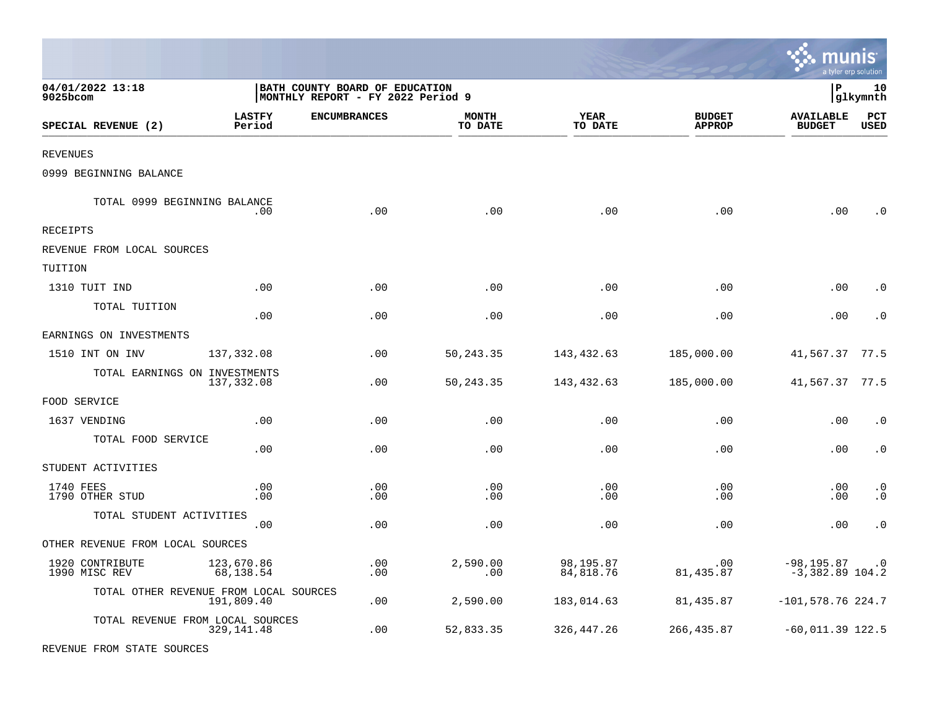|                                        |                         |                                                                     |                         |                        |                                | munis                              | a tyler erp solution        |
|----------------------------------------|-------------------------|---------------------------------------------------------------------|-------------------------|------------------------|--------------------------------|------------------------------------|-----------------------------|
| 04/01/2022 13:18<br>$9025$ bcom        |                         | BATH COUNTY BOARD OF EDUCATION<br>MONTHLY REPORT - FY 2022 Period 9 |                         |                        |                                | l P                                | 10<br>glkymnth              |
| SPECIAL REVENUE (2)                    | <b>LASTFY</b><br>Period | <b>ENCUMBRANCES</b>                                                 | <b>MONTH</b><br>TO DATE | YEAR<br>TO DATE        | <b>BUDGET</b><br><b>APPROP</b> | <b>AVAILABLE</b><br><b>BUDGET</b>  | $_{\rm PCT}$<br><b>USED</b> |
| <b>REVENUES</b>                        |                         |                                                                     |                         |                        |                                |                                    |                             |
| 0999 BEGINNING BALANCE                 |                         |                                                                     |                         |                        |                                |                                    |                             |
| TOTAL 0999 BEGINNING BALANCE           | .00                     | .00                                                                 | .00                     | .00                    | .00                            | .00                                | . 0                         |
| RECEIPTS                               |                         |                                                                     |                         |                        |                                |                                    |                             |
| REVENUE FROM LOCAL SOURCES             |                         |                                                                     |                         |                        |                                |                                    |                             |
| TUITION                                |                         |                                                                     |                         |                        |                                |                                    |                             |
| 1310 TUIT IND                          | .00                     | .00                                                                 | .00                     | .00                    | .00                            | .00                                | $\cdot$ 0                   |
| TOTAL TUITION                          | .00                     | .00                                                                 | .00                     | .00                    | .00                            | .00                                | $\cdot$ 0                   |
| EARNINGS ON INVESTMENTS                |                         |                                                                     |                         |                        |                                |                                    |                             |
| 1510 INT ON INV                        | 137,332.08              | .00                                                                 | 50,243.35               | 143,432.63             | 185,000.00                     | 41,567.37                          | 77.5                        |
| TOTAL EARNINGS ON INVESTMENTS          | 137,332.08              | .00                                                                 | 50, 243.35              | 143,432.63             | 185,000.00                     | 41,567.37 77.5                     |                             |
| FOOD SERVICE                           |                         |                                                                     |                         |                        |                                |                                    |                             |
| 1637 VENDING                           | .00                     | .00                                                                 | .00                     | .00                    | .00                            | .00                                | $\cdot$ 0                   |
| TOTAL FOOD SERVICE                     | .00                     | .00                                                                 | .00                     | .00                    | .00                            | .00                                | $\cdot$ 0                   |
| STUDENT ACTIVITIES                     |                         |                                                                     |                         |                        |                                |                                    |                             |
| 1740 FEES<br>1790 OTHER STUD           | .00<br>.00              | .00<br>.00                                                          | .00<br>.00              | .00<br>.00             | .00<br>.00                     | .00<br>.00                         | $\cdot$ 0<br>$\cdot$ 0      |
| TOTAL STUDENT ACTIVITIES               | .00                     | .00                                                                 | .00                     | .00                    | .00                            | .00                                | $\cdot$ 0                   |
| OTHER REVENUE FROM LOCAL SOURCES       |                         |                                                                     |                         |                        |                                |                                    |                             |
| 1920 CONTRIBUTE<br>1990 MISC REV       | 123,670.86<br>68,138.54 | .00<br>.00                                                          | 2,590.00<br>.00         | 98,195.87<br>84,818.76 | .00<br>81, 435.87              | $-98, 195.87$<br>$-3,382.89$ 104.2 | $\cdot$ 0                   |
| TOTAL OTHER REVENUE FROM LOCAL SOURCES | 191,809.40              | .00                                                                 | 2,590.00                | 183,014.63             | 81,435.87                      | $-101,578.76$ 224.7                |                             |
| TOTAL REVENUE FROM LOCAL SOURCES       | 329, 141.48             | .00                                                                 | 52,833.35               | 326, 447. 26           | 266, 435.87                    | $-60,011.39$ 122.5                 |                             |

REVENUE FROM STATE SOURCES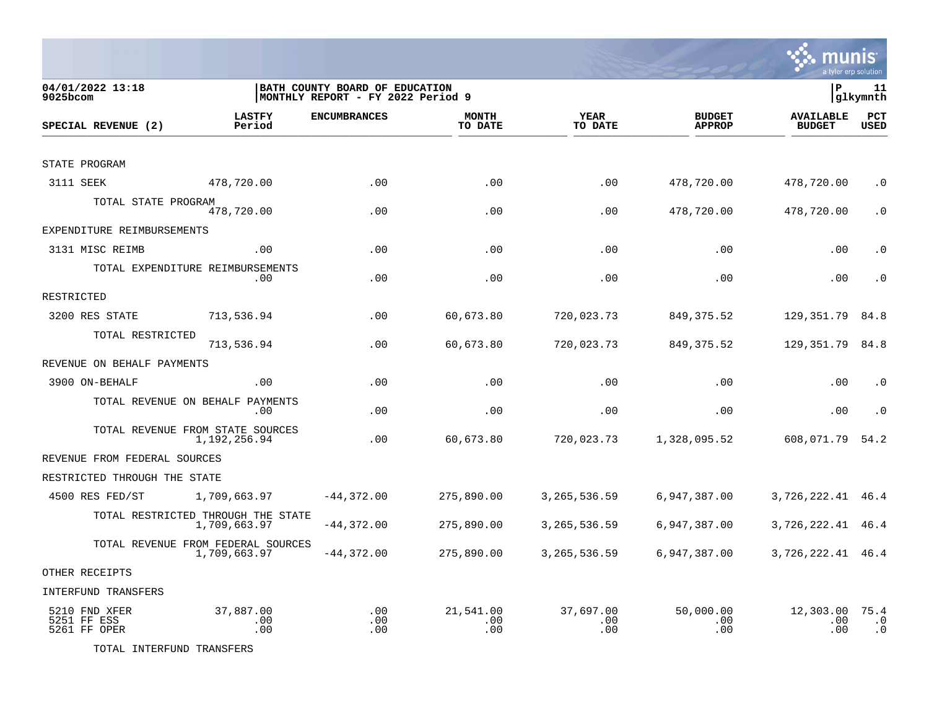

| 04/01/2022 13:18<br>9025bcom                 | BATH COUNTY BOARD OF EDUCATION<br> MONTHLY REPORT - FY 2022 Period 9 |                     |                         |                         |                                |                                   |                                |  |
|----------------------------------------------|----------------------------------------------------------------------|---------------------|-------------------------|-------------------------|--------------------------------|-----------------------------------|--------------------------------|--|
| SPECIAL REVENUE (2)                          | <b>LASTFY</b><br>Period                                              | <b>ENCUMBRANCES</b> | <b>MONTH</b><br>TO DATE | <b>YEAR</b><br>TO DATE  | <b>BUDGET</b><br><b>APPROP</b> | <b>AVAILABLE</b><br><b>BUDGET</b> | PCT<br><b>USED</b>             |  |
| STATE PROGRAM                                |                                                                      |                     |                         |                         |                                |                                   |                                |  |
| 3111 SEEK                                    | 478,720.00                                                           | .00                 | .00                     | .00                     | 478,720.00                     | 478,720.00                        | $\cdot$ 0                      |  |
| TOTAL STATE PROGRAM                          |                                                                      |                     |                         |                         |                                |                                   |                                |  |
|                                              | 478,720.00                                                           | .00                 | .00                     | .00                     | 478,720.00                     | 478,720.00                        | $\cdot$ 0                      |  |
| EXPENDITURE REIMBURSEMENTS                   |                                                                      |                     |                         |                         |                                |                                   |                                |  |
| 3131 MISC REIMB                              | .00                                                                  | .00                 | .00                     | .00                     | .00                            | .00                               | $\cdot$ 0                      |  |
|                                              | TOTAL EXPENDITURE REIMBURSEMENTS<br>.00                              | .00                 | .00                     | .00                     | .00                            | .00                               | $\cdot$ 0                      |  |
| RESTRICTED                                   |                                                                      |                     |                         |                         |                                |                                   |                                |  |
| 3200 RES STATE                               | 713,536.94                                                           | .00                 | 60,673.80               | 720,023.73              | 849, 375.52                    | 129,351.79                        | 84.8                           |  |
| TOTAL RESTRICTED                             | 713,536.94                                                           | .00                 | 60,673.80               | 720,023.73              | 849, 375.52                    | 129,351.79                        | 84.8                           |  |
| REVENUE ON BEHALF PAYMENTS                   |                                                                      |                     |                         |                         |                                |                                   |                                |  |
| 3900 ON-BEHALF                               | .00                                                                  | .00                 | .00                     | .00                     | .00                            | .00                               | $\cdot$ 0                      |  |
|                                              | TOTAL REVENUE ON BEHALF PAYMENTS<br>.00                              | .00                 | .00                     | .00                     | .00                            | .00                               | $\cdot$ 0                      |  |
|                                              | TOTAL REVENUE FROM STATE SOURCES<br>1,192,256.94                     | .00                 | 60,673.80               | 720,023.73              | 1,328,095.52                   | 608,071.79                        | 54.2                           |  |
| REVENUE FROM FEDERAL SOURCES                 |                                                                      |                     |                         |                         |                                |                                   |                                |  |
| RESTRICTED THROUGH THE STATE                 |                                                                      |                     |                         |                         |                                |                                   |                                |  |
| 4500 RES FED/ST                              | 1,709,663.97                                                         | $-44,372.00$        | 275,890.00              | 3, 265, 536.59          | 6,947,387.00                   | 3,726,222.41 46.4                 |                                |  |
|                                              | TOTAL RESTRICTED THROUGH THE STATE<br>1,709,663.97                   | $-44,372.00$        | 275,890.00              | 3, 265, 536.59          | 6,947,387.00                   | 3,726,222.41                      | 46.4                           |  |
|                                              | TOTAL REVENUE FROM FEDERAL SOURCES<br>1,709,663.97                   | $-44,372.00$        | 275,890.00              | 3, 265, 536.59          | 6,947,387.00                   | 3,726,222.41 46.4                 |                                |  |
| OTHER RECEIPTS                               |                                                                      |                     |                         |                         |                                |                                   |                                |  |
| <b>INTERFUND TRANSFERS</b>                   |                                                                      |                     |                         |                         |                                |                                   |                                |  |
| 5210 FND XFER<br>5251 FF ESS<br>5261 FF OPER | 37,887.00<br>.00<br>.00                                              | .00<br>.00<br>.00   | 21,541.00<br>.00<br>.00 | 37,697.00<br>.00<br>.00 | 50,000.00<br>.00<br>.00        | 12,303.00<br>.00<br>.00           | 75.4<br>$\cdot$ 0<br>$\cdot$ 0 |  |

TOTAL INTERFUND TRANSFERS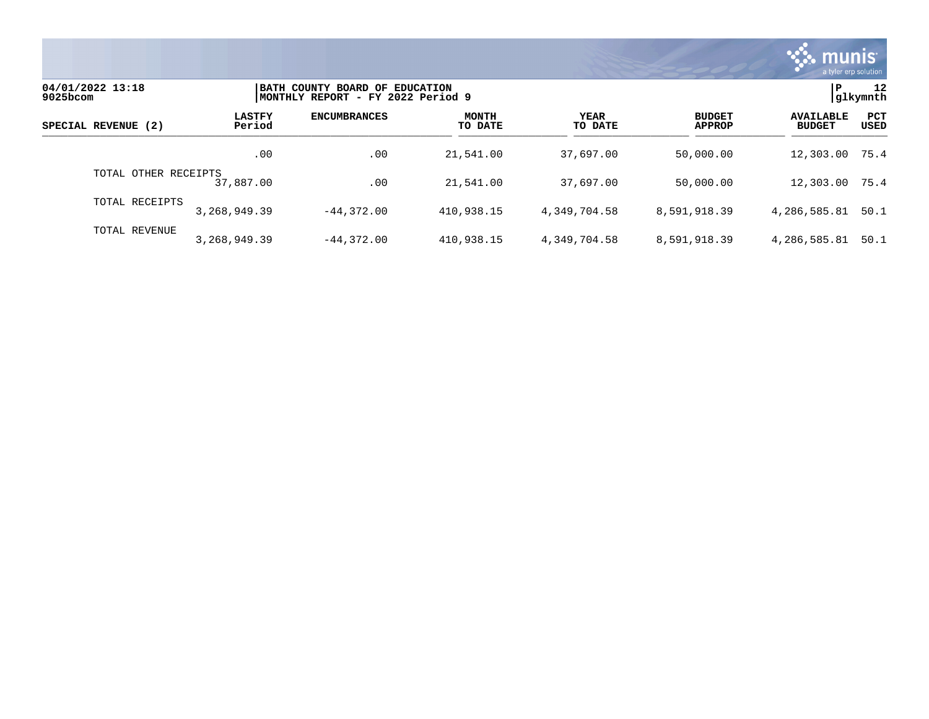

| 04/01/2022 13:18<br>9025bcom |                         | BATH COUNTY BOARD OF EDUCATION<br>MONTHLY REPORT - FY 2022 Period 9 |                         |                        |                                |                                   |                    |
|------------------------------|-------------------------|---------------------------------------------------------------------|-------------------------|------------------------|--------------------------------|-----------------------------------|--------------------|
| SPECIAL REVENUE (2)          | <b>LASTFY</b><br>Period | <b>ENCUMBRANCES</b>                                                 | <b>MONTH</b><br>TO DATE | <b>YEAR</b><br>TO DATE | <b>BUDGET</b><br><b>APPROP</b> | <b>AVAILABLE</b><br><b>BUDGET</b> | PCT<br><b>USED</b> |
|                              | .00                     | .00                                                                 | 21,541.00               | 37,697.00              | 50,000.00                      | 12,303.00                         | 75.4               |
| TOTAL OTHER RECEIPTS         | 37,887.00               | .00                                                                 | 21,541.00               | 37,697.00              | 50,000.00                      | 12,303.00                         | 75.4               |
| TOTAL RECEIPTS               | 3, 268, 949, 39         | $-44.372.00$                                                        | 410,938.15              | 4.349.704.58           | 8,591,918.39                   | 4,286,585.81                      | 50.1               |
| TOTAL REVENUE                | 3,268,949.39            | $-44.372.00$                                                        | 410,938.15              | 4,349,704.58           | 8,591,918.39                   | 4,286,585.81                      | 50.1               |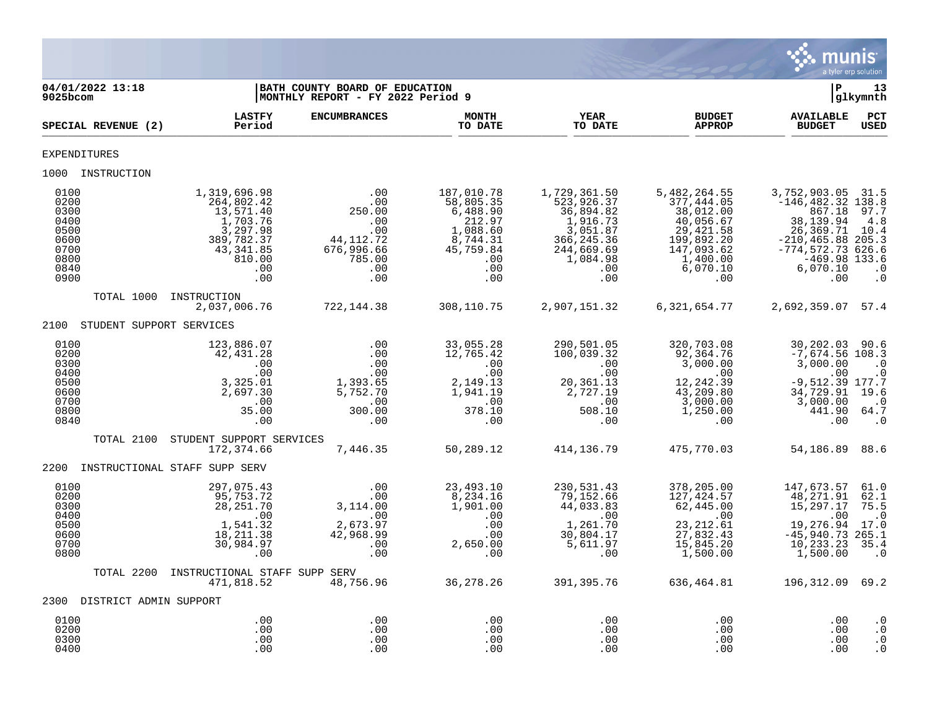

| 04/01/2022 13:18<br>$9025$ bcom                                              |                                                                                                                    | BATH COUNTY BOARD OF EDUCATION<br>MONTHLY REPORT - FY 2022 Period 9                                     |                                                                                                         |                                                                                                                                          |                                                                                                                               | l P                                                                                                                                                                  | 13<br> glkymnth                                                  |
|------------------------------------------------------------------------------|--------------------------------------------------------------------------------------------------------------------|---------------------------------------------------------------------------------------------------------|---------------------------------------------------------------------------------------------------------|------------------------------------------------------------------------------------------------------------------------------------------|-------------------------------------------------------------------------------------------------------------------------------|----------------------------------------------------------------------------------------------------------------------------------------------------------------------|------------------------------------------------------------------|
| SPECIAL REVENUE (2)                                                          | <b>LASTFY</b><br>Period                                                                                            | <b>ENCUMBRANCES</b>                                                                                     | <b>MONTH</b><br>TO DATE                                                                                 | <b>YEAR</b><br>TO DATE                                                                                                                   | <b>BUDGET</b><br><b>APPROP</b>                                                                                                | <b>AVAILABLE</b><br><b>BUDGET</b>                                                                                                                                    | $_{\rm PCT}$<br><b>USED</b>                                      |
| <b>EXPENDITURES</b>                                                          |                                                                                                                    |                                                                                                         |                                                                                                         |                                                                                                                                          |                                                                                                                               |                                                                                                                                                                      |                                                                  |
| 1000 INSTRUCTION                                                             |                                                                                                                    |                                                                                                         |                                                                                                         |                                                                                                                                          |                                                                                                                               |                                                                                                                                                                      |                                                                  |
| 0100<br>0200<br>0300<br>0400<br>0500<br>0600<br>0700<br>0800<br>0840<br>0900 | 1,319,696.98<br>264,802.42<br>13,571.40<br>1,703.76<br>3,297.98<br>389,782.37<br>43,341.85<br>810.00<br>.00<br>.00 | .00<br>.00<br>250.00<br>.00<br>.00<br>44, 112. 72<br>676,996.66<br>785.00<br>.00<br>.00                 | 187,010.78<br>58,805.35<br>6,488.90<br>212.97<br>1,088.60<br>8,744.31<br>45,759.84<br>.00<br>.00<br>.00 | 1,729,361.50<br>523,926.37<br>36,894.82<br>1,916.73<br>3,051.87<br>366, 245.36<br>244,669.69<br>1,084.98<br>$\cdot$ 00<br>.00            | 5,482,264.55<br>377,444.05<br>38,012.00<br>40,056.67<br>29, 421.58<br>199,892.20<br>147,093.62<br>1,400.00<br>6,070.10<br>.00 | 3,752,903.05 31.5<br>$-146, 482.32$ 138.8<br>867.18<br>38, 139.94<br>26,369.71<br>$-210, 465.88$ 205.3<br>$-774, 572.73$ 626.6<br>$-469.98$ 133.6<br>6,070.10<br>.00 | 97.7<br>4.8<br>10.4<br>$\cdot$ 0<br>$\cdot$ 0                    |
| TOTAL 1000                                                                   | INSTRUCTION<br>2,037,006.76                                                                                        | 722, 144.38                                                                                             | 308,110.75                                                                                              | 2,907,151.32                                                                                                                             | 6,321,654.77                                                                                                                  | 2,692,359.07 57.4                                                                                                                                                    |                                                                  |
| 2100 STUDENT SUPPORT SERVICES                                                |                                                                                                                    |                                                                                                         |                                                                                                         |                                                                                                                                          |                                                                                                                               |                                                                                                                                                                      |                                                                  |
| 0100<br>0200<br>0300<br>0400<br>0500<br>0600<br>0700<br>0800<br>0840         | 123,886.07<br>42,431.28<br>.00<br>.00<br>3,325.01<br>2,697.30<br>.00<br>35.00<br>.00                               | .00<br>.00<br>.00<br>.00<br>1,393.65<br>5,752.70<br>$\sim 00$<br>300.00<br>$\overline{\phantom{0}}$ .00 | 33,055.28<br>12,765.42<br>.00<br>.00<br>2,149.13<br>1,941.19<br>378.10<br>378.10<br>.00                 | 290,501.05<br>100,039.32<br>$\sim 00$<br>.00<br>20,361.13<br>2,727.19<br>$\begin{array}{c} 0.00 \\ -508.10 \end{array}$<br>508.10<br>.00 | 320,703.08<br>92,364.76<br>3,000.00<br>.00<br>12,242.39<br>$43,209.80$<br>3,000.00<br>1,250.00<br>$.00\,$                     | 30,202.03<br>$-7,674.56$ 108.3<br>3,000.00<br>.00<br>$-9,512.39$ 177.7<br>34,729.91<br>3,000.00<br>441.90 64.7<br>.00                                                | 90.6<br>$\cdot$ 0<br>$\cdot$ 0<br>19.6<br>$\cdot$ 0<br>$\cdot$ 0 |
| TOTAL 2100                                                                   | STUDENT SUPPORT SERVICES<br>172,374.66                                                                             | 7,446.35                                                                                                | 50,289.12                                                                                               | 414,136.79                                                                                                                               | 475,770.03                                                                                                                    | 54,186.89                                                                                                                                                            | 88.6                                                             |
|                                                                              | 2200 INSTRUCTIONAL STAFF SUPP SERV                                                                                 |                                                                                                         |                                                                                                         |                                                                                                                                          |                                                                                                                               |                                                                                                                                                                      |                                                                  |
| 0100<br>0200<br>0300<br>0400<br>0500<br>0600<br>0700<br>0800                 | 297,075.43<br>95,753.72<br>28, 251.70<br>.00<br>1,541.32<br>18, 211.38<br>30,984.97<br>.00                         | .00<br>.00<br>3,114.00<br>.00<br>2,673.97<br>42,968.99<br>.00<br>.00                                    | 23,493.10<br>8,234.16<br>1,901.00<br>.00<br>.00<br>.00<br>2,650.00<br>.00                               | 230,531.43<br>79,152.66<br>44,033.83<br>.00<br>1,261.70<br>30,804.17<br>5,611.97<br>.00                                                  | 378,205.00<br>127,424.57<br>62,445.00<br>$\sim$ 00<br>23, 212.61<br>27,832.43<br>15,845.20<br>1,500.00                        | 147,673.57<br>48, 271.91<br>15,297.17<br>.00<br>19,276.94<br>$-45,940.73$ 265.1<br>10, 233.23<br>1,500.00                                                            | 61.0<br>62.1<br>75.5<br>$\cdot$ 0<br>17.0<br>35.4<br>$\cdot$ 0   |
| TOTAL 2200                                                                   | INSTRUCTIONAL STAFF SUPP SERV<br>471,818.52                                                                        | 48,756.96                                                                                               | 36,278.26                                                                                               | 391,395.76                                                                                                                               | 636,464.81                                                                                                                    | 196, 312.09 69.2                                                                                                                                                     |                                                                  |
| 2300 DISTRICT ADMIN SUPPORT                                                  |                                                                                                                    |                                                                                                         |                                                                                                         |                                                                                                                                          |                                                                                                                               |                                                                                                                                                                      |                                                                  |
| 0100<br>0200<br>0300<br>0400                                                 | .00<br>.00<br>.00<br>.00                                                                                           | .00<br>.00<br>.00<br>.00                                                                                | .00<br>.00<br>.00<br>.00                                                                                | .00<br>.00<br>.00<br>.00                                                                                                                 | .00<br>.00<br>.00<br>.00                                                                                                      | .00<br>.00<br>.00<br>.00                                                                                                                                             | $\cdot$ 0<br>$\cdot$ 0<br>$\cdot$ 0<br>$\cdot$ 0                 |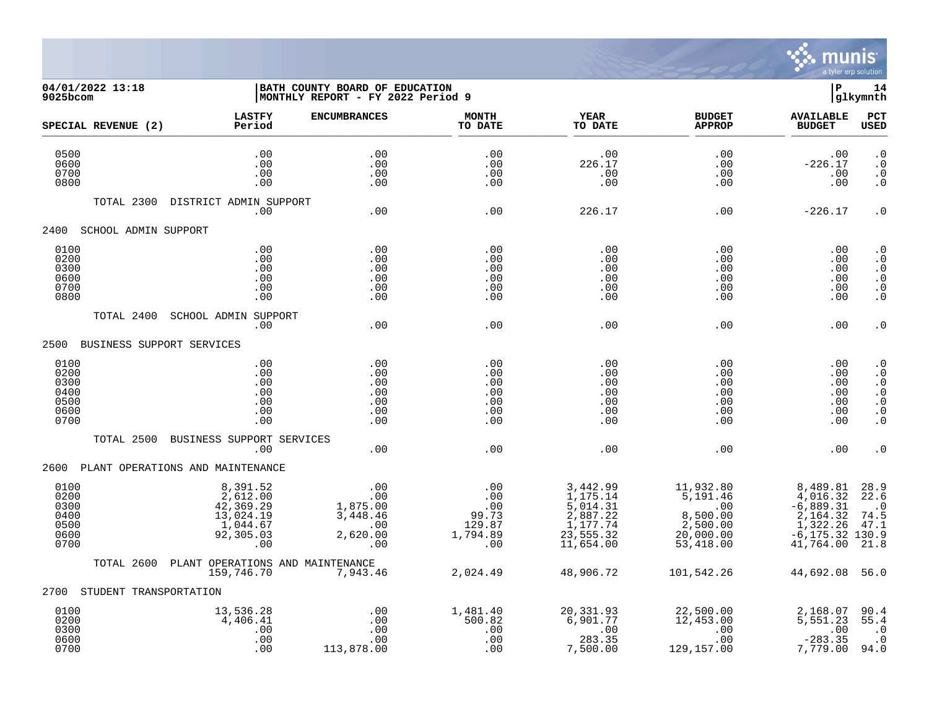

## **04/01/2022 13:18 |BATH COUNTY BOARD OF EDUCATION |P 14 9025bcom |MONTHLY REPORT - FY 2022 Period 9 |glkymnth**

| SPECIAL REVENUE (2)                                  | <b>LASTFY</b><br>Period                                                        | <b>ENCUMBRANCES</b>                                          | <b>MONTH</b><br>TO DATE                                   | <b>YEAR</b><br>TO DATE                                                                             | <b>BUDGET</b><br><b>APPROP</b>                                          | <b>AVAILABLE</b><br><b>BUDGET</b>                                                              | PCT<br><b>USED</b>                                                                      |
|------------------------------------------------------|--------------------------------------------------------------------------------|--------------------------------------------------------------|-----------------------------------------------------------|----------------------------------------------------------------------------------------------------|-------------------------------------------------------------------------|------------------------------------------------------------------------------------------------|-----------------------------------------------------------------------------------------|
| 0500<br>0600<br>0700<br>0800                         | .00<br>.00<br>.00<br>.00                                                       | .00<br>.00<br>.00<br>.00                                     | .00<br>.00<br>.00<br>.00                                  | .00<br>226.17<br>.00<br>.00                                                                        | .00<br>.00<br>.00<br>$.00 \,$                                           | .00<br>$-226.17$<br>.00<br>.00                                                                 | $\cdot$ 0<br>$\cdot$ 0<br>$\cdot$ 0<br>$\cdot$ 0                                        |
| TOTAL 2300                                           | DISTRICT ADMIN SUPPORT<br>.00                                                  | .00                                                          | .00                                                       | 226.17                                                                                             | .00                                                                     | $-226.17$                                                                                      | $\cdot$ 0                                                                               |
| 2400<br>SCHOOL ADMIN SUPPORT                         |                                                                                |                                                              |                                                           |                                                                                                    |                                                                         |                                                                                                |                                                                                         |
| 0100<br>0200<br>0300<br>0600<br>0700<br>0800         | .00<br>.00<br>.00<br>.00<br>.00<br>.00                                         | .00<br>.00<br>.00<br>.00<br>.00<br>.00                       | .00<br>.00<br>.00<br>.00<br>.00<br>.00                    | .00<br>.00<br>.00<br>.00<br>.00<br>.00                                                             | .00<br>.00<br>.00<br>.00<br>.00<br>.00                                  | .00<br>.00<br>.00<br>.00<br>.00<br>.00                                                         | $\cdot$ 0<br>$\cdot$ 0<br>$\cdot$ 0<br>$\cdot$ 0<br>$\cdot$ 0<br>$\cdot$ 0              |
| TOTAL 2400                                           | SCHOOL ADMIN SUPPORT<br>.00                                                    | .00                                                          | .00                                                       | .00                                                                                                | .00                                                                     | .00                                                                                            | $\cdot$ 0                                                                               |
| 2500<br>BUSINESS SUPPORT SERVICES                    |                                                                                |                                                              |                                                           |                                                                                                    |                                                                         |                                                                                                |                                                                                         |
| 0100<br>0200<br>0300<br>0400<br>0500<br>0600<br>0700 | .00<br>.00<br>.00<br>.00<br>.00<br>.00<br>.00                                  | .00<br>.00<br>.00<br>.00<br>.00<br>.00<br>.00                | .00<br>.00<br>.00<br>.00<br>.00<br>.00<br>.00             | .00<br>.00<br>.00<br>.00<br>.00<br>.00<br>.00                                                      | .00<br>$.00 \,$<br>.00<br>.00<br>.00<br>.00<br>$.00 \,$                 | .00<br>.00<br>.00<br>.00<br>.00<br>.00<br>.00                                                  | $\cdot$ 0<br>$\cdot$ 0<br>$\cdot$ 0<br>$\cdot$ 0<br>$\cdot$ 0<br>$\cdot$ 0<br>$\cdot$ 0 |
| TOTAL 2500                                           | BUSINESS SUPPORT SERVICES<br>.00                                               | .00                                                          | .00                                                       | .00                                                                                                | .00                                                                     | .00                                                                                            | . 0                                                                                     |
|                                                      | 2600 PLANT OPERATIONS AND MAINTENANCE                                          |                                                              |                                                           |                                                                                                    |                                                                         |                                                                                                |                                                                                         |
| 0100<br>0200<br>0300<br>0400<br>0500<br>0600<br>0700 | 8,391.52<br>2,612.00<br>42,369.29<br>13,024.19<br>1,044.67<br>92,305.03<br>.00 | .00<br>.00<br>1,875.00<br>3,448.46<br>.00<br>2,620.00<br>00. | .00<br>$00$<br>$00$<br>99.73<br>129.87<br>1,794.89<br>.00 | 3,442.99<br>1,175.14<br>$\frac{1}{2}$ , 014.31<br>2, 887.22<br>1, 177.74<br>23,555.32<br>11,654.00 | 11,932.80<br>5,191.46<br>8,500.00<br>2,500.00<br>20,000.00<br>53,418.00 | 8,489.81<br>4,016.32<br>$-6,889.31$<br>2,164.32<br>1,322.26<br>$-6, 175.32$ 130.9<br>41,764.00 | 28.9<br>22.6<br>$\cdot$ 0<br>74.5<br>47.1<br>21.8                                       |
| TOTAL 2600                                           | PLANT OPERATIONS AND MAINTENANCE<br>159,746.70                                 | 7,943.46                                                     | 2,024.49                                                  | 48,906.72                                                                                          | 101,542.26                                                              | 44,692.08                                                                                      | 56.0                                                                                    |
| STUDENT TRANSPORTATION<br>2700                       |                                                                                |                                                              |                                                           |                                                                                                    |                                                                         |                                                                                                |                                                                                         |
| 0100<br>0200<br>0300<br>0600<br>0700                 | 13,536.28<br>4,406.41<br>.00<br>.00<br>.00                                     | $\,.\,00$<br>.00<br>.00<br>.00<br>113,878.00                 | 1,481.40<br>500.82<br>.00<br>.00<br>.00                   | 20,331.93<br>6,901.77<br>.00<br>283.35<br>7,500.00                                                 | 22,500.00<br>12,453.00<br>.00<br>.00<br>129,157.00                      | 2,168.07<br>5,551.23<br>.00<br>$-283.35$<br>7,779.00                                           | 90.4<br>55.4<br>$\cdot$ 0<br>$\cdot$ 0<br>94.0                                          |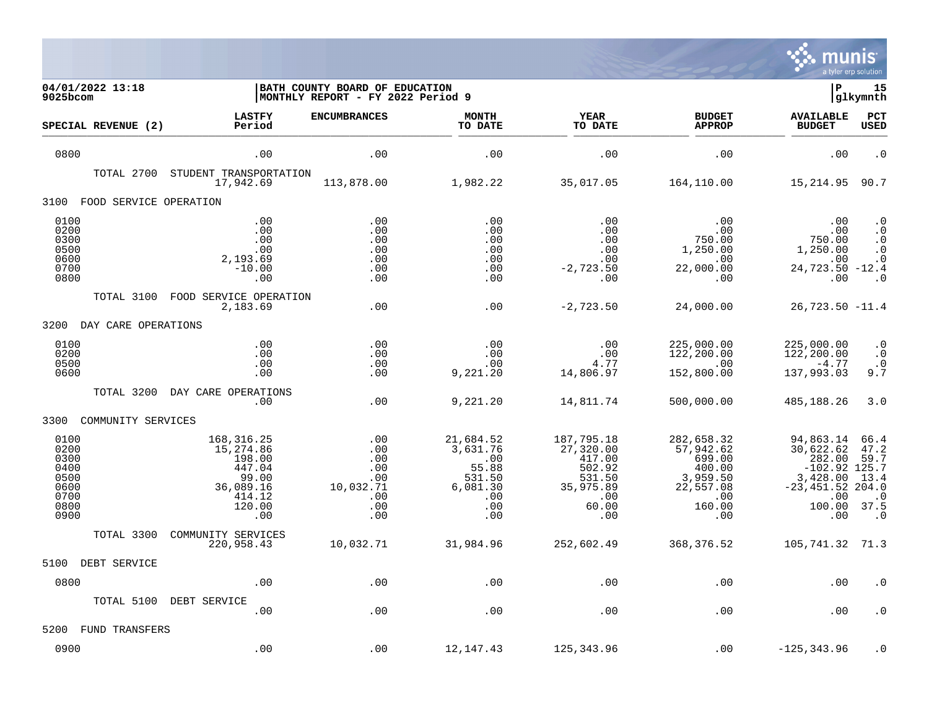

| 04/01/2022 13:18<br>$9025$ bcom                                      |                                                                                                | BATH COUNTY BOARD OF EDUCATION<br> MONTHLY REPORT - FY 2022 Period 9 |                                                                                  |                                                                                           |                                                                                              | ΙP                                                                                                             | 15<br> glkymnth                                                |
|----------------------------------------------------------------------|------------------------------------------------------------------------------------------------|----------------------------------------------------------------------|----------------------------------------------------------------------------------|-------------------------------------------------------------------------------------------|----------------------------------------------------------------------------------------------|----------------------------------------------------------------------------------------------------------------|----------------------------------------------------------------|
| SPECIAL REVENUE (2)                                                  | <b>LASTFY</b><br>Period                                                                        | <b>ENCUMBRANCES</b>                                                  | <b>MONTH</b><br>TO DATE                                                          | <b>YEAR</b><br>TO DATE                                                                    | <b>BUDGET</b><br><b>APPROP</b>                                                               | <b>AVAILABLE</b><br><b>BUDGET</b>                                                                              | PCT<br>USED                                                    |
| 0800                                                                 | .00                                                                                            | .00                                                                  | .00                                                                              | .00                                                                                       | .00                                                                                          | .00                                                                                                            | $\cdot$ 0                                                      |
| TOTAL 2700                                                           | STUDENT TRANSPORTATION<br>17,942.69                                                            | 113,878.00                                                           | 1,982.22                                                                         | 35,017.05                                                                                 | 164,110.00                                                                                   | 15,214.95                                                                                                      | 90.7                                                           |
| FOOD SERVICE OPERATION<br>3100                                       |                                                                                                |                                                                      |                                                                                  |                                                                                           |                                                                                              |                                                                                                                |                                                                |
| 0100<br>0200<br>0300<br>0500<br>0600<br>0700<br>0800                 | .00<br>.00<br>.00<br>.00<br>2,193.69<br>$-10.00$<br>.00                                        | .00<br>.00<br>.00<br>.00<br>.00<br>.00<br>.00                        | .00<br>.00<br>.00<br>.00<br>.00<br>.00<br>.00                                    | .00<br>.00<br>.00<br>.00<br>.00<br>$-2,723.50$<br>.00                                     | .00<br>.00<br>750.00<br>1,250.00<br>.00<br>22,000.00<br>.00                                  | .00<br>.00<br>750.00<br>1,250.00<br>.00<br>24,723.50 -12.4<br>.00                                              | $\cdot$ 0<br>$\cdot$ 0<br>$\cdot$ 0<br>. 0<br>$\cdot$ 0<br>. 0 |
| TOTAL 3100                                                           | FOOD SERVICE OPERATION<br>2,183.69                                                             | .00                                                                  | .00                                                                              | $-2,723.50$                                                                               | 24,000.00                                                                                    | $26,723.50 -11.4$                                                                                              |                                                                |
| 3200<br>DAY CARE OPERATIONS                                          |                                                                                                |                                                                      |                                                                                  |                                                                                           |                                                                                              |                                                                                                                |                                                                |
| 0100<br>0200<br>0500<br>0600                                         | .00<br>.00<br>.00<br>.00                                                                       | .00<br>.00<br>.00<br>.00                                             | .00<br>.00<br>.00<br>9,221.20                                                    | .00<br>.00<br>4.77<br>14,806.97                                                           | 225,000.00<br>122,200.00<br>.00<br>152,800.00                                                | 225,000.00<br>122,200.00<br>$-4.77$<br>137,993.03                                                              | $\boldsymbol{\cdot}$ 0<br>$\cdot$ 0<br>$\cdot$ 0<br>9.7        |
| TOTAL 3200                                                           | DAY CARE OPERATIONS<br>.00                                                                     | .00                                                                  | 9,221.20                                                                         | 14,811.74                                                                                 | 500,000.00                                                                                   | 485,188.26                                                                                                     | 3.0                                                            |
| 3300<br>COMMUNITY SERVICES                                           |                                                                                                |                                                                      |                                                                                  |                                                                                           |                                                                                              |                                                                                                                |                                                                |
| 0100<br>0200<br>0300<br>0400<br>0500<br>0600<br>0700<br>0800<br>0900 | 168, 316. 25<br>15,274.86<br>198.00<br>447.04<br>99.00<br>36,089.16<br>414.12<br>120.00<br>.00 | .00<br>.00<br>.00<br>.00<br>.00<br>10,032.71<br>.00<br>.00<br>.00    | 21,684.52<br>3,631.76<br>.00<br>55.88<br>531.50<br>6,081.30<br>.00<br>.00<br>.00 | 187,795.18<br>27,320.00<br>417.00<br>502.92<br>531.50<br>35,975.89<br>.00<br>60.00<br>.00 | 282,658.32<br>57,942.62<br>699.00<br>400.00<br>3,959.50<br>22,557.08<br>.00<br>160.00<br>.00 | 94,863.14<br>30,622.62<br>282.00<br>$-102.92$ 125.7<br>3,428.00<br>$-23, 451.52 204.0$<br>.00<br>100.00<br>.00 | 66.4<br>47.2<br>59.7<br>13.4<br>$\cdot$ 0<br>37.5<br>$\cdot$ 0 |
| TOTAL 3300                                                           | COMMUNITY SERVICES<br>220,958.43                                                               | 10,032.71                                                            | 31,984.96                                                                        | 252,602.49                                                                                | 368, 376.52                                                                                  | 105, 741.32 71.3                                                                                               |                                                                |
| DEBT SERVICE<br>5100                                                 |                                                                                                |                                                                      |                                                                                  |                                                                                           |                                                                                              |                                                                                                                |                                                                |
| 0800                                                                 | .00                                                                                            | .00                                                                  | .00                                                                              | .00                                                                                       | .00                                                                                          | .00                                                                                                            | . 0                                                            |
| TOTAL 5100                                                           | DEBT SERVICE<br>.00                                                                            | .00                                                                  | .00                                                                              | .00                                                                                       | .00                                                                                          | .00                                                                                                            | $\cdot$ 0                                                      |
| 5200<br>FUND TRANSFERS                                               |                                                                                                |                                                                      |                                                                                  |                                                                                           |                                                                                              |                                                                                                                |                                                                |
| 0900                                                                 | .00                                                                                            | .00                                                                  | 12,147.43                                                                        | 125,343.96                                                                                | .00                                                                                          | $-125, 343.96$                                                                                                 | . 0                                                            |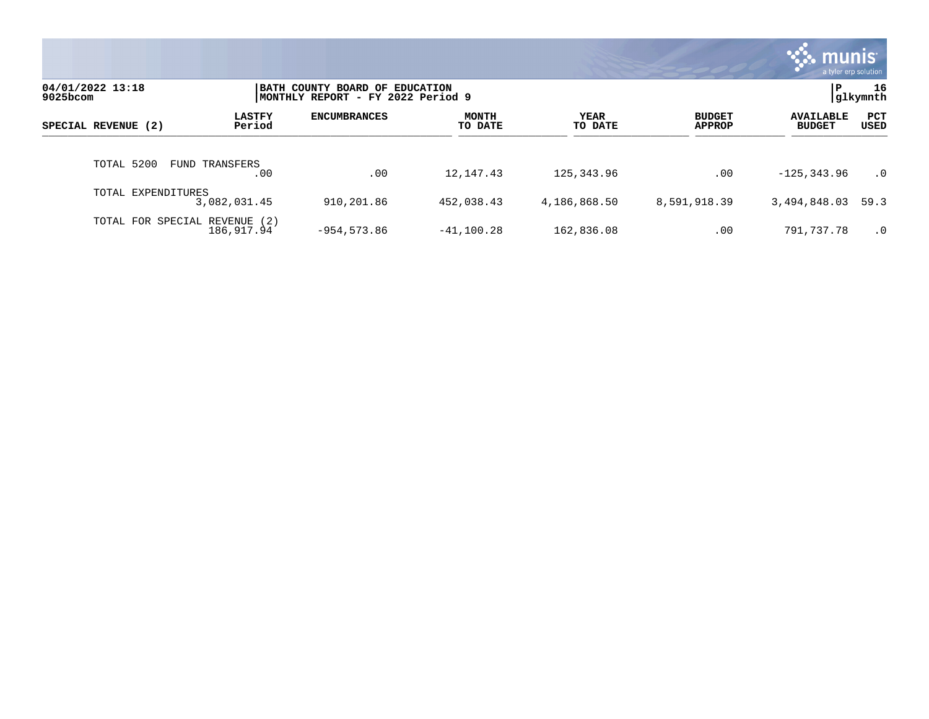|                               |                         |                                                                     |                         |                        |                                | munis l<br>a tyler erp solution   |                |
|-------------------------------|-------------------------|---------------------------------------------------------------------|-------------------------|------------------------|--------------------------------|-----------------------------------|----------------|
| 04/01/2022 13:18<br>9025bcom  |                         | BATH COUNTY BOARD OF EDUCATION<br>MONTHLY REPORT - FY 2022 Period 9 |                         |                        |                                | l P                               | 16<br>glkymnth |
| SPECIAL REVENUE (2)           | <b>LASTFY</b><br>Period | <b>ENCUMBRANCES</b>                                                 | <b>MONTH</b><br>TO DATE | <b>YEAR</b><br>TO DATE | <b>BUDGET</b><br><b>APPROP</b> | <b>AVAILABLE</b><br><b>BUDGET</b> | PCT<br>USED    |
| TOTAL 5200                    | FUND TRANSFERS<br>.00   | .00                                                                 | 12, 147. 43             | 125,343.96             | .00                            | $-125, 343.96$                    | $\cdot$ 0      |
| TOTAL EXPENDITURES            | 3,082,031.45            | 910,201.86                                                          | 452,038.43              | 4,186,868.50           | 8,591,918.39                   | 3,494,848.03                      | 59.3           |
| TOTAL FOR SPECIAL REVENUE (2) | 186, 917.94             | $-954, 573.86$                                                      | $-41, 100.28$           | 162,836.08             | .00                            | 791,737.78                        | $\cdot$ 0      |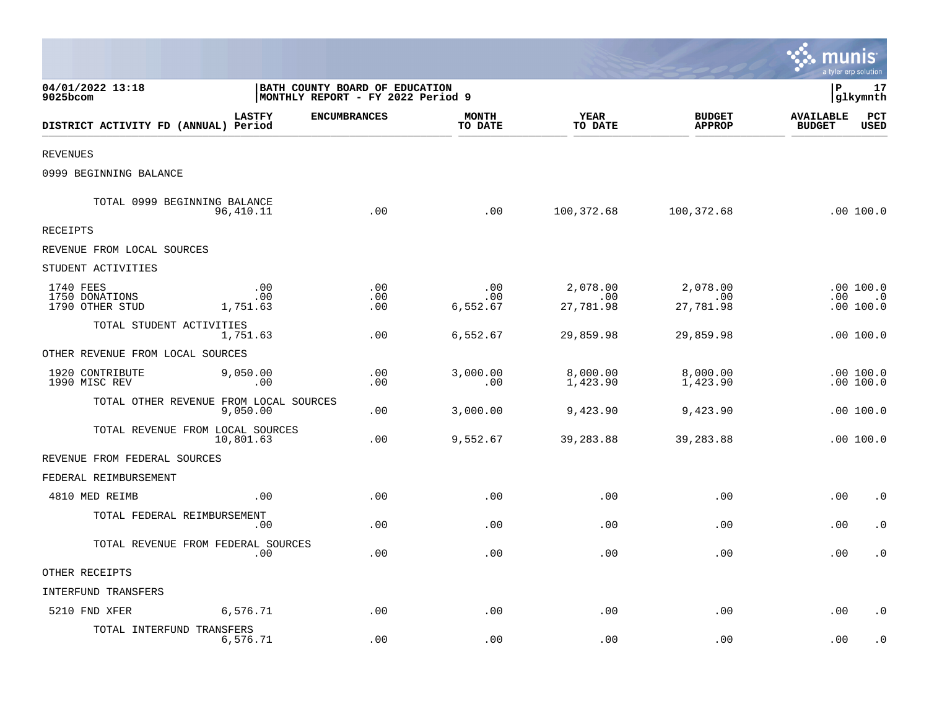|                                                |                                                    |                                                                     |                         |                              |                                | <b>::: munis</b>                  | a tyler erp solution               |
|------------------------------------------------|----------------------------------------------------|---------------------------------------------------------------------|-------------------------|------------------------------|--------------------------------|-----------------------------------|------------------------------------|
| 04/01/2022 13:18<br>$9025$ bcom                |                                                    | BATH COUNTY BOARD OF EDUCATION<br>MONTHLY REPORT - FY 2022 Period 9 |                         |                              |                                | l P                               | 17<br> glkymnth                    |
| DISTRICT ACTIVITY FD (ANNUAL) Period           | <b>LASTFY</b>                                      | <b>ENCUMBRANCES</b>                                                 | <b>MONTH</b><br>TO DATE | YEAR<br>TO DATE              | <b>BUDGET</b><br><b>APPROP</b> | <b>AVAILABLE</b><br><b>BUDGET</b> | PCT<br><b>USED</b>                 |
| <b>REVENUES</b>                                |                                                    |                                                                     |                         |                              |                                |                                   |                                    |
| 0999 BEGINNING BALANCE                         |                                                    |                                                                     |                         |                              |                                |                                   |                                    |
| TOTAL 0999 BEGINNING BALANCE                   | 96,410.11                                          | .00                                                                 | .00                     | 100,372.68                   | 100,372.68                     |                                   | .00100.0                           |
| RECEIPTS                                       |                                                    |                                                                     |                         |                              |                                |                                   |                                    |
| REVENUE FROM LOCAL SOURCES                     |                                                    |                                                                     |                         |                              |                                |                                   |                                    |
| STUDENT ACTIVITIES                             |                                                    |                                                                     |                         |                              |                                |                                   |                                    |
| 1740 FEES<br>1750 DONATIONS<br>1790 OTHER STUD | .00<br>.00<br>1,751.63                             | .00<br>.00<br>.00                                                   | .00<br>.00<br>6,552.67  | 2,078.00<br>.00<br>27,781.98 | 2,078.00<br>.00<br>27,781.98   |                                   | .00 100.0<br>$.00$ .0<br>.00 100.0 |
| TOTAL STUDENT ACTIVITIES                       | 1,751.63                                           | .00                                                                 | 6,552.67                | 29,859.98                    | 29,859.98                      |                                   | .00 100.0                          |
| OTHER REVENUE FROM LOCAL SOURCES               |                                                    |                                                                     |                         |                              |                                |                                   |                                    |
| 1920 CONTRIBUTE<br>1990 MISC REV               | 9,050.00<br>.00                                    | .00<br>.00                                                          | 3,000.00<br>.00         | 8,000.00<br>1,423.90         | 8,000.00<br>1,423.90           |                                   | .00 100.0<br>.00 100.0             |
|                                                | TOTAL OTHER REVENUE FROM LOCAL SOURCES<br>9,050.00 | .00                                                                 | 3,000.00                | 9,423.90                     | 9,423.90                       |                                   | .00100.0                           |
| TOTAL REVENUE FROM LOCAL SOURCES               | 10,801.63                                          | .00                                                                 | 9,552.67                | 39,283.88                    | 39,283.88                      |                                   | .00100.0                           |
| REVENUE FROM FEDERAL SOURCES                   |                                                    |                                                                     |                         |                              |                                |                                   |                                    |
| FEDERAL REIMBURSEMENT                          |                                                    |                                                                     |                         |                              |                                |                                   |                                    |
| 4810 MED REIMB                                 | .00                                                | .00                                                                 | .00                     | .00                          | .00                            | .00                               | $\cdot$ 0                          |
| TOTAL FEDERAL REIMBURSEMENT                    | .00                                                | .00                                                                 | .00                     | .00                          | .00                            | .00                               | $\cdot$ 0                          |
| TOTAL REVENUE FROM FEDERAL SOURCES             | .00                                                | .00                                                                 | .00                     | .00                          | .00                            | .00                               | $\cdot$ 0                          |
| OTHER RECEIPTS                                 |                                                    |                                                                     |                         |                              |                                |                                   |                                    |
| INTERFUND TRANSFERS                            |                                                    |                                                                     |                         |                              |                                |                                   |                                    |
| 5210 FND XFER                                  | 6,576.71                                           | .00                                                                 | .00                     | .00                          | .00                            | .00                               | $\cdot$ 0                          |
| TOTAL INTERFUND TRANSFERS                      | 6,576.71                                           | .00                                                                 | .00                     | .00                          | .00                            | .00                               | $\cdot$ 0                          |

and the contract of the contract of the contract of the contract of the contract of the contract of the contract of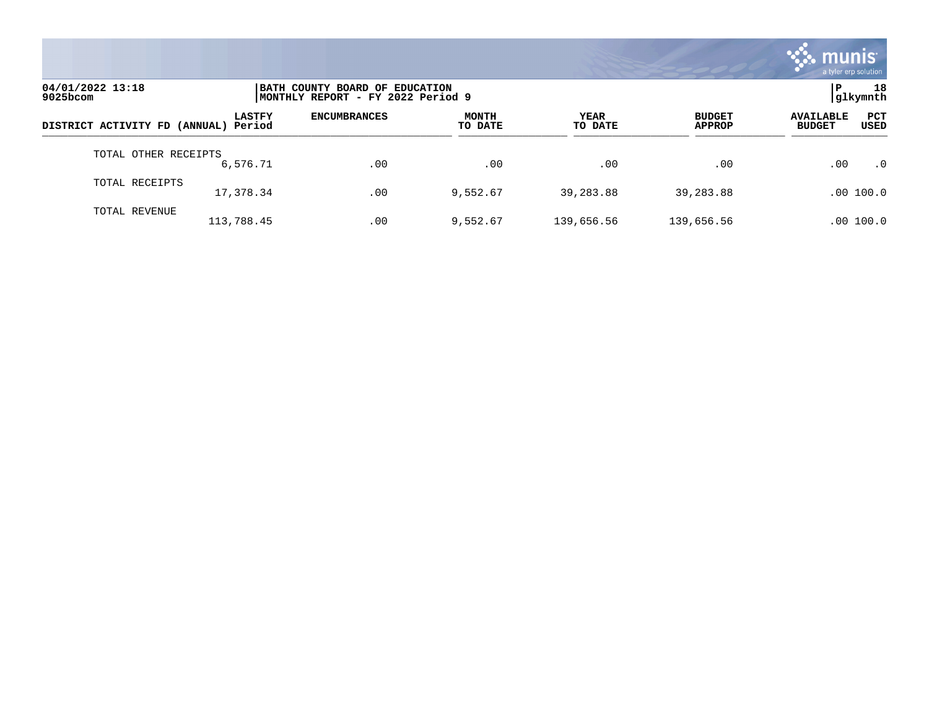

| 04/01/2022 13:18<br>$9025$ bcom      |               | BATH COUNTY BOARD OF EDUCATION<br>MONTHLY REPORT - FY 2022 Period 9 |                         |                 |                                |                                                         |           |  |
|--------------------------------------|---------------|---------------------------------------------------------------------|-------------------------|-----------------|--------------------------------|---------------------------------------------------------|-----------|--|
| DISTRICT ACTIVITY FD (ANNUAL) Period | <b>LASTFY</b> | <b>ENCUMBRANCES</b>                                                 | <b>MONTH</b><br>TO DATE | YEAR<br>TO DATE | <b>BUDGET</b><br><b>APPROP</b> | <b>PCT</b><br><b>AVAILABLE</b><br><b>BUDGET</b><br>USED |           |  |
| TOTAL OTHER RECEIPTS                 | 6,576.71      | .00                                                                 | .00                     | .00             | .00                            | .00                                                     | $\cdot$ 0 |  |
| TOTAL RECEIPTS                       | 17,378.34     | .00                                                                 | 9,552.67                | 39,283.88       | 39,283.88                      | .00 100.0                                               |           |  |
| TOTAL REVENUE                        | 113,788.45    | .00                                                                 | 9,552.67                | 139,656.56      | 139,656.56                     | .00 100.0                                               |           |  |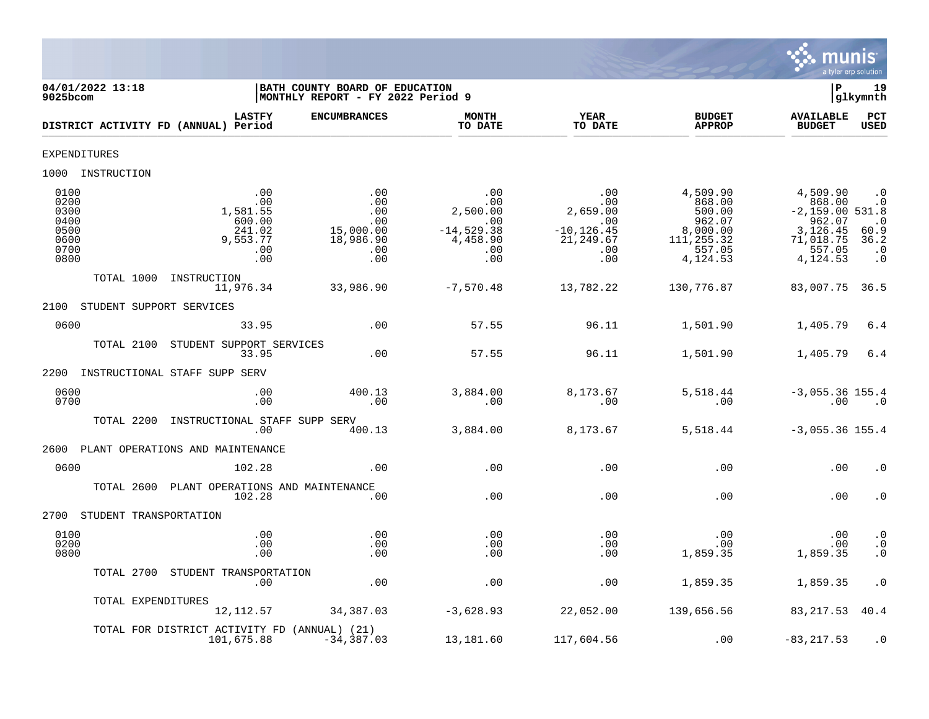

| 04/01/2022 13:18<br>9025bcom                                 |                                                                      | BATH COUNTY BOARD OF EDUCATION<br>MONTHLY REPORT - FY 2022 Period 9 |                                                                         |                                                                                |                                                                                         | ΙP                                                                                               | 19<br>glkymnth                                                                |
|--------------------------------------------------------------|----------------------------------------------------------------------|---------------------------------------------------------------------|-------------------------------------------------------------------------|--------------------------------------------------------------------------------|-----------------------------------------------------------------------------------------|--------------------------------------------------------------------------------------------------|-------------------------------------------------------------------------------|
| DISTRICT ACTIVITY FD (ANNUAL) Period                         | <b>LASTFY</b>                                                        | <b>ENCUMBRANCES</b>                                                 | <b>MONTH</b><br>TO DATE                                                 | <b>YEAR</b><br>TO DATE                                                         | <b>BUDGET</b><br><b>APPROP</b>                                                          | <b>AVAILABLE</b><br><b>BUDGET</b>                                                                | <b>PCT</b><br>USED                                                            |
| <b>EXPENDITURES</b>                                          |                                                                      |                                                                     |                                                                         |                                                                                |                                                                                         |                                                                                                  |                                                                               |
| 1000 INSTRUCTION                                             |                                                                      |                                                                     |                                                                         |                                                                                |                                                                                         |                                                                                                  |                                                                               |
| 0100<br>0200<br>0300<br>0400<br>0500<br>0600<br>0700<br>0800 | .00<br>.00<br>1,581.55<br>600.00<br>241.02<br>9,553.77<br>.00<br>.00 | .00<br>.00<br>.00<br>.00<br>15,000.00<br>18,986.90<br>.00<br>.00    | .00<br>.00<br>2,500.00<br>.00<br>$-14,529.38$<br>4,458.90<br>.00<br>.00 | .00<br>.00<br>2,659.00<br>$\ldots$<br>$-10, 126.45$<br>21,249.67<br>.00<br>.00 | 4,509.90<br>868.00<br>500.00<br>962.07<br>8,000.00<br>111, 255.32<br>557.05<br>4,124.53 | 4,509.90<br>868.00<br>$-2,159.00 531.8$<br>962.07<br>3,126.45<br>71,018.75<br>557.05<br>4,124.53 | $\cdot$ 0<br>$\cdot$ 0<br>$\cdot$ 0<br>60.9<br>36.2<br>$\cdot$ 0<br>$\cdot$ 0 |
| TOTAL 1000<br>INSTRUCTION                                    | 11,976.34                                                            | 33,986.90                                                           | $-7,570.48$                                                             | 13,782.22                                                                      | 130,776.87                                                                              | 83,007.75                                                                                        | 36.5                                                                          |
| 2100<br>STUDENT SUPPORT SERVICES                             |                                                                      |                                                                     |                                                                         |                                                                                |                                                                                         |                                                                                                  |                                                                               |
| 0600                                                         | 33.95                                                                | .00                                                                 | 57.55                                                                   | 96.11                                                                          | 1,501.90                                                                                | 1,405.79                                                                                         | 6.4                                                                           |
| TOTAL 2100<br>STUDENT SUPPORT SERVICES                       | 33.95                                                                | .00                                                                 | 57.55                                                                   | 96.11                                                                          | 1,501.90                                                                                | 1,405.79                                                                                         | 6.4                                                                           |
| 2200<br>INSTRUCTIONAL STAFF SUPP SERV                        |                                                                      |                                                                     |                                                                         |                                                                                |                                                                                         |                                                                                                  |                                                                               |
| 0600<br>0700                                                 | .00<br>.00                                                           | 400.13<br>$\overline{00}$                                           | 3,884.00<br>.00                                                         | 8,173.67<br>.00                                                                | 5,518.44<br>.00                                                                         | $-3,055.36$ 155.4<br>.00                                                                         | $\cdot$ 0                                                                     |
| TOTAL 2200<br>INSTRUCTIONAL STAFF SUPP SERV                  | .00                                                                  | 400.13                                                              | 3,884.00                                                                | 8,173.67                                                                       | 5,518.44                                                                                | $-3,055.36$ 155.4                                                                                |                                                                               |
| 2600<br>PLANT OPERATIONS AND MAINTENANCE                     |                                                                      |                                                                     |                                                                         |                                                                                |                                                                                         |                                                                                                  |                                                                               |
| 0600                                                         | 102.28                                                               | .00                                                                 | .00                                                                     | .00                                                                            | .00                                                                                     | .00                                                                                              | $\cdot$ 0                                                                     |
| TOTAL 2600<br>PLANT OPERATIONS AND MAINTENANCE               | 102.28                                                               | .00                                                                 | .00                                                                     | .00                                                                            | .00                                                                                     | .00                                                                                              | $\cdot$ 0                                                                     |
| 2700 STUDENT TRANSPORTATION                                  |                                                                      |                                                                     |                                                                         |                                                                                |                                                                                         |                                                                                                  |                                                                               |
| 0100<br>0200<br>0800                                         | .00<br>.00<br>.00                                                    | .00<br>.00<br>.00                                                   | .00<br>.00<br>.00                                                       | .00<br>.00<br>.00                                                              | .00<br>.00<br>1,859.35                                                                  | .00<br>.00<br>1,859.35                                                                           | $\cdot$ 0<br>$\cdot$ 0<br>$\cdot$ 0                                           |
| TOTAL 2700 STUDENT TRANSPORTATION                            | .00                                                                  | .00                                                                 | .00                                                                     | .00                                                                            | 1,859.35                                                                                | 1,859.35                                                                                         | $\cdot$ 0                                                                     |
| TOTAL EXPENDITURES                                           | 12,112.57                                                            | 34,387.03                                                           | $-3,628.93$                                                             | 22,052.00                                                                      | 139,656.56                                                                              | 83, 217.53                                                                                       | 40.4                                                                          |
| TOTAL FOR DISTRICT ACTIVITY FD (ANNUAL) (21)<br>101,675.88   |                                                                      | $-34, 387.03$                                                       | 13,181.60                                                               | 117,604.56                                                                     | .00                                                                                     | $-83, 217.53$                                                                                    | $\cdot$ 0                                                                     |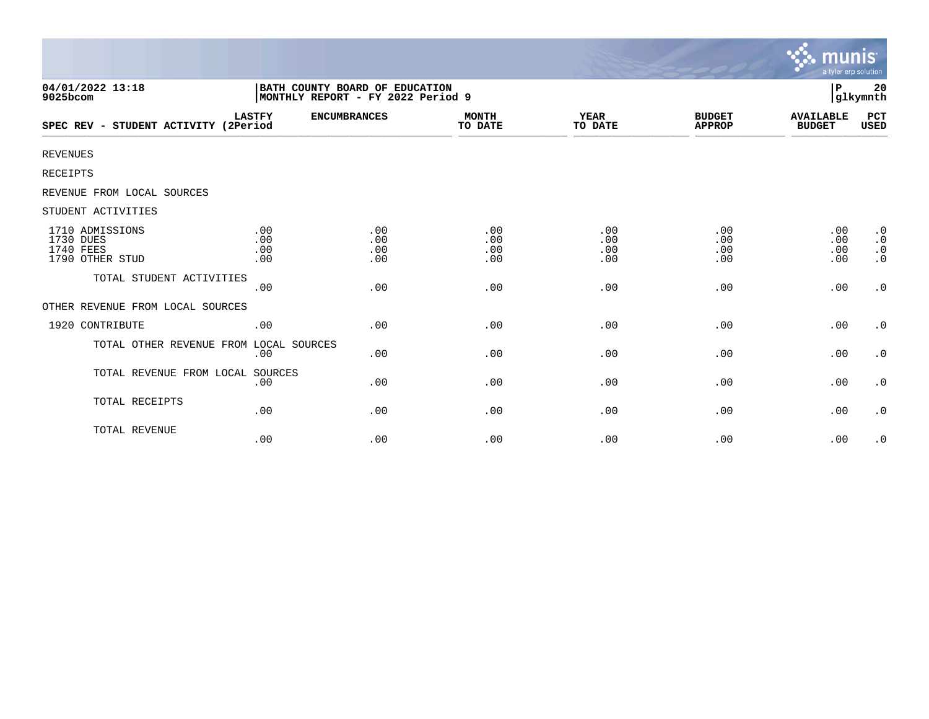|                                                              |                                                                     |                          |                          |                          |                                | <b>munis</b><br>a tyler erp solution |                                                  |
|--------------------------------------------------------------|---------------------------------------------------------------------|--------------------------|--------------------------|--------------------------|--------------------------------|--------------------------------------|--------------------------------------------------|
| 04/01/2022 13:18<br>9025bcom                                 | BATH COUNTY BOARD OF EDUCATION<br>MONTHLY REPORT - FY 2022 Period 9 |                          |                          |                          |                                | P                                    | 20<br>glkymnth                                   |
| SPEC REV - STUDENT ACTIVITY (2Period                         | <b>LASTFY</b>                                                       | <b>ENCUMBRANCES</b>      | <b>MONTH</b><br>TO DATE  | YEAR<br>TO DATE          | <b>BUDGET</b><br><b>APPROP</b> | <b>AVAILABLE</b><br><b>BUDGET</b>    | PCT<br>USED                                      |
| <b>REVENUES</b>                                              |                                                                     |                          |                          |                          |                                |                                      |                                                  |
| RECEIPTS                                                     |                                                                     |                          |                          |                          |                                |                                      |                                                  |
| REVENUE FROM LOCAL SOURCES                                   |                                                                     |                          |                          |                          |                                |                                      |                                                  |
| STUDENT ACTIVITIES                                           |                                                                     |                          |                          |                          |                                |                                      |                                                  |
| 1710 ADMISSIONS<br>1730 DUES<br>1740 FEES<br>1790 OTHER STUD | .00<br>.00<br>.00<br>.00                                            | .00<br>.00<br>.00<br>.00 | .00<br>.00<br>.00<br>.00 | .00<br>.00<br>.00<br>.00 | .00<br>.00<br>.00<br>.00       | .00<br>.00<br>.00<br>.00             | $\cdot$ 0<br>$\cdot$ 0<br>$\cdot$ 0<br>$\cdot$ 0 |
| TOTAL STUDENT ACTIVITIES                                     | .00                                                                 | .00                      | .00                      | .00                      | .00                            | .00                                  | $\boldsymbol{\cdot}$ 0                           |
| OTHER REVENUE FROM LOCAL SOURCES                             |                                                                     |                          |                          |                          |                                |                                      |                                                  |
| 1920 CONTRIBUTE                                              | .00                                                                 | .00                      | .00                      | .00                      | .00                            | .00                                  | $\cdot$ 0                                        |
| TOTAL OTHER REVENUE FROM LOCAL SOURCES                       | .00                                                                 | .00                      | .00                      | .00                      | .00                            | .00                                  | $\cdot$ 0                                        |
| TOTAL REVENUE FROM LOCAL SOURCES                             | .00                                                                 | .00                      | .00                      | .00                      | .00                            | .00                                  | $\cdot$ 0                                        |
| TOTAL RECEIPTS                                               | .00                                                                 | .00                      | .00                      | .00                      | .00                            | .00                                  | $\cdot$ 0                                        |
| TOTAL REVENUE                                                | .00                                                                 | .00                      | .00                      | .00                      | .00                            | .00                                  | $\cdot$ 0                                        |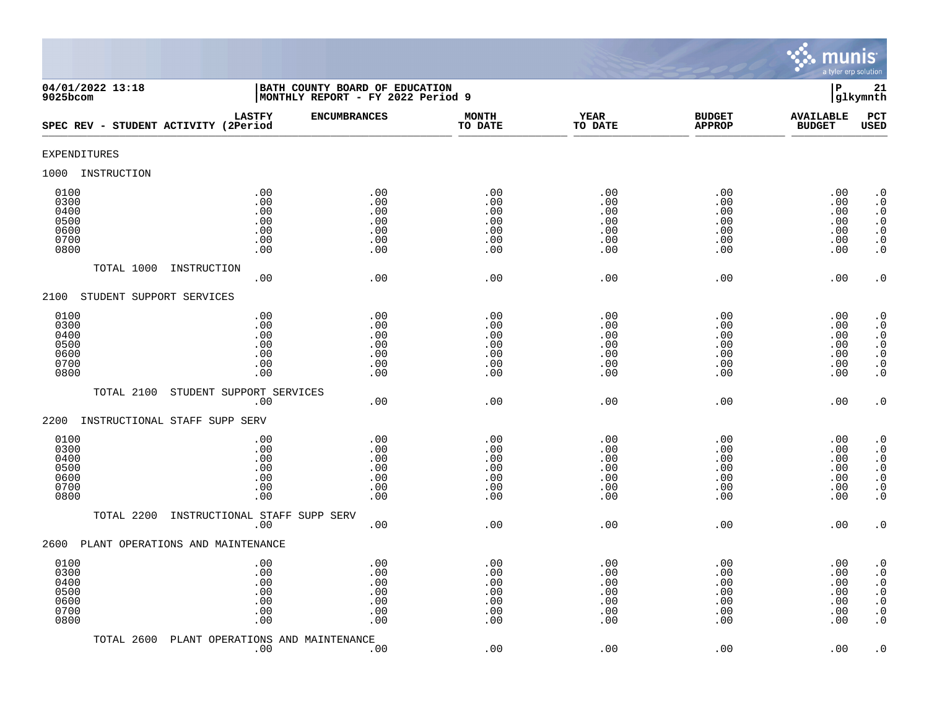

| 04/01/2022 13:18<br>$9025$ bcom                      |                                                 | BATH COUNTY BOARD OF EDUCATION<br>MONTHLY REPORT - FY 2022 Period 9 |                                               |                                               |                                               | ${\bf P}$                                     | 21<br>glkymnth                                                                                                                                    |
|------------------------------------------------------|-------------------------------------------------|---------------------------------------------------------------------|-----------------------------------------------|-----------------------------------------------|-----------------------------------------------|-----------------------------------------------|---------------------------------------------------------------------------------------------------------------------------------------------------|
| SPEC REV - STUDENT ACTIVITY (2Period                 | <b>LASTFY</b>                                   | <b>ENCUMBRANCES</b>                                                 | <b>MONTH</b><br>TO DATE                       | <b>YEAR</b><br>TO DATE                        | <b>BUDGET</b><br><b>APPROP</b>                | <b>AVAILABLE</b><br><b>BUDGET</b>             | PCT<br><b>USED</b>                                                                                                                                |
| <b>EXPENDITURES</b>                                  |                                                 |                                                                     |                                               |                                               |                                               |                                               |                                                                                                                                                   |
| 1000<br>INSTRUCTION                                  |                                                 |                                                                     |                                               |                                               |                                               |                                               |                                                                                                                                                   |
| 0100<br>0300<br>0400<br>0500<br>0600<br>0700<br>0800 | .00<br>.00<br>.00<br>$.00$<br>.00<br>.00<br>.00 | .00<br>.00<br>.00<br>.00<br>.00<br>.00<br>.00                       | .00<br>.00<br>.00<br>.00<br>.00<br>.00<br>.00 | .00<br>.00<br>.00<br>.00<br>.00<br>.00<br>.00 | .00<br>.00<br>.00<br>.00<br>.00<br>.00<br>.00 | .00<br>.00<br>.00<br>.00<br>.00<br>.00<br>.00 | $\cdot$ 0<br>$\boldsymbol{\cdot}$ 0<br>$\cdot$ 0<br>$\begin{smallmatrix} . & 0 \\ . & 0 \end{smallmatrix}$<br>$\boldsymbol{\cdot}$ 0<br>$\cdot$ 0 |
| TOTAL 1000                                           | INSTRUCTION<br>.00                              | .00                                                                 | .00                                           | .00                                           | .00                                           | .00                                           | $\cdot$ 0                                                                                                                                         |
| STUDENT SUPPORT SERVICES<br>2100                     |                                                 |                                                                     |                                               |                                               |                                               |                                               |                                                                                                                                                   |
| 0100<br>0300<br>0400<br>0500<br>0600<br>0700<br>0800 | .00<br>.00<br>.00<br>.00<br>.00<br>.00<br>.00   | .00<br>.00<br>.00<br>.00<br>.00<br>.00<br>.00                       | .00<br>.00<br>.00<br>.00<br>.00<br>.00<br>.00 | .00<br>.00<br>.00<br>.00<br>.00<br>.00<br>.00 | .00<br>.00<br>.00<br>.00<br>.00<br>.00<br>.00 | .00<br>.00<br>.00<br>.00<br>.00<br>.00<br>.00 | $\cdot$ 0<br>$\cdot$ 0<br>$\cdot$ 0<br>$\begin{array}{c} 0 \\ 0 \\ 0 \\ 0 \end{array}$<br>$\cdot$ 0                                               |
| TOTAL 2100                                           | STUDENT SUPPORT SERVICES                        |                                                                     |                                               |                                               |                                               |                                               |                                                                                                                                                   |
| 2200<br>INSTRUCTIONAL STAFF SUPP SERV                | .00                                             | .00                                                                 | .00                                           | .00                                           | .00                                           | .00                                           | $\cdot$ 0                                                                                                                                         |
| 0100<br>0300<br>0400<br>0500<br>0600<br>0700<br>0800 | .00<br>.00<br>.00<br>.00<br>.00<br>.00<br>.00   | .00<br>.00<br>.00<br>.00<br>.00<br>.00<br>.00                       | .00<br>.00<br>.00<br>.00<br>.00<br>.00<br>.00 | .00<br>.00<br>.00<br>.00<br>.00<br>.00<br>.00 | .00<br>.00<br>.00<br>.00<br>.00<br>.00<br>.00 | .00<br>.00<br>.00<br>.00<br>.00<br>.00<br>.00 | $\cdot$ 0<br>$\cdot$ 0<br>$\begin{smallmatrix} 0.1 \\ 0.1 \end{smallmatrix}$<br>$\ddot{0}$<br>$\boldsymbol{\cdot}$ 0<br>$\overline{0}$            |
| TOTAL 2200                                           | INSTRUCTIONAL STAFF SUPP SERV<br>.00            | .00                                                                 | .00                                           | .00                                           | .00                                           | .00                                           | $\cdot$ 0                                                                                                                                         |
| PLANT OPERATIONS AND MAINTENANCE<br>2600             |                                                 |                                                                     |                                               |                                               |                                               |                                               |                                                                                                                                                   |
| 0100<br>0300<br>0400<br>0500<br>0600<br>0700<br>0800 | .00<br>.00<br>.00<br>.00<br>.00<br>.00<br>.00   | .00<br>.00<br>.00<br>.00<br>.00<br>.00<br>.00                       | .00<br>.00<br>.00<br>.00<br>.00<br>.00<br>.00 | .00<br>.00<br>.00<br>.00<br>.00<br>.00<br>.00 | .00<br>.00<br>.00<br>.00<br>.00<br>.00<br>.00 | .00<br>.00<br>.00<br>.00<br>.00<br>.00<br>.00 | $\cdot$ 0<br>$\cdot$ 0<br>$\boldsymbol{\cdot}$ 0<br>$\ddot{0}$<br>$\boldsymbol{\cdot}$ 0<br>$\boldsymbol{\cdot}$ 0<br>$\cdot$ 0                   |
| TOTAL 2600                                           | PLANT OPERATIONS AND MAINTENANCE<br>.00         | .00                                                                 | .00                                           | .00                                           | .00                                           | .00                                           | $\cdot$ 0                                                                                                                                         |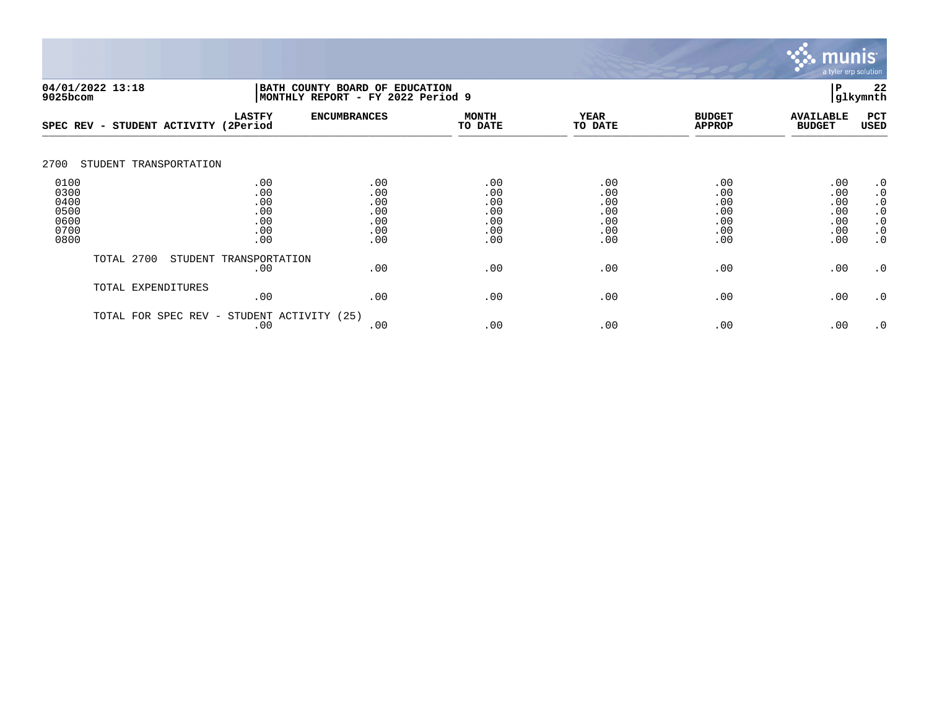

| 9025bcom                                             | 04/01/2022 13:18        |                                               | BATH COUNTY BOARD OF<br>MONTHLY REPORT - FY 2022 Period 9 | <b>EDUCATION</b>                              |                                               |                                               | P                                             | 22<br>glkymnth                                                                          |
|------------------------------------------------------|-------------------------|-----------------------------------------------|-----------------------------------------------------------|-----------------------------------------------|-----------------------------------------------|-----------------------------------------------|-----------------------------------------------|-----------------------------------------------------------------------------------------|
| SPEC REV -                                           | STUDENT ACTIVITY        | <b>LASTFY</b><br>(2Period                     | <b>ENCUMBRANCES</b>                                       | <b>MONTH</b><br>TO DATE                       | <b>YEAR</b><br>TO DATE                        | <b>BUDGET</b><br><b>APPROP</b>                | <b>AVAILABLE</b><br><b>BUDGET</b>             | PCT<br>USED                                                                             |
| 2700                                                 | STUDENT TRANSPORTATION  |                                               |                                                           |                                               |                                               |                                               |                                               |                                                                                         |
| 0100<br>0300<br>0400<br>0500<br>0600<br>0700<br>0800 |                         | .00<br>.00<br>.00<br>.00<br>.00<br>.00<br>.00 | .00<br>.00<br>.00<br>.00<br>.00<br>.00<br>.00             | .00<br>.00<br>.00<br>.00<br>.00<br>.00<br>.00 | .00<br>.00<br>.00<br>.00<br>.00<br>.00<br>.00 | .00<br>.00<br>.00<br>.00<br>.00<br>.00<br>.00 | .00<br>.00<br>.00<br>.00<br>.00<br>.00<br>.00 | $\cdot$ 0<br>$\cdot$ 0<br>$\cdot$ 0<br>$\cdot$ 0<br>$\cdot$ 0<br>$\cdot$ 0<br>$\cdot$ 0 |
|                                                      | TOTAL 2700<br>STUDENT   | TRANSPORTATION<br>.00                         | .00                                                       | .00                                           | .00                                           | .00                                           | .00                                           | $\cdot$ 0                                                                               |
|                                                      | TOTAL EXPENDITURES      | .00                                           | .00                                                       | .00                                           | .00                                           | .00                                           | .00                                           | $\cdot$ 0                                                                               |
|                                                      | SPEC REV -<br>TOTAL FOR | STUDENT ACTIVITY<br>.00                       | (25)<br>.00                                               | .00                                           | .00                                           | .00                                           | .00                                           | $\cdot$ 0                                                                               |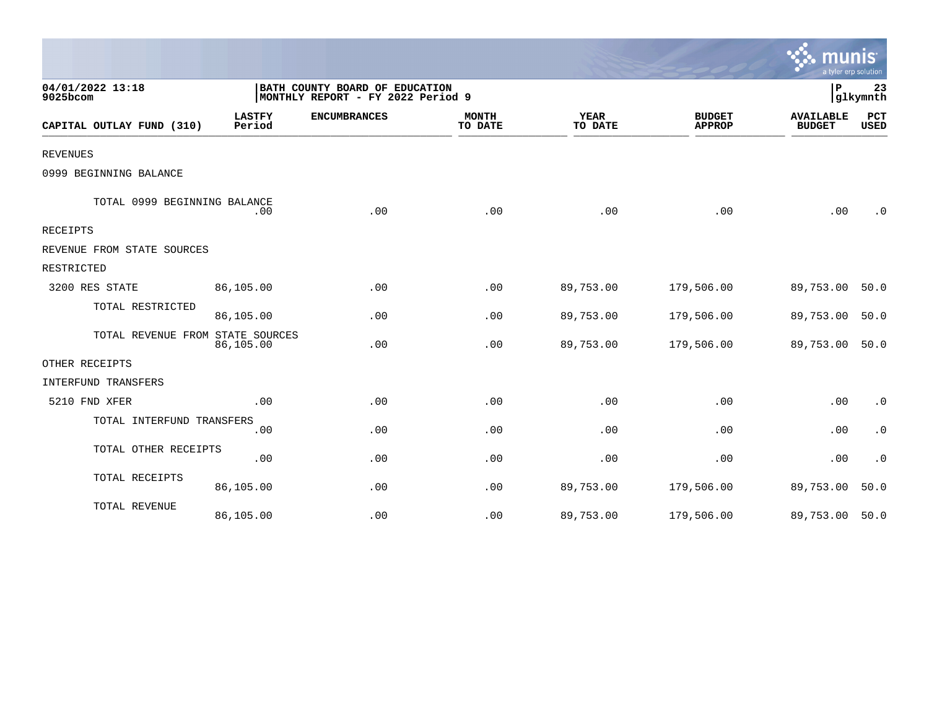|                                  |                         |                                                                     |                         |                        |                                | mun<br>a tyler erp solution       |                    |
|----------------------------------|-------------------------|---------------------------------------------------------------------|-------------------------|------------------------|--------------------------------|-----------------------------------|--------------------|
| 04/01/2022 13:18<br>9025bcom     |                         | BATH COUNTY BOARD OF EDUCATION<br>MONTHLY REPORT - FY 2022 Period 9 |                         |                        |                                | ΙP                                | 23<br> glkymnth    |
| CAPITAL OUTLAY FUND (310)        | <b>LASTFY</b><br>Period | <b>ENCUMBRANCES</b>                                                 | <b>MONTH</b><br>TO DATE | <b>YEAR</b><br>TO DATE | <b>BUDGET</b><br><b>APPROP</b> | <b>AVAILABLE</b><br><b>BUDGET</b> | PCT<br><b>USED</b> |
| <b>REVENUES</b>                  |                         |                                                                     |                         |                        |                                |                                   |                    |
| 0999 BEGINNING BALANCE           |                         |                                                                     |                         |                        |                                |                                   |                    |
| TOTAL 0999 BEGINNING BALANCE     | .00                     | .00                                                                 | .00                     | .00                    | .00                            | .00                               | $\cdot$ 0          |
| RECEIPTS                         |                         |                                                                     |                         |                        |                                |                                   |                    |
| REVENUE FROM STATE SOURCES       |                         |                                                                     |                         |                        |                                |                                   |                    |
| RESTRICTED                       |                         |                                                                     |                         |                        |                                |                                   |                    |
| 3200 RES STATE                   | 86,105.00               | .00                                                                 | .00                     | 89,753.00              | 179,506.00                     | 89,753.00                         | 50.0               |
| TOTAL RESTRICTED                 | 86,105.00               | .00                                                                 | .00                     | 89,753.00              | 179,506.00                     | 89,753.00                         | 50.0               |
| TOTAL REVENUE FROM STATE SOURCES | 86,105.00               | .00                                                                 | .00                     | 89,753.00              | 179,506.00                     | 89,753.00                         | 50.0               |
| OTHER RECEIPTS                   |                         |                                                                     |                         |                        |                                |                                   |                    |
| <b>INTERFUND TRANSFERS</b>       |                         |                                                                     |                         |                        |                                |                                   |                    |
| 5210 FND XFER                    | .00                     | .00                                                                 | .00                     | .00                    | .00                            | .00                               | $\cdot$ 0          |
| TOTAL INTERFUND TRANSFERS        | .00                     | .00                                                                 | .00                     | .00                    | .00                            | .00                               | $\cdot$ 0          |
| TOTAL OTHER RECEIPTS             | .00                     | .00                                                                 | .00                     | .00                    | .00                            | .00                               | $\cdot$ 0          |
| TOTAL RECEIPTS                   | 86,105.00               | .00                                                                 | .00                     | 89,753.00              | 179,506.00                     | 89,753.00                         | 50.0               |
| TOTAL REVENUE                    | 86,105.00               | .00                                                                 | .00                     | 89,753.00              | 179,506.00                     | 89,753.00                         | 50.0               |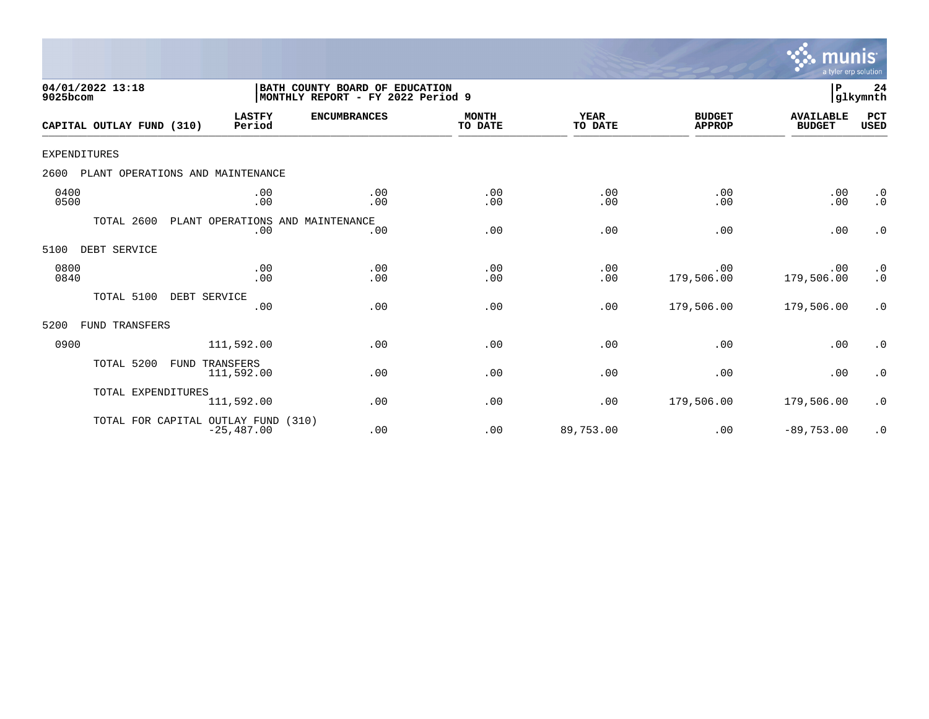

| 04/01/2022 13:18<br>9025bcom             |                                         | BATH COUNTY BOARD OF EDUCATION<br>MONTHLY REPORT - FY 2022 Period 9 |                         |                        |                                | P                                 | 24<br>glkymnth                                |
|------------------------------------------|-----------------------------------------|---------------------------------------------------------------------|-------------------------|------------------------|--------------------------------|-----------------------------------|-----------------------------------------------|
| CAPITAL OUTLAY FUND (310)                | <b>LASTFY</b><br>Period                 | <b>ENCUMBRANCES</b>                                                 | <b>MONTH</b><br>TO DATE | <b>YEAR</b><br>TO DATE | <b>BUDGET</b><br><b>APPROP</b> | <b>AVAILABLE</b><br><b>BUDGET</b> | PCT<br><b>USED</b>                            |
| EXPENDITURES                             |                                         |                                                                     |                         |                        |                                |                                   |                                               |
| 2600<br>PLANT OPERATIONS AND MAINTENANCE |                                         |                                                                     |                         |                        |                                |                                   |                                               |
| 0400<br>0500                             | .00<br>.00                              | .00<br>.00                                                          | .00<br>.00              | .00<br>.00             | .00<br>.00                     | .00<br>.00                        | $\cdot$ 0<br>$\cdot$ 0                        |
| TOTAL 2600                               | PLANT OPERATIONS AND MAINTENANCE<br>.00 | .00                                                                 | .00                     | .00                    | .00                            | .00                               | $\cdot$ 0                                     |
| DEBT SERVICE<br>5100                     |                                         |                                                                     |                         |                        |                                |                                   |                                               |
| 0800<br>0840                             | .00<br>.00                              | .00<br>.00                                                          | .00<br>.00              | .00<br>.00             | .00<br>179,506.00              | .00<br>179,506.00                 | $\begin{smallmatrix} 0 \ 0 \end{smallmatrix}$ |
| TOTAL 5100                               | DEBT SERVICE<br>.00                     | .00                                                                 | .00                     | .00                    | 179,506.00                     | 179,506.00                        | $\cdot$ 0                                     |
| 5200<br>FUND TRANSFERS                   |                                         |                                                                     |                         |                        |                                |                                   |                                               |
| 0900                                     | 111,592.00                              | .00                                                                 | .00                     | .00                    | .00                            | .00                               | $\cdot$ 0                                     |
| TOTAL 5200<br>FUND                       | TRANSFERS<br>111,592.00                 | .00                                                                 | .00                     | .00                    | .00                            | .00                               | $\cdot$ 0                                     |
| TOTAL EXPENDITURES                       | 111,592.00                              | .00                                                                 | .00                     | .00                    | 179,506.00                     | 179,506.00                        | $\cdot$ 0                                     |
| TOTAL FOR CAPITAL OUTLAY FUND            | (310)<br>$-25, 487.00$                  | .00                                                                 | .00                     | 89,753.00              | .00                            | $-89,753.00$                      | $\cdot$ 0                                     |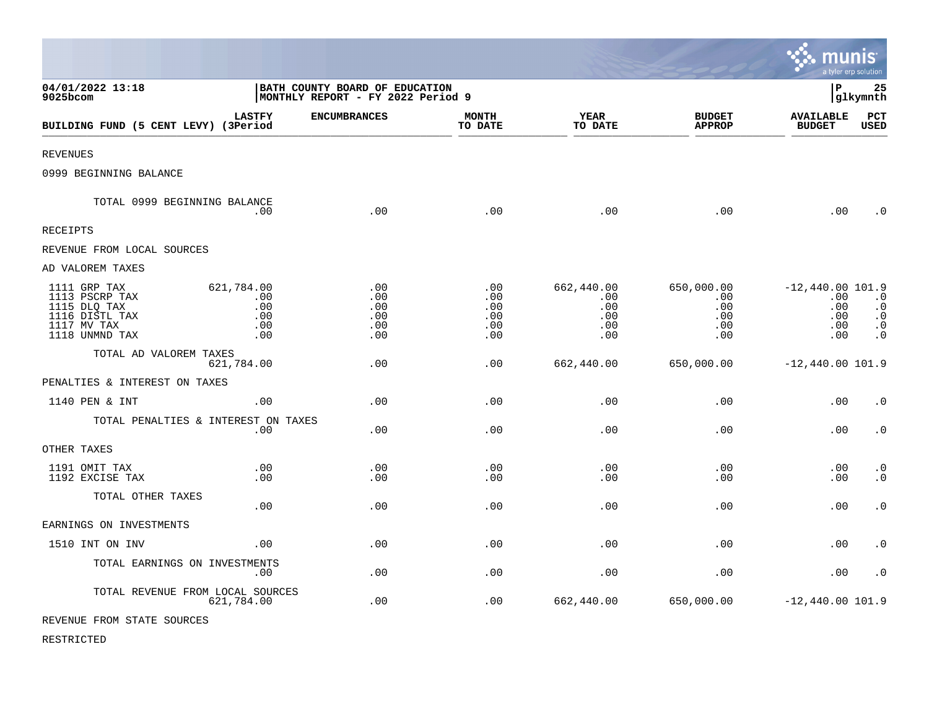|                                                                                                   |                                               |                                                                     |                                        |                                               |                                               | munis                                                 | a tyler erp solution                                           |
|---------------------------------------------------------------------------------------------------|-----------------------------------------------|---------------------------------------------------------------------|----------------------------------------|-----------------------------------------------|-----------------------------------------------|-------------------------------------------------------|----------------------------------------------------------------|
| 04/01/2022 13:18<br>9025bcom                                                                      |                                               | BATH COUNTY BOARD OF EDUCATION<br>MONTHLY REPORT - FY 2022 Period 9 |                                        |                                               |                                               | l P                                                   | 25<br>glkymnth                                                 |
| BUILDING FUND (5 CENT LEVY) (3Period                                                              | <b>LASTFY</b>                                 | <b>ENCUMBRANCES</b>                                                 | <b>MONTH</b><br>TO DATE                | YEAR<br>TO DATE                               | <b>BUDGET</b><br><b>APPROP</b>                | <b>AVAILABLE</b><br><b>BUDGET</b>                     | <b>PCT</b><br><b>USED</b>                                      |
| <b>REVENUES</b>                                                                                   |                                               |                                                                     |                                        |                                               |                                               |                                                       |                                                                |
| 0999 BEGINNING BALANCE                                                                            |                                               |                                                                     |                                        |                                               |                                               |                                                       |                                                                |
| TOTAL 0999 BEGINNING BALANCE                                                                      | .00                                           | .00                                                                 | .00                                    | .00                                           | .00                                           | .00                                                   | $\cdot$ 0                                                      |
| RECEIPTS                                                                                          |                                               |                                                                     |                                        |                                               |                                               |                                                       |                                                                |
| REVENUE FROM LOCAL SOURCES                                                                        |                                               |                                                                     |                                        |                                               |                                               |                                                       |                                                                |
| AD VALOREM TAXES                                                                                  |                                               |                                                                     |                                        |                                               |                                               |                                                       |                                                                |
| 1111 GRP TAX<br>1113 PSCRP TAX<br>1115 DLQ TAX<br>1116 DISTL TAX<br>1117 MV TAX<br>1118 UNMND TAX | 621,784.00<br>.00<br>.00<br>.00<br>.00<br>.00 | .00<br>.00<br>.00<br>.00<br>.00<br>.00                              | .00<br>.00<br>.00<br>.00<br>.00<br>.00 | 662,440.00<br>.00<br>.00<br>.00<br>.00<br>.00 | 650,000.00<br>.00<br>.00<br>.00<br>.00<br>.00 | $-12,440.00$ 101.9<br>.00<br>.00<br>.00<br>.00<br>.00 | $\cdot$ 0<br>$\ddot{0}$<br>$\cdot$ 0<br>$\cdot$ 0<br>$\cdot$ 0 |
| TOTAL AD VALOREM TAXES                                                                            | 621,784.00                                    | .00                                                                 | .00                                    | 662,440.00                                    | 650,000.00                                    | $-12,440.00$ 101.9                                    |                                                                |
| PENALTIES & INTEREST ON TAXES                                                                     |                                               |                                                                     |                                        |                                               |                                               |                                                       |                                                                |
| 1140 PEN & INT                                                                                    | .00                                           | .00                                                                 | .00                                    | .00                                           | .00                                           | .00                                                   | $\cdot$ 0                                                      |
| TOTAL PENALTIES & INTEREST ON TAXES                                                               | .00.                                          | .00                                                                 | .00                                    | .00                                           | .00                                           | .00                                                   | $\cdot$ 0                                                      |
| OTHER TAXES                                                                                       |                                               |                                                                     |                                        |                                               |                                               |                                                       |                                                                |
| 1191 OMIT TAX<br>1192 EXCISE TAX                                                                  | .00<br>.00                                    | .00<br>.00                                                          | .00<br>.00                             | .00<br>.00                                    | .00<br>.00                                    | .00<br>.00                                            | $\cdot$ 0<br>$\cdot$ 0                                         |
| TOTAL OTHER TAXES                                                                                 | .00                                           | .00                                                                 | .00                                    | .00                                           | .00                                           | .00                                                   | $\cdot$ 0                                                      |
| EARNINGS ON INVESTMENTS                                                                           |                                               |                                                                     |                                        |                                               |                                               |                                                       |                                                                |
| 1510 INT ON INV                                                                                   | .00                                           | .00                                                                 | .00                                    | .00                                           | .00                                           | .00                                                   | $\cdot$ 0                                                      |
| TOTAL EARNINGS ON INVESTMENTS                                                                     | .00                                           | .00                                                                 | .00                                    | .00                                           | .00                                           | .00                                                   | $\cdot$ 0                                                      |
| TOTAL REVENUE FROM LOCAL SOURCES                                                                  | 621,784.00                                    | .00                                                                 | .00                                    | 662,440.00                                    | 650,000.00                                    | $-12,440.00 101.9$                                    |                                                                |
| REVENUE FROM STATE SOURCES                                                                        |                                               |                                                                     |                                        |                                               |                                               |                                                       |                                                                |

 $\mathcal{L}$ 

RESTRICTED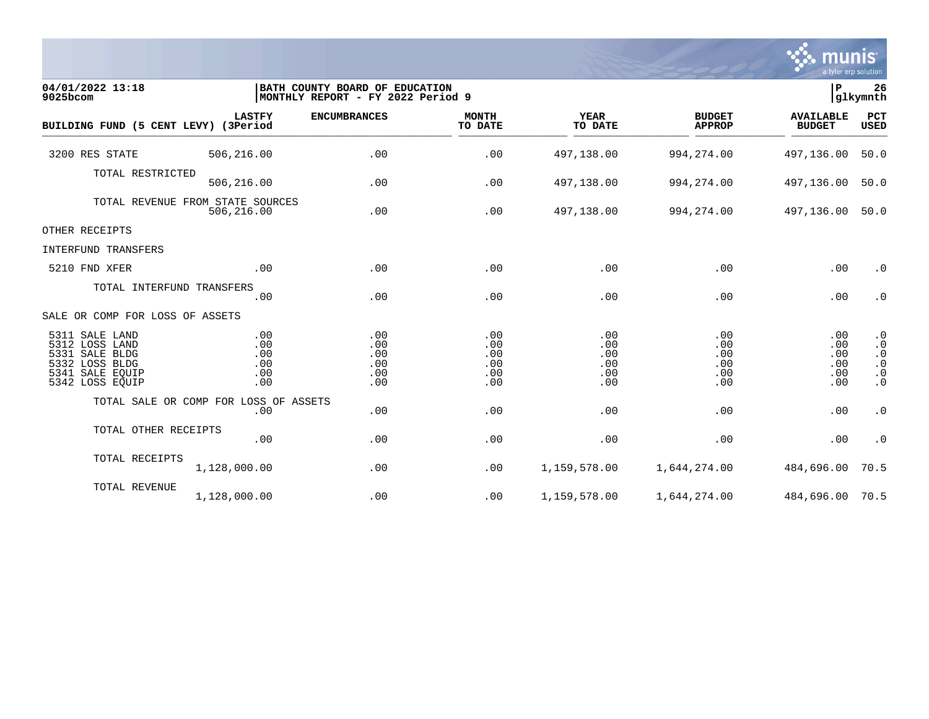

| 04/01/2022 13:18<br>9025bcom                                                                                  |                                        | BATH COUNTY BOARD OF EDUCATION<br> MONTHLY REPORT - FY 2022 Period 9 |                                        |                                        |                                        | lР                                     | 26<br>glkymnth                                                             |
|---------------------------------------------------------------------------------------------------------------|----------------------------------------|----------------------------------------------------------------------|----------------------------------------|----------------------------------------|----------------------------------------|----------------------------------------|----------------------------------------------------------------------------|
| BUILDING FUND (5 CENT LEVY) (3Period                                                                          | <b>LASTFY</b>                          | <b>ENCUMBRANCES</b>                                                  | <b>MONTH</b><br>TO DATE                | <b>YEAR</b><br>TO DATE                 | <b>BUDGET</b><br><b>APPROP</b>         | <b>AVAILABLE</b><br><b>BUDGET</b>      | PCT<br>USED                                                                |
| 3200 RES STATE                                                                                                | 506,216.00                             | .00                                                                  | .00                                    | 497,138.00                             | 994, 274.00                            | 497,136.00                             | 50.0                                                                       |
| TOTAL RESTRICTED                                                                                              | 506,216.00                             | .00                                                                  | .00                                    | 497,138.00                             | 994, 274.00                            | 497,136.00                             | 50.0                                                                       |
| TOTAL REVENUE FROM STATE SOURCES                                                                              | 506,216.00                             | .00                                                                  | .00                                    | 497,138.00                             | 994,274.00                             | 497,136.00                             | 50.0                                                                       |
| OTHER RECEIPTS                                                                                                |                                        |                                                                      |                                        |                                        |                                        |                                        |                                                                            |
| INTERFUND TRANSFERS                                                                                           |                                        |                                                                      |                                        |                                        |                                        |                                        |                                                                            |
| 5210 FND XFER                                                                                                 | .00                                    | .00                                                                  | .00                                    | .00                                    | .00                                    | .00                                    | $\cdot$ 0                                                                  |
| TOTAL INTERFUND TRANSFERS                                                                                     | .00                                    | .00                                                                  | .00                                    | .00                                    | .00                                    | .00                                    | $\cdot$ 0                                                                  |
| SALE OR COMP FOR LOSS OF ASSETS                                                                               |                                        |                                                                      |                                        |                                        |                                        |                                        |                                                                            |
| 5311 SALE LAND<br>5312 LOSS LAND<br>5331 SALE BLDG<br>5332 LOSS BLDG<br>5341<br>SALE EOUIP<br>5342 LOSS EQUIP | .00<br>.00<br>.00<br>.00<br>.00<br>.00 | .00<br>.00<br>.00<br>.00<br>.00<br>.00                               | .00<br>.00<br>.00<br>.00<br>.00<br>.00 | .00<br>.00<br>.00<br>.00<br>.00<br>.00 | .00<br>.00<br>.00<br>.00<br>.00<br>.00 | .00<br>.00<br>.00<br>.00<br>.00<br>.00 | $\cdot$ 0<br>$\cdot$ 0<br>$\cdot$ 0<br>$\cdot$ 0<br>$\cdot$ 0<br>$\cdot$ 0 |
| TOTAL SALE OR COMP FOR LOSS OF ASSETS                                                                         | .00                                    | .00                                                                  | .00                                    | .00                                    | .00                                    | .00                                    | $\cdot$ 0                                                                  |
| TOTAL OTHER RECEIPTS                                                                                          | .00                                    | .00                                                                  | .00                                    | .00                                    | .00                                    | .00                                    | $\cdot$ 0                                                                  |
| TOTAL RECEIPTS                                                                                                | 1,128,000.00                           | .00                                                                  | .00                                    | 1,159,578.00                           | 1,644,274.00                           | 484,696.00                             | 70.5                                                                       |
| TOTAL REVENUE                                                                                                 | 1,128,000.00                           | .00                                                                  | .00                                    | 1,159,578.00                           | 1,644,274.00                           | 484,696.00 70.5                        |                                                                            |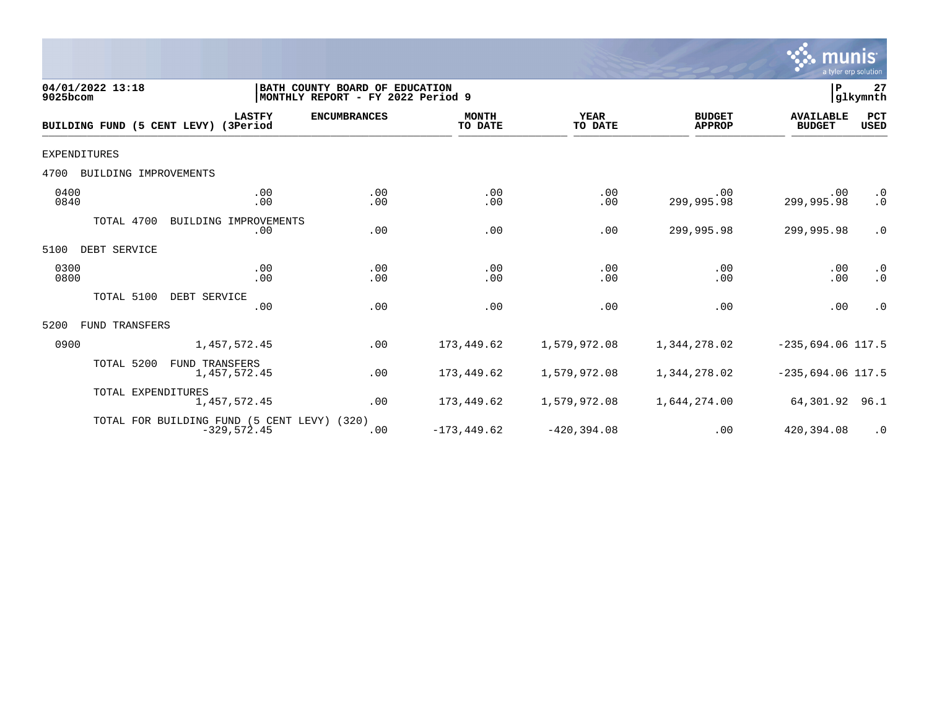

| 04/01/2022 13:18<br>9025bcom         |                                                              | BATH COUNTY BOARD OF EDUCATION<br>MONTHLY REPORT - FY 2022 Period 9 |                         |                        |                                | P                                 | 27<br> glkymnth        |
|--------------------------------------|--------------------------------------------------------------|---------------------------------------------------------------------|-------------------------|------------------------|--------------------------------|-----------------------------------|------------------------|
| BUILDING FUND (5 CENT LEVY) (3Period | <b>LASTFY</b>                                                | <b>ENCUMBRANCES</b>                                                 | <b>MONTH</b><br>TO DATE | <b>YEAR</b><br>TO DATE | <b>BUDGET</b><br><b>APPROP</b> | <b>AVAILABLE</b><br><b>BUDGET</b> | PCT<br>USED            |
| <b>EXPENDITURES</b>                  |                                                              |                                                                     |                         |                        |                                |                                   |                        |
| BUILDING IMPROVEMENTS<br>4700        |                                                              |                                                                     |                         |                        |                                |                                   |                        |
| 0400<br>0840                         | .00<br>.00                                                   | .00<br>.00                                                          | .00<br>.00              | .00<br>.00             | .00<br>299,995.98              | .00<br>299,995.98                 | $\cdot$ 0<br>$\cdot$ 0 |
| TOTAL 4700                           | BUILDING IMPROVEMENTS<br>.00                                 | .00                                                                 | .00                     | .00                    | 299,995.98                     | 299,995.98                        | $\cdot$ 0              |
| DEBT SERVICE<br>5100                 |                                                              |                                                                     |                         |                        |                                |                                   |                        |
| 0300<br>0800                         | .00<br>.00                                                   | .00<br>.00                                                          | .00<br>.00              | .00<br>.00             | .00<br>.00                     | .00<br>.00                        | $\cdot$ 0<br>$\cdot$ 0 |
| TOTAL 5100                           | DEBT SERVICE<br>.00                                          | .00                                                                 | .00                     | .00                    | .00                            | .00                               | $\cdot$ 0              |
| FUND TRANSFERS<br>5200               |                                                              |                                                                     |                         |                        |                                |                                   |                        |
| 0900                                 | 1,457,572.45                                                 | .00                                                                 | 173,449.62              | 1,579,972.08           | 1,344,278.02                   | $-235,694.06$ 117.5               |                        |
| TOTAL 5200                           | <b>FUND TRANSFERS</b><br>1,457,572.45                        | .00                                                                 | 173,449.62              | 1,579,972.08           | 1,344,278.02                   | $-235,694.06$ 117.5               |                        |
| TOTAL EXPENDITURES                   | 1,457,572.45                                                 | .00                                                                 | 173,449.62              | 1,579,972.08           | 1,644,274.00                   | 64,301.92                         | 96.1                   |
|                                      | TOTAL FOR BUILDING FUND (5 CENT LEVY) (320)<br>$-329,572.45$ | .00                                                                 | $-173, 449.62$          | $-420, 394.08$         | .00                            | 420,394.08                        | $\cdot$ 0              |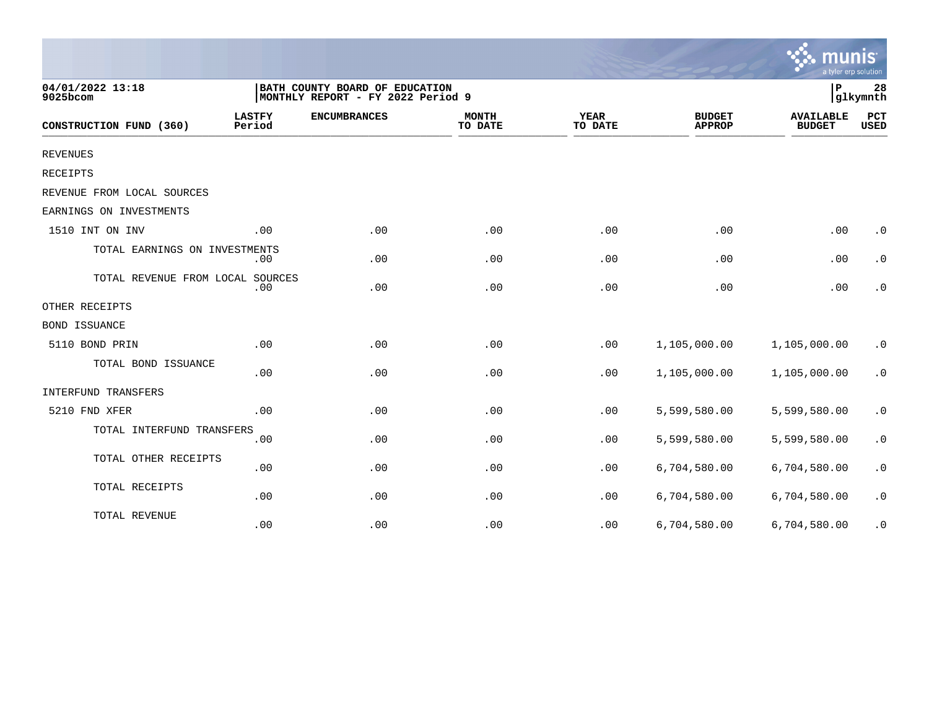|                                  |                                                                     |                     |                         |                        |                                | mu<br>a tyler erp solution        |                    |
|----------------------------------|---------------------------------------------------------------------|---------------------|-------------------------|------------------------|--------------------------------|-----------------------------------|--------------------|
| 04/01/2022 13:18<br>9025bcom     | BATH COUNTY BOARD OF EDUCATION<br>MONTHLY REPORT - FY 2022 Period 9 |                     |                         |                        |                                | P                                 | 28<br>glkymnth     |
| CONSTRUCTION FUND (360)          | <b>LASTFY</b><br>Period                                             | <b>ENCUMBRANCES</b> | <b>MONTH</b><br>TO DATE | <b>YEAR</b><br>TO DATE | <b>BUDGET</b><br><b>APPROP</b> | <b>AVAILABLE</b><br><b>BUDGET</b> | PCT<br><b>USED</b> |
| <b>REVENUES</b>                  |                                                                     |                     |                         |                        |                                |                                   |                    |
| RECEIPTS                         |                                                                     |                     |                         |                        |                                |                                   |                    |
| REVENUE FROM LOCAL SOURCES       |                                                                     |                     |                         |                        |                                |                                   |                    |
| EARNINGS ON INVESTMENTS          |                                                                     |                     |                         |                        |                                |                                   |                    |
| 1510 INT ON INV                  | .00                                                                 | .00                 | .00                     | .00                    | .00                            | .00                               | $\cdot$ 0          |
| TOTAL EARNINGS ON INVESTMENTS    | .00                                                                 | .00                 | .00                     | .00                    | .00                            | .00                               | $\cdot$ 0          |
| TOTAL REVENUE FROM LOCAL SOURCES | .00                                                                 | .00                 | .00                     | .00                    | .00                            | .00                               | $\cdot$ 0          |
| OTHER RECEIPTS                   |                                                                     |                     |                         |                        |                                |                                   |                    |
| BOND ISSUANCE                    |                                                                     |                     |                         |                        |                                |                                   |                    |
| 5110 BOND PRIN                   | .00                                                                 | .00                 | .00                     | .00                    | 1,105,000.00                   | 1,105,000.00                      | $\cdot$ 0          |
| TOTAL BOND ISSUANCE              | .00                                                                 | .00                 | .00                     | .00                    | 1,105,000.00                   | 1,105,000.00                      | $\cdot$ 0          |
| INTERFUND TRANSFERS              |                                                                     |                     |                         |                        |                                |                                   |                    |
| 5210 FND XFER                    | .00                                                                 | .00                 | .00                     | .00                    | 5,599,580.00                   | 5,599,580.00                      | $\cdot$ 0          |
| TOTAL INTERFUND TRANSFERS        | .00                                                                 | .00                 | .00                     | .00                    | 5,599,580.00                   | 5,599,580.00                      | $\cdot$ 0          |
| TOTAL OTHER RECEIPTS             | .00                                                                 | .00                 | .00                     | .00                    | 6,704,580.00                   | 6,704,580.00                      | $\cdot$ 0          |
| TOTAL RECEIPTS                   | .00                                                                 | .00                 | .00                     | .00                    | 6,704,580.00                   | 6,704,580.00                      | $\cdot$ 0          |
| TOTAL REVENUE                    | .00                                                                 | .00                 | .00                     | .00                    | 6,704,580.00                   | 6,704,580.00                      | $\cdot$ 0          |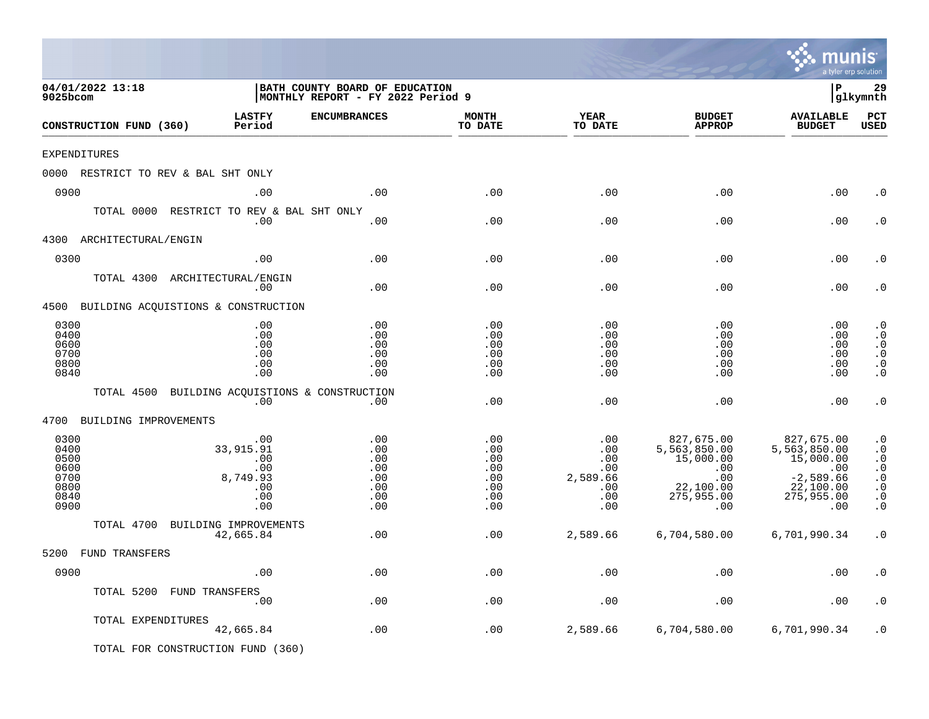|                                                              |                                                                 |                                                                     |                                                      |                                                                     |                                                                                         | mu<br>a tyler erp solution                                                                      | nis                                                                                                  |
|--------------------------------------------------------------|-----------------------------------------------------------------|---------------------------------------------------------------------|------------------------------------------------------|---------------------------------------------------------------------|-----------------------------------------------------------------------------------------|-------------------------------------------------------------------------------------------------|------------------------------------------------------------------------------------------------------|
| 04/01/2022 13:18<br>9025bcom                                 |                                                                 | BATH COUNTY BOARD OF EDUCATION<br>MONTHLY REPORT - FY 2022 Period 9 |                                                      |                                                                     |                                                                                         | l P                                                                                             | 29<br>glkymnth                                                                                       |
| CONSTRUCTION FUND (360)                                      | <b>LASTFY</b><br>Period                                         | <b>ENCUMBRANCES</b>                                                 | <b>MONTH</b><br>TO DATE                              | <b>YEAR</b><br>TO DATE                                              | <b>BUDGET</b><br><b>APPROP</b>                                                          | <b>AVAILABLE</b><br><b>BUDGET</b>                                                               | PCT<br><b>USED</b>                                                                                   |
| EXPENDITURES                                                 |                                                                 |                                                                     |                                                      |                                                                     |                                                                                         |                                                                                                 |                                                                                                      |
|                                                              | 0000 RESTRICT TO REV & BAL SHT ONLY                             |                                                                     |                                                      |                                                                     |                                                                                         |                                                                                                 |                                                                                                      |
| 0900                                                         | .00                                                             | .00                                                                 | .00                                                  | .00                                                                 | .00                                                                                     | .00                                                                                             | . 0                                                                                                  |
| TOTAL 0000                                                   | RESTRICT TO REV & BAL SHT ONLY<br>.00                           | .00                                                                 | .00                                                  | .00                                                                 | .00                                                                                     | .00                                                                                             | . 0                                                                                                  |
| 4300<br>ARCHITECTURAL/ENGIN                                  |                                                                 |                                                                     |                                                      |                                                                     |                                                                                         |                                                                                                 |                                                                                                      |
| 0300                                                         | .00                                                             | .00                                                                 | .00                                                  | .00                                                                 | .00                                                                                     | .00                                                                                             | . 0                                                                                                  |
|                                                              | TOTAL 4300 ARCHITECTURAL/ENGIN<br>.00                           | .00                                                                 | .00                                                  | .00                                                                 | .00                                                                                     | .00                                                                                             | . 0                                                                                                  |
|                                                              | 4500 BUILDING ACQUISTIONS & CONSTRUCTION                        |                                                                     |                                                      |                                                                     |                                                                                         |                                                                                                 |                                                                                                      |
| 0300<br>0400<br>0600<br>0700<br>0800<br>0840                 | .00<br>.00<br>.00<br>.00<br>.00<br>.00                          | .00<br>.00<br>.00<br>.00<br>.00<br>.00                              | .00<br>.00<br>.00<br>.00<br>.00<br>.00               | .00<br>.00<br>.00<br>.00<br>.00<br>.00                              | .00<br>.00<br>.00<br>.00<br>.00<br>.00                                                  | .00<br>.00<br>.00<br>.00<br>.00<br>.00                                                          | $\cdot$ 0<br>$\cdot$ 0<br>$\cdot$ 0<br>$\cdot$ 0<br>$\cdot$ 0<br>$\cdot$ 0                           |
| TOTAL 4500                                                   | BUILDING ACQUISTIONS & CONSTRUCTION<br>.00                      | $.00 \ \,$                                                          | .00                                                  | .00                                                                 | .00                                                                                     | .00                                                                                             | $\cdot$ 0                                                                                            |
| 4700                                                         | BUILDING IMPROVEMENTS                                           |                                                                     |                                                      |                                                                     |                                                                                         |                                                                                                 |                                                                                                      |
| 0300<br>0400<br>0500<br>0600<br>0700<br>0800<br>0840<br>0900 | .00<br>33,915.91<br>.00<br>.00<br>8,749.93<br>.00<br>.00<br>.00 | .00<br>.00<br>.00<br>.00<br>.00<br>.00<br>.00<br>.00                | .00<br>.00<br>.00<br>.00<br>.00<br>.00<br>.00<br>.00 | .00<br>$.00 \,$<br>.00<br>.00<br>2,589.66<br>.00<br>$.00 \,$<br>.00 | 827,675.00<br>5,563,850.00<br>15,000.00<br>.00<br>.00<br>22,100.00<br>275,955.00<br>.00 | 827,675.00<br>5,563,850.00<br>15,000.00<br>.00<br>$-2,589.66$<br>22,100.00<br>275,955.00<br>.00 | $\cdot$ 0<br>$\cdot$ 0<br>$\cdot$ 0<br>$\cdot$ 0<br>$\cdot$ 0<br>$\cdot$ 0<br>$\cdot$ 0<br>$\cdot$ 0 |
| TOTAL 4700                                                   | BUILDING IMPROVEMENTS                                           |                                                                     |                                                      |                                                                     |                                                                                         |                                                                                                 |                                                                                                      |
| 5200 FUND TRANSFERS                                          | 42,665.84                                                       | .00                                                                 | .00                                                  | 2,589.66                                                            | 6,704,580.00                                                                            | 6,701,990.34                                                                                    | $\cdot$ 0                                                                                            |
| 0900                                                         | .00                                                             | .00                                                                 | .00                                                  | .00                                                                 | .00                                                                                     | .00                                                                                             | $\boldsymbol{\cdot}$ 0                                                                               |
|                                                              | TOTAL 5200 FUND TRANSFERS<br>.00                                | .00                                                                 | .00                                                  | .00                                                                 | .00                                                                                     | .00                                                                                             | . $\boldsymbol{0}$                                                                                   |
|                                                              | TOTAL EXPENDITURES<br>42,665.84                                 | $.00$                                                               | .00                                                  | 2,589.66                                                            | 6,704,580.00                                                                            | 6,701,990.34                                                                                    | $\cdot$ 0                                                                                            |
|                                                              | TOTAL FOR CONSTRUCTION FUND (360)                               |                                                                     |                                                      |                                                                     |                                                                                         |                                                                                                 |                                                                                                      |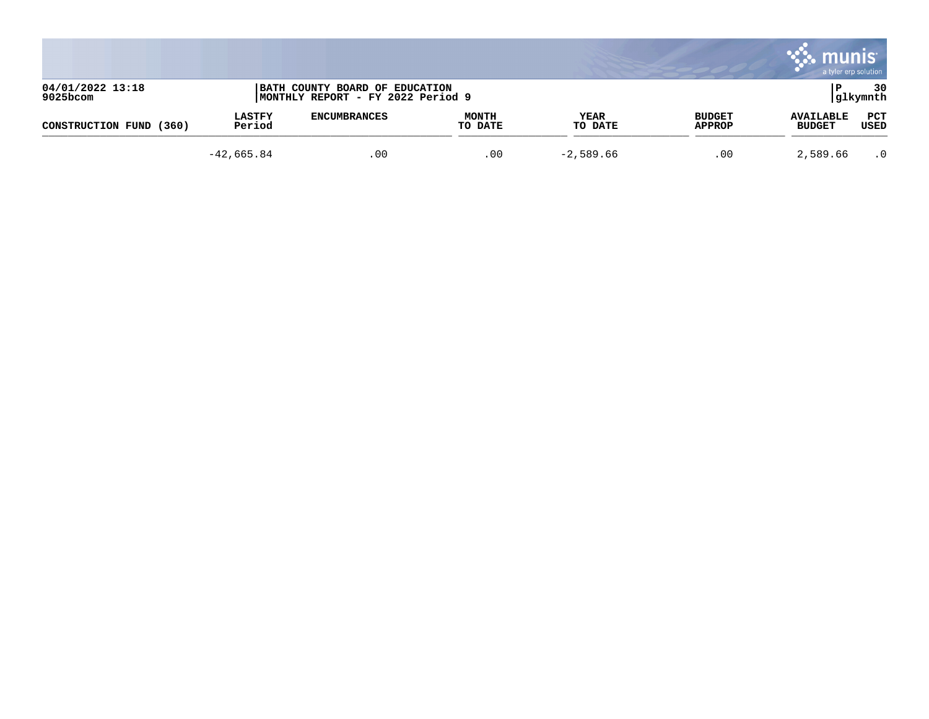|                                 |                         |                                                                     |                         |                 |                                | munis                             | a tyler erp solution |
|---------------------------------|-------------------------|---------------------------------------------------------------------|-------------------------|-----------------|--------------------------------|-----------------------------------|----------------------|
| 04/01/2022 13:18<br>$9025$ bcom |                         | BATH COUNTY BOARD OF EDUCATION<br>MONTHLY REPORT - FY 2022 Period 9 |                         |                 |                                |                                   | 30<br> glkymnth      |
| (360)<br>CONSTRUCTION FUND      | <b>LASTFY</b><br>Period | <b>ENCUMBRANCES</b>                                                 | <b>MONTH</b><br>TO DATE | YEAR<br>TO DATE | <b>BUDGET</b><br><b>APPROP</b> | <b>AVAILABLE</b><br><b>BUDGET</b> | PCT<br>USED          |
|                                 | $-42,665.84$            | .00                                                                 | .00                     | $-2,589.66$     | .00                            | 2,589.66                          | $\cdot$ 0            |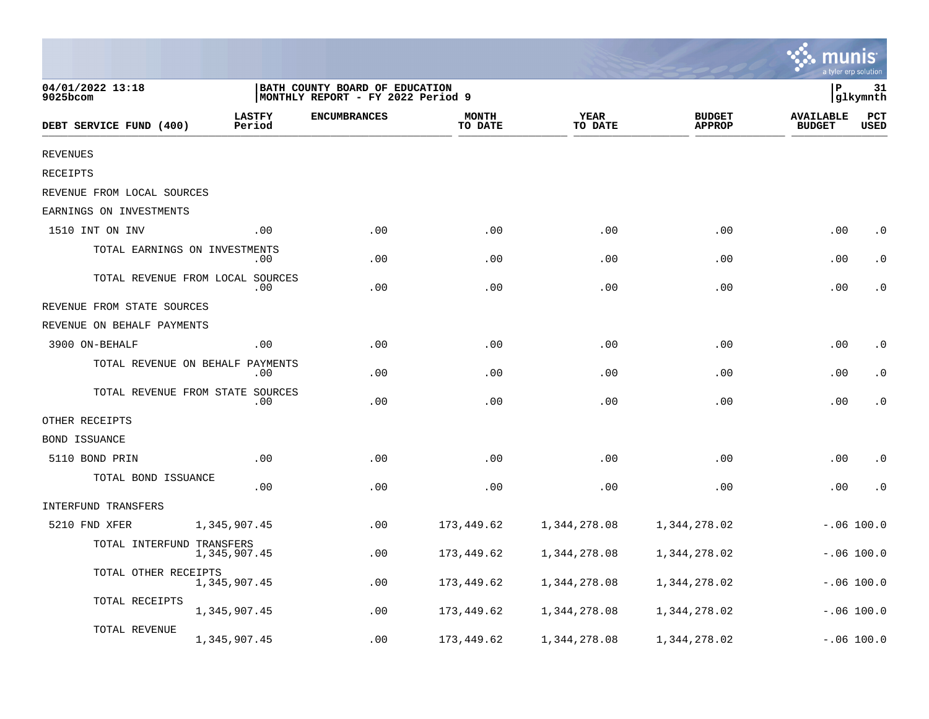|                                  |                         |                                                                      |                         |                        |                                |                                   | a tyler erp solution |
|----------------------------------|-------------------------|----------------------------------------------------------------------|-------------------------|------------------------|--------------------------------|-----------------------------------|----------------------|
| 04/01/2022 13:18<br>9025bcom     |                         | BATH COUNTY BOARD OF EDUCATION<br> MONTHLY REPORT - FY 2022 Period 9 |                         |                        |                                | P                                 | 31<br>glkymnth       |
| DEBT SERVICE FUND (400)          | <b>LASTFY</b><br>Period | <b>ENCUMBRANCES</b>                                                  | <b>MONTH</b><br>TO DATE | <b>YEAR</b><br>TO DATE | <b>BUDGET</b><br><b>APPROP</b> | <b>AVAILABLE</b><br><b>BUDGET</b> | PCT<br>USED          |
| <b>REVENUES</b>                  |                         |                                                                      |                         |                        |                                |                                   |                      |
| RECEIPTS                         |                         |                                                                      |                         |                        |                                |                                   |                      |
| REVENUE FROM LOCAL SOURCES       |                         |                                                                      |                         |                        |                                |                                   |                      |
| EARNINGS ON INVESTMENTS          |                         |                                                                      |                         |                        |                                |                                   |                      |
| 1510 INT ON INV                  | .00                     | .00                                                                  | .00                     | .00                    | .00                            | .00                               | $\cdot$ 0            |
| TOTAL EARNINGS ON INVESTMENTS    | $.00 \,$                | .00                                                                  | .00                     | .00                    | .00                            | .00                               | $\cdot$ 0            |
| TOTAL REVENUE FROM LOCAL SOURCES | $.00 \,$                | .00                                                                  | .00                     | .00                    | .00                            | .00                               | $\cdot$ 0            |
| REVENUE FROM STATE SOURCES       |                         |                                                                      |                         |                        |                                |                                   |                      |
| REVENUE ON BEHALF PAYMENTS       |                         |                                                                      |                         |                        |                                |                                   |                      |
| 3900 ON-BEHALF                   | .00                     | .00                                                                  | .00                     | .00                    | .00                            | .00                               | $\cdot$ 0            |
| TOTAL REVENUE ON BEHALF PAYMENTS | .00                     | .00                                                                  | .00                     | .00                    | .00                            | .00                               | $\cdot$ 0            |
| TOTAL REVENUE FROM STATE SOURCES | .00                     | .00                                                                  | .00                     | .00                    | .00                            | .00                               | $\cdot$ 0            |
| OTHER RECEIPTS                   |                         |                                                                      |                         |                        |                                |                                   |                      |
| <b>BOND ISSUANCE</b>             |                         |                                                                      |                         |                        |                                |                                   |                      |
| 5110 BOND PRIN                   | .00                     | .00                                                                  | .00                     | .00                    | .00                            | .00                               | $\cdot$ 0            |
| TOTAL BOND ISSUANCE              | .00                     | .00                                                                  | .00                     | .00                    | .00                            | .00                               | $\cdot$ 0            |
| INTERFUND TRANSFERS              |                         |                                                                      |                         |                        |                                |                                   |                      |
| 5210 FND XFER                    | 1,345,907.45            | .00                                                                  | 173,449.62              | 1,344,278.08           | 1,344,278.02                   |                                   | $-.06 100.0$         |
| TOTAL INTERFUND TRANSFERS        | 1,345,907.45            | .00                                                                  | 173,449.62              | 1,344,278.08           | 1,344,278.02                   |                                   | $-.06 100.0$         |
| TOTAL OTHER RECEIPTS             | 1,345,907.45            | .00                                                                  | 173,449.62              | 1,344,278.08           | 1,344,278.02                   |                                   | $-.06$ 100.0         |
| TOTAL RECEIPTS                   | 1,345,907.45            | .00                                                                  | 173,449.62              | 1,344,278.08           | 1,344,278.02                   |                                   | $-.06 100.0$         |
| TOTAL REVENUE                    | 1,345,907.45            | .00                                                                  | 173,449.62              | 1,344,278.08           | 1,344,278.02                   |                                   | $-.06 100.0$         |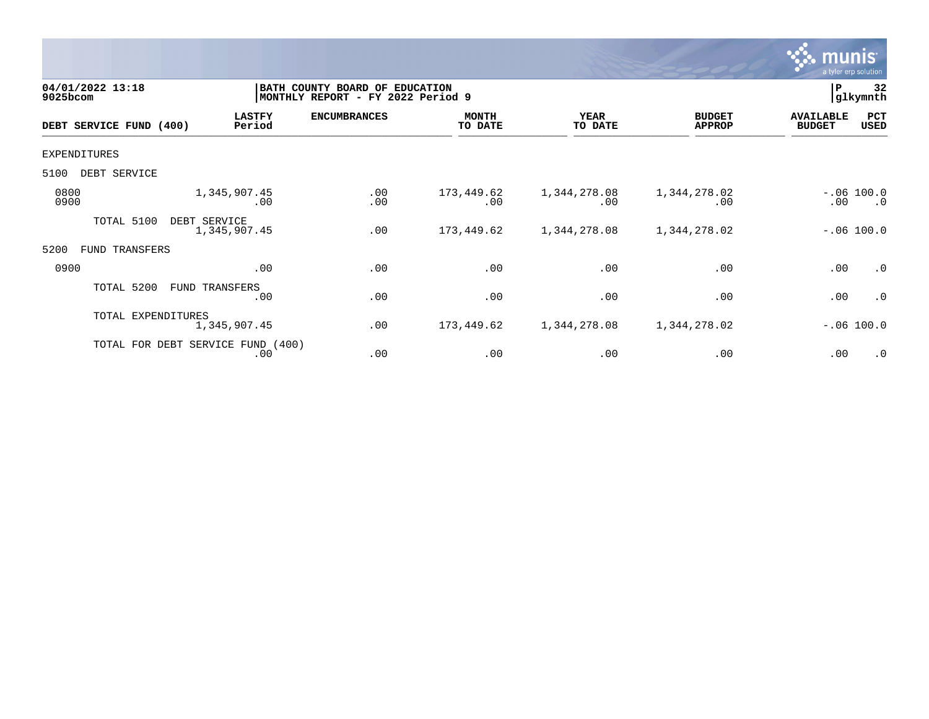

| 04/01/2022 13:18<br>9025bcom |                    |                                          | BATH COUNTY BOARD OF<br>MONTHLY REPORT - FY 2022 Period 9 | <b>EDUCATION</b>        |                        |                                | 32<br>P<br> glkymnth              |                           |
|------------------------------|--------------------|------------------------------------------|-----------------------------------------------------------|-------------------------|------------------------|--------------------------------|-----------------------------------|---------------------------|
| DEBT SERVICE FUND (400)      |                    | <b>LASTFY</b><br>Period                  | <b>ENCUMBRANCES</b>                                       | <b>MONTH</b><br>TO DATE | <b>YEAR</b><br>TO DATE | <b>BUDGET</b><br><b>APPROP</b> | <b>AVAILABLE</b><br><b>BUDGET</b> | PCT<br>USED               |
| <b>EXPENDITURES</b>          |                    |                                          |                                                           |                         |                        |                                |                                   |                           |
| 5100<br>DEBT SERVICE         |                    |                                          |                                                           |                         |                        |                                |                                   |                           |
| 0800<br>0900                 |                    | 1,345,907.45<br>.00                      | .00<br>.00                                                | 173,449.62<br>.00       | 1,344,278.08<br>.00    | 1,344,278.02<br>.00            | $.00 \,$                          | $-.06 100.0$<br>$\cdot$ 0 |
| TOTAL 5100                   | DEBT SERVICE       | 1,345,907.45                             | .00                                                       | 173,449.62              | 1,344,278.08           | 1,344,278.02                   |                                   | $-.06 100.0$              |
| 5200<br>FUND                 | TRANSFERS          |                                          |                                                           |                         |                        |                                |                                   |                           |
| 0900                         |                    | .00                                      | .00                                                       | .00                     | .00                    | .00                            | .00                               | .0                        |
|                              | TOTAL 5200         | FUND TRANSFERS<br>.00                    | .00                                                       | .00                     | .00                    | .00                            | .00                               | $\cdot$ 0                 |
|                              | TOTAL EXPENDITURES | 1,345,907.45                             | .00                                                       | 173,449.62              | 1,344,278.08           | 1,344,278.02                   |                                   | $-.06 100.0$              |
|                              |                    | TOTAL FOR DEBT SERVICE FUND (400)<br>.00 | .00                                                       | .00                     | .00                    | .00                            | .00                               | .0                        |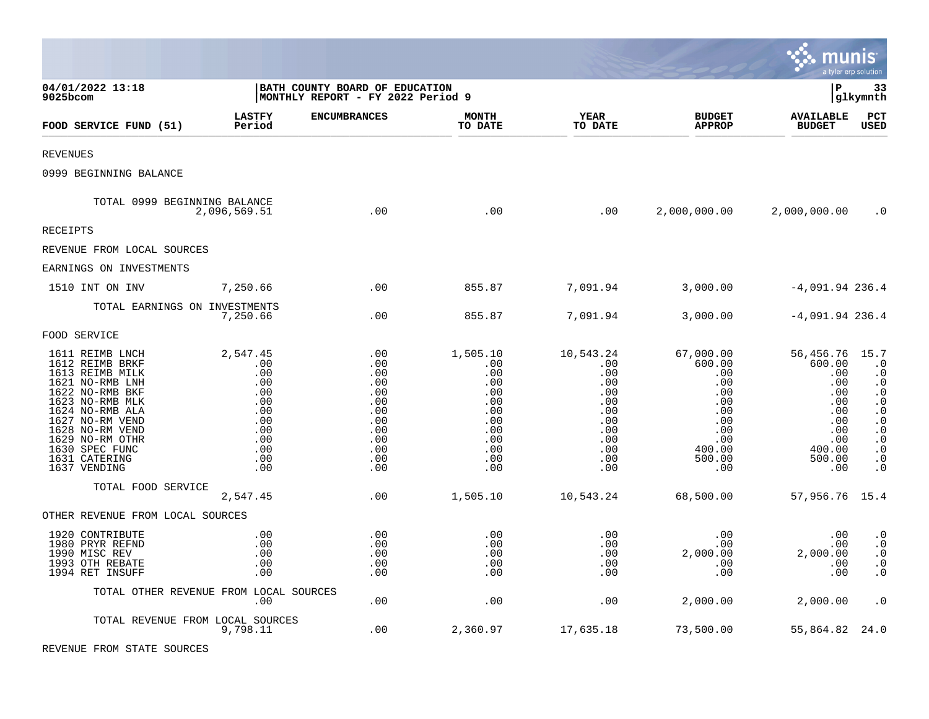|                                                                                                                                                                                                                                               |                                                                                              |                                                                                         |                                                                                              |                                                                                                              |                                                                                                             | <b>as munis</b>                                                                                        | a tyler erp solution                                                                                                                                                                       |
|-----------------------------------------------------------------------------------------------------------------------------------------------------------------------------------------------------------------------------------------------|----------------------------------------------------------------------------------------------|-----------------------------------------------------------------------------------------|----------------------------------------------------------------------------------------------|--------------------------------------------------------------------------------------------------------------|-------------------------------------------------------------------------------------------------------------|--------------------------------------------------------------------------------------------------------|--------------------------------------------------------------------------------------------------------------------------------------------------------------------------------------------|
| 04/01/2022 13:18<br>9025bcom                                                                                                                                                                                                                  |                                                                                              | BATH COUNTY BOARD OF EDUCATION<br>MONTHLY REPORT - FY 2022 Period 9                     |                                                                                              |                                                                                                              |                                                                                                             | l P                                                                                                    | 33<br> glkymnth                                                                                                                                                                            |
| FOOD SERVICE FUND (51)                                                                                                                                                                                                                        | <b>LASTFY</b><br>Period                                                                      | <b>ENCUMBRANCES</b>                                                                     | <b>MONTH</b><br>TO DATE                                                                      | <b>YEAR</b><br>TO DATE                                                                                       | <b>BUDGET</b><br><b>APPROP</b>                                                                              | <b>AVAILABLE</b><br><b>BUDGET</b>                                                                      | $_{\rm PCT}$<br><b>USED</b>                                                                                                                                                                |
| <b>REVENUES</b>                                                                                                                                                                                                                               |                                                                                              |                                                                                         |                                                                                              |                                                                                                              |                                                                                                             |                                                                                                        |                                                                                                                                                                                            |
| 0999 BEGINNING BALANCE                                                                                                                                                                                                                        |                                                                                              |                                                                                         |                                                                                              |                                                                                                              |                                                                                                             |                                                                                                        |                                                                                                                                                                                            |
| TOTAL 0999 BEGINNING BALANCE                                                                                                                                                                                                                  | 2,096,569.51                                                                                 | .00                                                                                     | .00                                                                                          | .00                                                                                                          |                                                                                                             | 2,000,000.00 2,000,000.00                                                                              | $\cdot$ 0                                                                                                                                                                                  |
| <b>RECEIPTS</b>                                                                                                                                                                                                                               |                                                                                              |                                                                                         |                                                                                              |                                                                                                              |                                                                                                             |                                                                                                        |                                                                                                                                                                                            |
| REVENUE FROM LOCAL SOURCES                                                                                                                                                                                                                    |                                                                                              |                                                                                         |                                                                                              |                                                                                                              |                                                                                                             |                                                                                                        |                                                                                                                                                                                            |
| EARNINGS ON INVESTMENTS                                                                                                                                                                                                                       |                                                                                              |                                                                                         |                                                                                              |                                                                                                              |                                                                                                             |                                                                                                        |                                                                                                                                                                                            |
| 1510 INT ON INV                                                                                                                                                                                                                               | 7,250.66                                                                                     | .00                                                                                     | 855.87                                                                                       | 7,091.94                                                                                                     | 3,000.00                                                                                                    | $-4,091.94$ 236.4                                                                                      |                                                                                                                                                                                            |
| TOTAL EARNINGS ON INVESTMENTS                                                                                                                                                                                                                 | 7,250.66                                                                                     | .00                                                                                     | 855.87                                                                                       | 7,091.94                                                                                                     | 3,000.00                                                                                                    | $-4,091.94$ 236.4                                                                                      |                                                                                                                                                                                            |
| FOOD SERVICE                                                                                                                                                                                                                                  |                                                                                              |                                                                                         |                                                                                              |                                                                                                              |                                                                                                             |                                                                                                        |                                                                                                                                                                                            |
| 1611 REIMB LNCH<br>1612 REIMB BRKF<br>1613 REIMB MILK<br>1621 NO-RMB LNH<br>1622 NO-RMB BKF<br>1623 NO-RMB MLK<br>1624 NO-RMB ALA<br>1627 NO-RM VEND<br>1628 NO-RM VEND<br>1629 NO-RM OTHR<br>1630 SPEC FUNC<br>1631 CATERING<br>1637 VENDING | 2,547.45<br>.00<br>.00<br>.00<br>.00<br>.00<br>.00<br>.00<br>.00<br>.00<br>.00<br>.00<br>.00 | .00<br>.00<br>.00<br>.00<br>.00<br>.00<br>.00<br>.00<br>.00<br>.00<br>.00<br>.00<br>.00 | 1,505.10<br>.00<br>.00<br>.00<br>.00<br>.00<br>.00<br>.00<br>.00<br>.00<br>.00<br>.00<br>.00 | 10,543.24<br>.00<br>$.00 \,$<br>$.00 \,$<br>.00<br>.00<br>.00<br>.00<br>.00<br>$.00 \,$<br>.00<br>.00<br>.00 | 67,000.00<br>600.00<br>.00<br>.00<br>.00<br>$.00 \,$<br>.00<br>.00<br>.00<br>.00<br>400.00<br>500.00<br>.00 | 56,456.76<br>600.00<br>.00<br>.00<br>.00<br>.00<br>.00<br>.00<br>.00<br>.00<br>400.00<br>500.00<br>.00 | 15.7<br>$\cdot$ 0<br>$\cdot$ 0<br>$\cdot$ 0<br>$\cdot$ 0<br>$\cdot$ 0<br>$\boldsymbol{\cdot}$ 0<br>$\cdot$ 0<br>$\cdot$ 0<br>$\cdot$ 0<br>$\cdot$ 0<br>$\boldsymbol{\cdot}$ 0<br>$\cdot$ 0 |
| TOTAL FOOD SERVICE                                                                                                                                                                                                                            | 2,547.45                                                                                     | .00                                                                                     | 1,505.10                                                                                     | 10,543.24                                                                                                    | 68,500.00                                                                                                   | 57,956.76 15.4                                                                                         |                                                                                                                                                                                            |
| OTHER REVENUE FROM LOCAL SOURCES                                                                                                                                                                                                              |                                                                                              |                                                                                         |                                                                                              |                                                                                                              |                                                                                                             |                                                                                                        |                                                                                                                                                                                            |
| 1920 CONTRIBUTE<br>1980 PRYR REFND<br>1990 MISC REV<br>1993 OTH REBATE<br>1994 RET INSUFF                                                                                                                                                     | .00<br>.00<br>.00<br>.00<br>.00                                                              | .00<br>.00<br>.00<br>.00<br>.00                                                         | .00<br>.00<br>.00<br>.00<br>.00                                                              | .00<br>.00<br>.00<br>.00<br>.00                                                                              | .00<br>.00<br>2,000.00<br>.00<br>.00                                                                        | .00<br>.00<br>2,000.00<br>.00<br>.00                                                                   | $\cdot$ 0<br>$\cdot$ 0<br>$\cdot$ 0<br>$\cdot$ 0<br>$\cdot$ 0                                                                                                                              |
| TOTAL OTHER REVENUE FROM LOCAL SOURCES                                                                                                                                                                                                        | .00                                                                                          | .00                                                                                     | .00                                                                                          | .00                                                                                                          | 2,000.00                                                                                                    | 2,000.00                                                                                               | $\cdot$ 0                                                                                                                                                                                  |
| TOTAL REVENUE FROM LOCAL SOURCES                                                                                                                                                                                                              | 9,798.11                                                                                     | .00                                                                                     | 2,360.97                                                                                     | 17,635.18                                                                                                    | 73,500.00                                                                                                   | 55,864.82 24.0                                                                                         |                                                                                                                                                                                            |

 $\mathcal{L}$ 

REVENUE FROM STATE SOURCES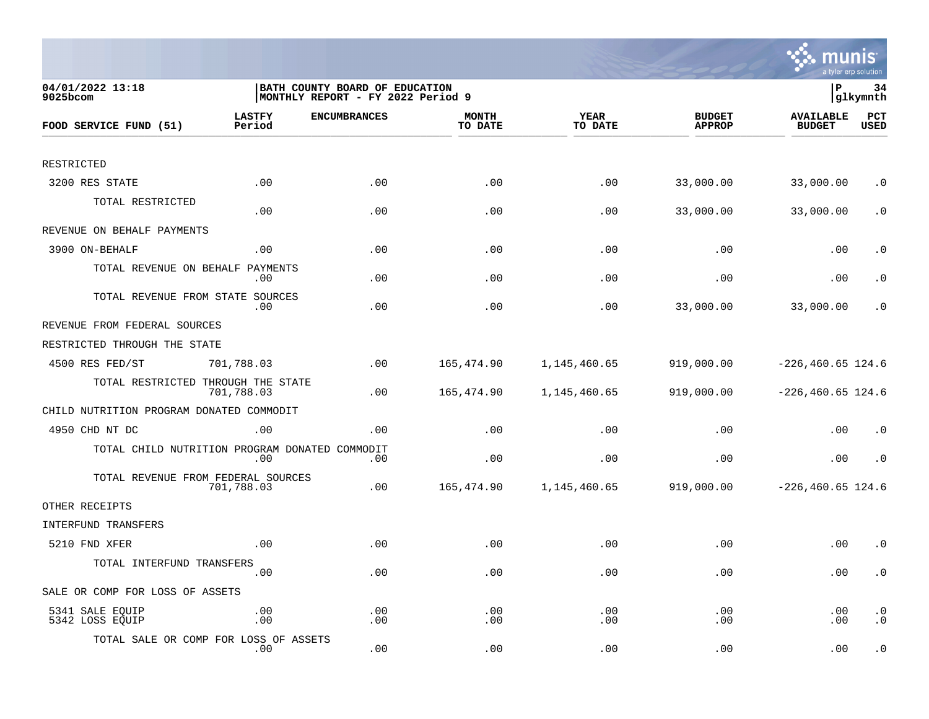

| 04/01/2022 13:18<br>9025bcom                   |                         | BATH COUNTY BOARD OF EDUCATION<br> MONTHLY REPORT - FY 2022 Period 9 |                         |                        |                                | lР                                | 34<br> glkymnth        |
|------------------------------------------------|-------------------------|----------------------------------------------------------------------|-------------------------|------------------------|--------------------------------|-----------------------------------|------------------------|
| FOOD SERVICE FUND (51)                         | <b>LASTFY</b><br>Period | <b>ENCUMBRANCES</b>                                                  | <b>MONTH</b><br>TO DATE | <b>YEAR</b><br>TO DATE | <b>BUDGET</b><br><b>APPROP</b> | <b>AVAILABLE</b><br><b>BUDGET</b> | PCT<br><b>USED</b>     |
|                                                |                         |                                                                      |                         |                        |                                |                                   |                        |
| RESTRICTED                                     |                         |                                                                      |                         |                        |                                |                                   |                        |
| 3200 RES STATE                                 | .00                     | .00                                                                  | .00                     | .00                    | 33,000.00                      | 33,000.00                         | $\cdot$ 0              |
| TOTAL RESTRICTED                               | .00                     | .00                                                                  | .00                     | .00                    | 33,000.00                      | 33,000.00                         | $\cdot$ 0              |
| REVENUE ON BEHALF PAYMENTS                     |                         |                                                                      |                         |                        |                                |                                   |                        |
| 3900 ON-BEHALF                                 | .00                     | .00                                                                  | .00                     | .00                    | .00                            | .00                               | $\cdot$ 0              |
| TOTAL REVENUE ON BEHALF                        | PAYMENTS<br>.00         | .00                                                                  | .00                     | .00                    | .00                            | .00                               | $\cdot$ 0              |
| TOTAL REVENUE FROM STATE SOURCES               | .00                     | .00                                                                  | .00                     | .00                    | 33,000.00                      | 33,000.00                         | . 0                    |
| REVENUE FROM FEDERAL SOURCES                   |                         |                                                                      |                         |                        |                                |                                   |                        |
| RESTRICTED THROUGH THE STATE                   |                         |                                                                      |                         |                        |                                |                                   |                        |
| 4500 RES FED/ST                                | 701,788.03              | .00                                                                  | 165,474.90              | 1,145,460.65           | 919,000.00                     | $-226, 460.65$ 124.6              |                        |
| TOTAL RESTRICTED THROUGH THE STATE             | 701,788.03              | .00                                                                  | 165,474.90              | 1,145,460.65           | 919,000.00                     | $-226, 460.65$ 124.6              |                        |
| CHILD NUTRITION PROGRAM DONATED COMMODIT       |                         |                                                                      |                         |                        |                                |                                   |                        |
| 4950 CHD NT DC                                 | .00                     | .00                                                                  | .00                     | .00                    | .00                            | .00                               | $\cdot$ 0              |
| TOTAL CHILD NUTRITION PROGRAM DONATED COMMODIT | .00                     | .00                                                                  | .00                     | .00                    | .00                            | .00                               | $\cdot$ 0              |
| TOTAL REVENUE FROM FEDERAL SOURCES             | 701,788.03              | .00                                                                  | 165,474.90              | 1,145,460.65           | 919,000.00                     | $-226, 460.65$ 124.6              |                        |
| OTHER RECEIPTS                                 |                         |                                                                      |                         |                        |                                |                                   |                        |
| INTERFUND TRANSFERS                            |                         |                                                                      |                         |                        |                                |                                   |                        |
| 5210 FND XFER                                  | .00                     | .00                                                                  | .00                     | .00                    | .00                            | .00                               | $\cdot$ 0              |
| TOTAL INTERFUND TRANSFERS                      | .00                     | .00                                                                  | .00                     | .00                    | .00                            | .00                               | $\cdot$ 0              |
| SALE OR COMP FOR LOSS OF ASSETS                |                         |                                                                      |                         |                        |                                |                                   |                        |
| 5341 SALE EQUIP<br>5342 LOSS EQUIP             | .00<br>.00              | .00<br>.00                                                           | .00<br>.00              | .00<br>.00             | .00<br>.00                     | .00<br>.00                        | $\cdot$ 0<br>$\cdot$ 0 |
| TOTAL SALE OR COMP FOR LOSS OF ASSETS          | .00                     | .00                                                                  | .00                     | .00                    | .00                            | .00                               | $\cdot$ 0              |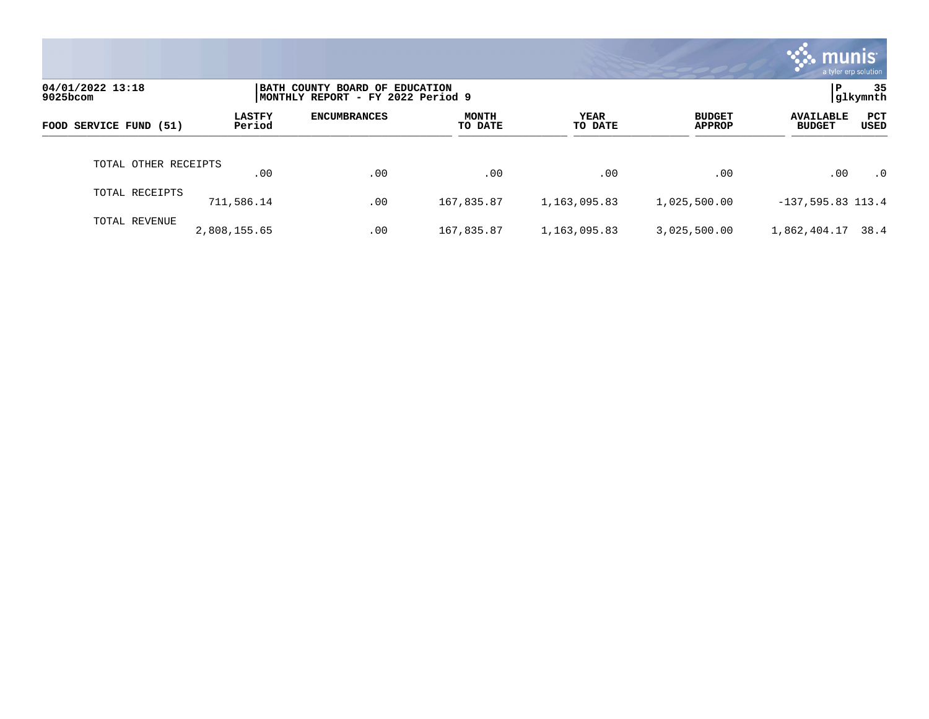|                              |                         |                                                                     |                  |                        |                                | munis'<br>a tyler erp solution    |                |
|------------------------------|-------------------------|---------------------------------------------------------------------|------------------|------------------------|--------------------------------|-----------------------------------|----------------|
| 04/01/2022 13:18<br>9025bcom |                         | BATH COUNTY BOARD OF EDUCATION<br>MONTHLY REPORT - FY 2022 Period 9 |                  |                        |                                | Р                                 | 35<br>glkymnth |
| FOOD SERVICE FUND (51)       | <b>LASTFY</b><br>Period | <b>ENCUMBRANCES</b>                                                 | MONTH<br>TO DATE | <b>YEAR</b><br>TO DATE | <b>BUDGET</b><br><b>APPROP</b> | <b>AVAILABLE</b><br><b>BUDGET</b> | PCT<br>USED    |
| TOTAL OTHER RECEIPTS         | .00                     | .00                                                                 | .00              | .00                    | .00                            | .00                               | $\cdot$ 0      |
| TOTAL RECEIPTS               | 711,586.14              | .00                                                                 | 167,835.87       | 1,163,095.83           | 1,025,500.00                   | $-137, 595.83$ 113.4              |                |
| TOTAL REVENUE                | 2,808,155.65            | .00                                                                 | 167,835.87       | 1,163,095.83           | 3,025,500.00                   | 1,862,404.17                      | 38.4           |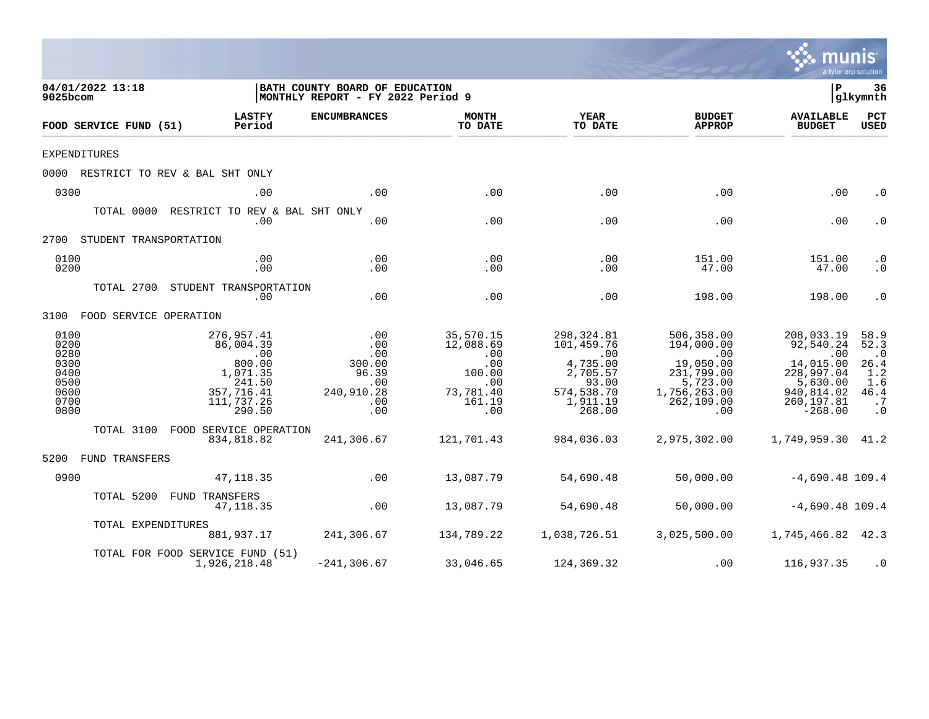|                                                                      |                                                                                                      |                                                                              |                                                                                     |                                                                                                           |                                                                                                                    | mu                                                                                                              | <b>nis</b><br>a tyler erp solution                                                |
|----------------------------------------------------------------------|------------------------------------------------------------------------------------------------------|------------------------------------------------------------------------------|-------------------------------------------------------------------------------------|-----------------------------------------------------------------------------------------------------------|--------------------------------------------------------------------------------------------------------------------|-----------------------------------------------------------------------------------------------------------------|-----------------------------------------------------------------------------------|
| 04/01/2022 13:18<br>9025bcom                                         |                                                                                                      | BATH COUNTY BOARD OF EDUCATION<br>MONTHLY REPORT - FY 2022 Period 9          |                                                                                     |                                                                                                           |                                                                                                                    | l P                                                                                                             | 36<br> glkymnth                                                                   |
| FOOD SERVICE FUND (51)                                               | <b>LASTFY</b><br>Period                                                                              | <b>ENCUMBRANCES</b>                                                          | <b>MONTH</b><br>TO DATE                                                             | YEAR<br>TO DATE                                                                                           | <b>BUDGET</b><br><b>APPROP</b>                                                                                     | <b>AVAILABLE</b><br><b>BUDGET</b>                                                                               | PCT<br><b>USED</b>                                                                |
| <b>EXPENDITURES</b>                                                  |                                                                                                      |                                                                              |                                                                                     |                                                                                                           |                                                                                                                    |                                                                                                                 |                                                                                   |
|                                                                      | 0000 RESTRICT TO REV & BAL SHT ONLY                                                                  |                                                                              |                                                                                     |                                                                                                           |                                                                                                                    |                                                                                                                 |                                                                                   |
| 0300                                                                 | .00                                                                                                  | .00                                                                          | .00                                                                                 | .00                                                                                                       | .00                                                                                                                | .00                                                                                                             | $\cdot$ 0                                                                         |
|                                                                      | TOTAL 0000 RESTRICT TO REV & BAL SHT ONLY<br>.00                                                     | .00                                                                          | .00                                                                                 | .00                                                                                                       | .00                                                                                                                | .00                                                                                                             | $\cdot$ 0                                                                         |
| 2700 STUDENT TRANSPORTATION                                          |                                                                                                      |                                                                              |                                                                                     |                                                                                                           |                                                                                                                    |                                                                                                                 |                                                                                   |
| 0100<br>0200                                                         | .00<br>.00                                                                                           | .00<br>.00                                                                   | .00<br>.00                                                                          | .00<br>.00                                                                                                | 151.00<br>47.00                                                                                                    | 151.00<br>47.00                                                                                                 | $\cdot$ 0<br>$\cdot$ 0                                                            |
|                                                                      | TOTAL 2700 STUDENT TRANSPORTATION<br>.00                                                             | .00                                                                          | .00                                                                                 | .00                                                                                                       | 198.00                                                                                                             | 198.00                                                                                                          | $\cdot$ 0                                                                         |
| 3100 FOOD SERVICE OPERATION                                          |                                                                                                      |                                                                              |                                                                                     |                                                                                                           |                                                                                                                    |                                                                                                                 |                                                                                   |
| 0100<br>0200<br>0280<br>0300<br>0400<br>0500<br>0600<br>0700<br>0800 | 276,957.41<br>86,004.39<br>.00<br>800.00<br>1,071.35<br>241.50<br>357,716.41<br>111,737.26<br>290.50 | .00<br>.00<br>.00<br>300.00<br>96.39<br>$\ldots$<br>240,910.28<br>.00<br>.00 | 35,570.15<br>12,088.69<br>.00<br>.00<br>100.00<br>.00<br>73,781.40<br>161.19<br>.00 | 298,324.81<br>101,459.76<br>$\,$ .00<br>4,735.00<br>2,705.57<br>93.00<br>574,538.70<br>1,911.19<br>268.00 | 506,358.00<br>194,000.00<br>$\sim 00$<br>19,050.00<br>231,799.00<br>5,723.00<br>1,756,263.00<br>262, 109.00<br>.00 | 208,033.19<br>92,540.24<br>.00<br>14,015.00<br>228,997.04<br>5,630.00<br>940,814.02<br>260, 197.81<br>$-268.00$ | 58.9<br>52.3<br>$\cdot$ 0<br>26.4<br>1.2<br>1.6<br>46.4<br>$\cdot$ 7<br>$\cdot$ 0 |
|                                                                      | TOTAL 3100 FOOD SERVICE OPERATION<br>834,818.82                                                      | 241,306.67                                                                   | 121,701.43                                                                          | 984,036.03                                                                                                | 2,975,302.00                                                                                                       | 1,749,959.30 41.2                                                                                               |                                                                                   |
| 5200 FUND TRANSFERS                                                  |                                                                                                      |                                                                              |                                                                                     |                                                                                                           |                                                                                                                    |                                                                                                                 |                                                                                   |
| 0900                                                                 | 47, 118.35                                                                                           | .00                                                                          | 13,087.79                                                                           | 54,690.48                                                                                                 | 50,000.00                                                                                                          | $-4,690.48$ 109.4                                                                                               |                                                                                   |
| TOTAL 5200                                                           | FUND TRANSFERS<br>47, 118.35                                                                         | .00                                                                          | 13,087.79                                                                           | 54,690.48                                                                                                 | 50,000.00                                                                                                          | $-4,690.48$ 109.4                                                                                               |                                                                                   |
|                                                                      | TOTAL EXPENDITURES<br>881,937.17                                                                     | 241,306.67                                                                   | 134,789.22                                                                          | 1,038,726.51                                                                                              | 3,025,500.00                                                                                                       | 1,745,466.82 42.3                                                                                               |                                                                                   |
|                                                                      | TOTAL FOR FOOD SERVICE FUND (51)<br>1,926,218.48                                                     | $-241, 306.67$                                                               | 33,046.65                                                                           | 124,369.32                                                                                                | .00                                                                                                                | 116,937.35                                                                                                      | $\cdot$ 0                                                                         |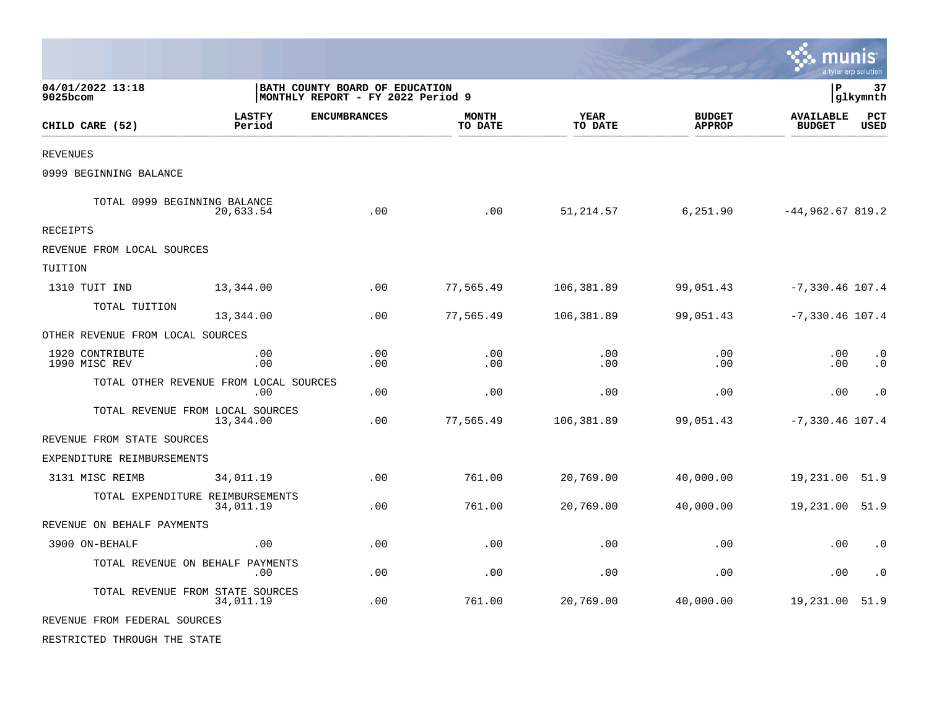|                                  |                                               |                                                                     |                         |                        |                                | munis<br>a tyler erp solution     |                        |
|----------------------------------|-----------------------------------------------|---------------------------------------------------------------------|-------------------------|------------------------|--------------------------------|-----------------------------------|------------------------|
| 04/01/2022 13:18<br>9025bcom     |                                               | BATH COUNTY BOARD OF EDUCATION<br>MONTHLY REPORT - FY 2022 Period 9 |                         |                        |                                | $\, {\bf P}$                      | 37<br>glkymnth         |
| CHILD CARE (52)                  | <b>LASTFY</b><br>Period                       | <b>ENCUMBRANCES</b>                                                 | <b>MONTH</b><br>TO DATE | <b>YEAR</b><br>TO DATE | <b>BUDGET</b><br><b>APPROP</b> | <b>AVAILABLE</b><br><b>BUDGET</b> | PCT<br><b>USED</b>     |
| REVENUES                         |                                               |                                                                     |                         |                        |                                |                                   |                        |
| 0999 BEGINNING BALANCE           |                                               |                                                                     |                         |                        |                                |                                   |                        |
| TOTAL 0999 BEGINNING BALANCE     | 20,633.54                                     | .00                                                                 | .00                     | 51,214.57              | 6,251.90                       | $-44,962.67819.2$                 |                        |
| <b>RECEIPTS</b>                  |                                               |                                                                     |                         |                        |                                |                                   |                        |
| REVENUE FROM LOCAL SOURCES       |                                               |                                                                     |                         |                        |                                |                                   |                        |
| TUITION                          |                                               |                                                                     |                         |                        |                                |                                   |                        |
| 1310 TUIT IND                    | 13,344.00                                     | .00                                                                 | 77,565.49               | 106,381.89             | 99,051.43                      | $-7,330.46$ 107.4                 |                        |
| TOTAL TUITION                    | 13,344.00                                     | .00                                                                 | 77,565.49               | 106,381.89             | 99,051.43                      | $-7,330.46$ 107.4                 |                        |
| OTHER REVENUE FROM LOCAL SOURCES |                                               |                                                                     |                         |                        |                                |                                   |                        |
| 1920 CONTRIBUTE<br>1990 MISC REV | .00<br>.00                                    | .00<br>.00                                                          | .00<br>.00              | .00<br>.00             | .00<br>.00                     | .00<br>.00                        | $\cdot$ 0<br>$\cdot$ 0 |
|                                  | TOTAL OTHER REVENUE FROM LOCAL SOURCES<br>.00 | .00                                                                 | .00                     | .00                    | .00                            | .00                               | $\cdot$ 0              |
|                                  | TOTAL REVENUE FROM LOCAL SOURCES<br>13,344.00 | .00                                                                 | 77,565.49               | 106,381.89             | 99,051.43                      | $-7,330.46$ 107.4                 |                        |
| REVENUE FROM STATE SOURCES       |                                               |                                                                     |                         |                        |                                |                                   |                        |
| EXPENDITURE REIMBURSEMENTS       |                                               |                                                                     |                         |                        |                                |                                   |                        |
| 3131 MISC REIMB                  | 34,011.19                                     | .00                                                                 | 761.00                  | 20,769.00              | 40,000.00                      | 19,231.00                         | 51.9                   |
|                                  | TOTAL EXPENDITURE REIMBURSEMENTS<br>34,011.19 | .00                                                                 | 761.00                  | 20,769.00              | 40,000.00                      | 19,231.00                         | 51.9                   |
| REVENUE ON BEHALF PAYMENTS       |                                               |                                                                     |                         |                        |                                |                                   |                        |
| 3900 ON-BEHALF                   | .00                                           | .00                                                                 | .00                     | .00                    | .00                            | .00                               | $\cdot$ 0              |
|                                  | TOTAL REVENUE ON BEHALF PAYMENTS<br>.00       | .00                                                                 | .00                     | .00                    | .00                            | .00                               | $\cdot$ 0              |
|                                  | TOTAL REVENUE FROM STATE SOURCES<br>34,011.19 | .00                                                                 | 761.00                  | 20,769.00              | 40,000.00                      | 19,231.00                         | 51.9                   |
| REVENUE FROM FEDERAL SOURCES     |                                               |                                                                     |                         |                        |                                |                                   |                        |
| RESTRICTED THROUGH THE STATE     |                                               |                                                                     |                         |                        |                                |                                   |                        |

 $\bullet$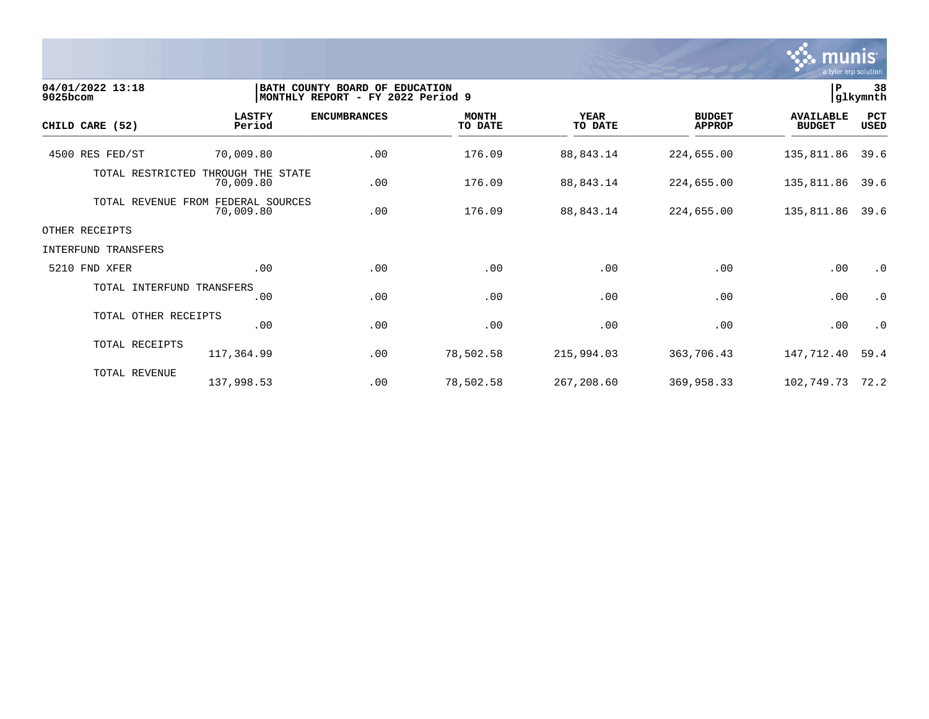

| 04/01/2022 13:18<br>9025bcom |                                      | BATH COUNTY BOARD OF EDUCATION<br>MONTHLY REPORT - FY 2022 Period 9 |                         |                        |                                |                                   | 38<br>glkymnth     |
|------------------------------|--------------------------------------|---------------------------------------------------------------------|-------------------------|------------------------|--------------------------------|-----------------------------------|--------------------|
| CHILD CARE (52)              | <b>LASTFY</b><br>Period              | <b>ENCUMBRANCES</b>                                                 | <b>MONTH</b><br>TO DATE | <b>YEAR</b><br>TO DATE | <b>BUDGET</b><br><b>APPROP</b> | <b>AVAILABLE</b><br><b>BUDGET</b> | PCT<br><b>USED</b> |
| 4500 RES FED/ST              | 70,009.80                            | .00                                                                 | 176.09                  | 88,843.14              | 224,655.00                     | 135,811.86                        | 39.6               |
| TOTAL RESTRICTED             | THROUGH THE STATE<br>70,009.80       | .00                                                                 | 176.09                  | 88,843.14              | 224,655.00                     | 135,811.86                        | 39.6               |
| TOTAL REVENUE                | FROM<br>FEDERAL SOURCES<br>70,009.80 | .00                                                                 | 176.09                  | 88,843.14              | 224,655.00                     | 135,811.86                        | 39.6               |
| OTHER RECEIPTS               |                                      |                                                                     |                         |                        |                                |                                   |                    |
| <b>INTERFUND TRANSFERS</b>   |                                      |                                                                     |                         |                        |                                |                                   |                    |
| 5210 FND XFER                | .00                                  | .00                                                                 | .00                     | .00                    | .00                            | .00                               | $\cdot$ 0          |
| TOTAL INTERFUND TRANSFERS    | .00                                  | .00                                                                 | .00                     | .00                    | .00                            | .00                               | $\cdot$ 0          |
| TOTAL OTHER RECEIPTS         | .00                                  | .00                                                                 | .00                     | .00                    | .00                            | .00                               | $\cdot$ 0          |
| TOTAL RECEIPTS               | 117,364.99                           | .00                                                                 | 78,502.58               | 215,994.03             | 363,706.43                     | 147,712.40                        | 59.4               |
| TOTAL REVENUE                | 137,998.53                           | .00                                                                 | 78,502.58               | 267,208.60             | 369,958.33                     | 102,749.73                        | 72.2               |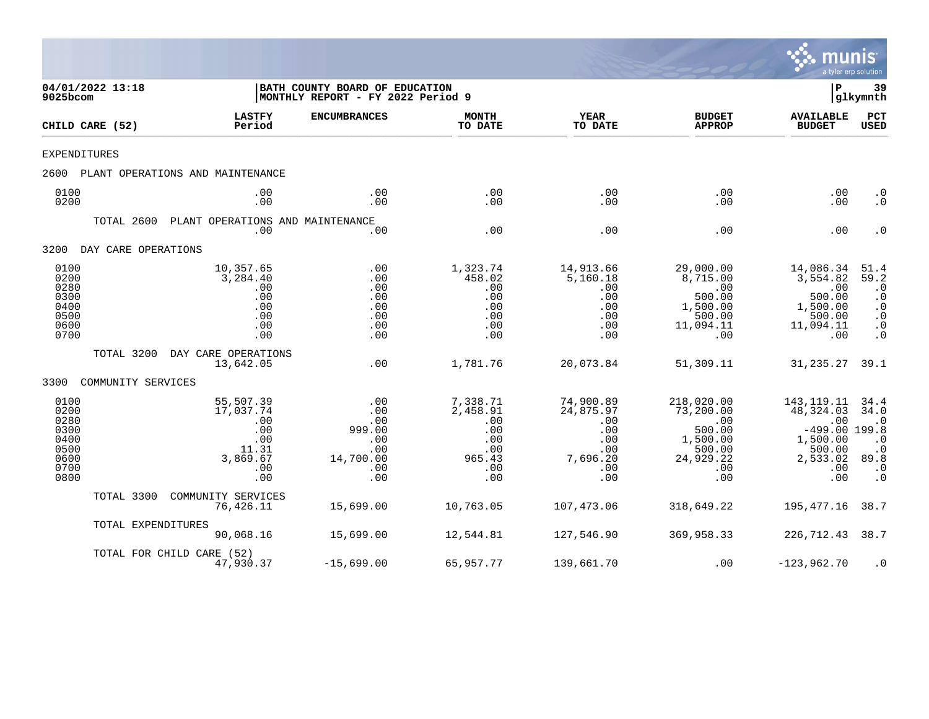

|                                                                      | 04/01/2022 13:18<br>9025bcom |                                                                                | BATH COUNTY BOARD OF EDUCATION<br> MONTHLY REPORT - FY 2022 Period 9 |                                                                          |                                                                              |                                                                                            | P                                                                                                    | 39<br> glkymnth                                                                            |
|----------------------------------------------------------------------|------------------------------|--------------------------------------------------------------------------------|----------------------------------------------------------------------|--------------------------------------------------------------------------|------------------------------------------------------------------------------|--------------------------------------------------------------------------------------------|------------------------------------------------------------------------------------------------------|--------------------------------------------------------------------------------------------|
|                                                                      | CHILD CARE (52)              | <b>LASTFY</b><br>Period                                                        | <b>ENCUMBRANCES</b>                                                  | <b>MONTH</b><br>TO DATE                                                  | <b>YEAR</b><br>TO DATE                                                       | <b>BUDGET</b><br><b>APPROP</b>                                                             | <b>AVAILABLE</b><br><b>BUDGET</b>                                                                    | <b>PCT</b><br><b>USED</b>                                                                  |
| EXPENDITURES                                                         |                              |                                                                                |                                                                      |                                                                          |                                                                              |                                                                                            |                                                                                                      |                                                                                            |
| 2600                                                                 |                              | PLANT OPERATIONS AND MAINTENANCE                                               |                                                                      |                                                                          |                                                                              |                                                                                            |                                                                                                      |                                                                                            |
| 0100<br>0200                                                         |                              | .00<br>.00                                                                     | .00<br>.00                                                           | .00<br>.00                                                               | .00<br>.00                                                                   | .00<br>.00.                                                                                | .00<br>.00                                                                                           | $\cdot$ 0<br>$\cdot$ 0                                                                     |
|                                                                      | TOTAL 2600                   | PLANT OPERATIONS AND MAINTENANCE<br>.00                                        | .00                                                                  | .00                                                                      | .00                                                                          | .00                                                                                        | .00                                                                                                  | $\cdot$ 0                                                                                  |
| 3200                                                                 | DAY CARE OPERATIONS          |                                                                                |                                                                      |                                                                          |                                                                              |                                                                                            |                                                                                                      |                                                                                            |
| 0100<br>0200<br>0280<br>0300<br>0400<br>0500<br>0600<br>0700         |                              | 10,357.65<br>3,284.40<br>.00<br>.00<br>.00<br>.00<br>.00<br>.00                | .00<br>.00<br>.00<br>.00<br>.00<br>.00<br>.00<br>.00                 | 1,323.74<br>458.02<br>.00<br>.00<br>.00<br>.00<br>.00<br>.00             | 14,913.66<br>5,160.18<br>.00<br>.00<br>.00<br>.00<br>.00<br>.00              | 29,000.00<br>8,715.00<br>.00<br>500.00<br>1,500.00<br>500.00<br>11,094.11<br>.00           | 14,086.34<br>3,554.82<br>.00<br>500.00<br>1,500.00<br>500.00<br>11,094.11<br>.00                     | 51.4<br>59.2<br>$\cdot$ 0<br>$\cdot$ 0<br>$\cdot$ 0<br>$\cdot$ 0<br>$\cdot$ 0<br>$\cdot$ 0 |
|                                                                      | TOTAL 3200                   | DAY CARE OPERATIONS<br>13,642.05                                               | .00                                                                  | 1,781.76                                                                 | 20,073.84                                                                    | 51,309.11                                                                                  | 31,235.27                                                                                            | 39.1                                                                                       |
| 3300                                                                 | COMMUNITY SERVICES           |                                                                                |                                                                      |                                                                          |                                                                              |                                                                                            |                                                                                                      |                                                                                            |
| 0100<br>0200<br>0280<br>0300<br>0400<br>0500<br>0600<br>0700<br>0800 |                              | 55,507.39<br>17,037.74<br>.00<br>.00<br>.00<br>11.31<br>3,869.67<br>.00<br>.00 | .00<br>.00<br>.00<br>999.00<br>.00<br>.00<br>14,700.00<br>.00<br>.00 | 7,338.71<br>2,458.91<br>.00<br>.00<br>.00<br>.00<br>965.43<br>.00<br>.00 | 74,900.89<br>24,875.97<br>.00<br>.00<br>.00<br>.00<br>7,696.20<br>.00<br>.00 | 218,020.00<br>73,200.00<br>.00<br>500.00<br>1,500.00<br>500.00<br>24,929.22<br>.00.<br>.00 | 143, 119. 11<br>48, 324.03<br>.00<br>$-499.00$ 199.8<br>1,500.00<br>500.00<br>2,533.02<br>.00<br>.00 | 34.4<br>34.0<br>$\cdot$ 0<br>$\cdot$ 0<br>$\cdot$ 0<br>89.8<br>$\cdot$ 0<br>$\cdot$ 0      |
|                                                                      | TOTAL 3300                   | COMMUNITY SERVICES<br>76,426.11                                                | 15,699.00                                                            | 10,763.05                                                                | 107,473.06                                                                   | 318,649.22                                                                                 | 195,477.16                                                                                           | 38.7                                                                                       |
|                                                                      | TOTAL EXPENDITURES           | 90,068.16                                                                      | 15,699.00                                                            | 12,544.81                                                                | 127,546.90                                                                   | 369,958.33                                                                                 | 226,712.43                                                                                           | 38.7                                                                                       |
|                                                                      |                              | TOTAL FOR CHILD CARE (52)<br>47,930.37                                         | $-15,699.00$                                                         | 65,957.77                                                                | 139,661.70                                                                   | .00                                                                                        | $-123,962.70$                                                                                        | $\cdot$ 0                                                                                  |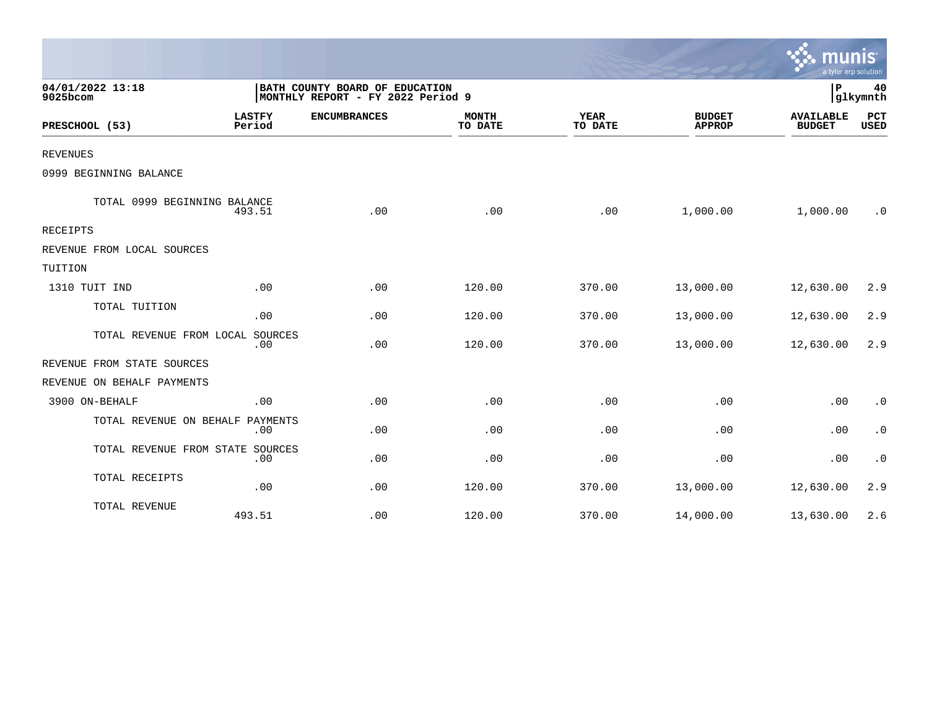|                                  |                         |                                                                     |                         |                        |                                | mun<br>a tyler erp solution       |                    |
|----------------------------------|-------------------------|---------------------------------------------------------------------|-------------------------|------------------------|--------------------------------|-----------------------------------|--------------------|
| 04/01/2022 13:18<br>9025bcom     |                         | BATH COUNTY BOARD OF EDUCATION<br>MONTHLY REPORT - FY 2022 Period 9 |                         |                        |                                | ΙP                                | 40<br>glkymnth     |
| PRESCHOOL (53)                   | <b>LASTFY</b><br>Period | <b>ENCUMBRANCES</b>                                                 | <b>MONTH</b><br>TO DATE | <b>YEAR</b><br>TO DATE | <b>BUDGET</b><br><b>APPROP</b> | <b>AVAILABLE</b><br><b>BUDGET</b> | PCT<br><b>USED</b> |
| <b>REVENUES</b>                  |                         |                                                                     |                         |                        |                                |                                   |                    |
| 0999 BEGINNING BALANCE           |                         |                                                                     |                         |                        |                                |                                   |                    |
| TOTAL 0999 BEGINNING BALANCE     | 493.51                  | .00                                                                 | .00                     | .00                    | 1,000.00                       | 1,000.00                          | . 0                |
| <b>RECEIPTS</b>                  |                         |                                                                     |                         |                        |                                |                                   |                    |
| REVENUE FROM LOCAL SOURCES       |                         |                                                                     |                         |                        |                                |                                   |                    |
| TUITION                          |                         |                                                                     |                         |                        |                                |                                   |                    |
| 1310 TUIT IND                    | .00                     | .00                                                                 | 120.00                  | 370.00                 | 13,000.00                      | 12,630.00                         | 2.9                |
| TOTAL TUITION                    | .00                     | .00                                                                 | 120.00                  | 370.00                 | 13,000.00                      | 12,630.00                         | 2.9                |
| TOTAL REVENUE FROM LOCAL SOURCES | .00                     | .00                                                                 | 120.00                  | 370.00                 | 13,000.00                      | 12,630.00                         | 2.9                |
| REVENUE FROM STATE SOURCES       |                         |                                                                     |                         |                        |                                |                                   |                    |
| REVENUE ON BEHALF PAYMENTS       |                         |                                                                     |                         |                        |                                |                                   |                    |
| 3900 ON-BEHALF                   | .00                     | .00                                                                 | .00                     | .00                    | .00                            | .00                               | $\cdot$ 0          |
| TOTAL REVENUE ON BEHALF          | PAYMENTS<br>.00         | .00                                                                 | .00                     | .00                    | .00                            | .00                               | $\cdot$ 0          |
| TOTAL REVENUE FROM STATE SOURCES | .00                     | .00                                                                 | .00                     | .00                    | .00                            | .00                               | $\cdot$ 0          |
| TOTAL RECEIPTS                   | .00                     | .00                                                                 | 120.00                  | 370.00                 | 13,000.00                      | 12,630.00                         | 2.9                |
| TOTAL REVENUE                    | 493.51                  | .00                                                                 | 120.00                  | 370.00                 | 14,000.00                      | 13,630.00                         | 2.6                |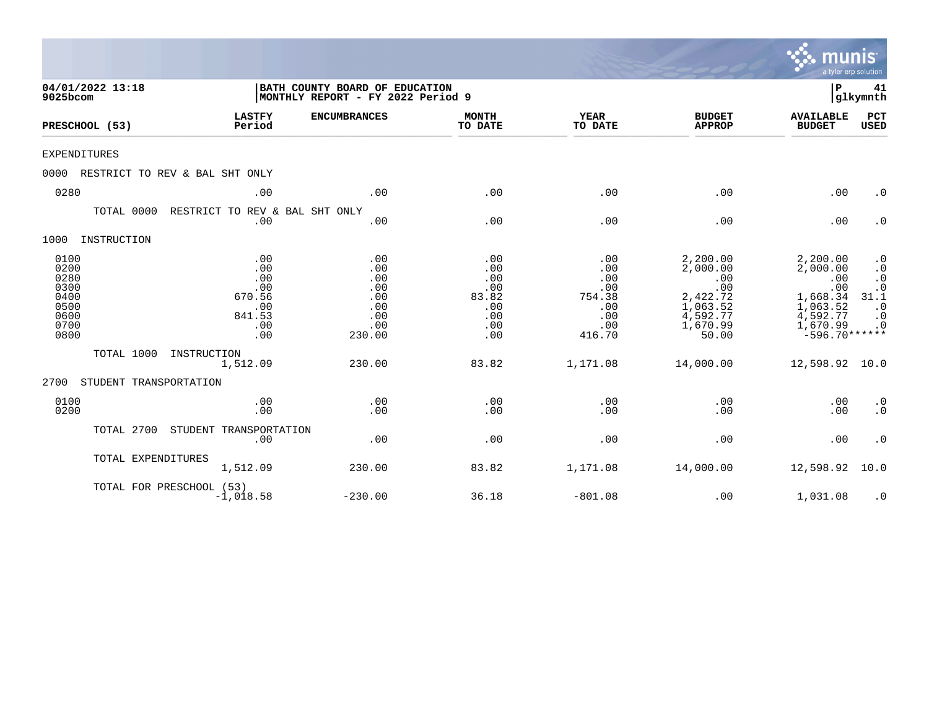|                                                                      |                                |                                                                   |                                                                     |                                                               |                                                                   |                                                                                             | munis<br>a tyler erp solution                                                                         |                                                                                            |
|----------------------------------------------------------------------|--------------------------------|-------------------------------------------------------------------|---------------------------------------------------------------------|---------------------------------------------------------------|-------------------------------------------------------------------|---------------------------------------------------------------------------------------------|-------------------------------------------------------------------------------------------------------|--------------------------------------------------------------------------------------------|
| 9025bcom                                                             | 04/01/2022 13:18               |                                                                   | BATH COUNTY BOARD OF EDUCATION<br>MONTHLY REPORT - FY 2022 Period 9 |                                                               |                                                                   |                                                                                             | P                                                                                                     | 41<br> glkymnth                                                                            |
| PRESCHOOL (53)                                                       |                                | <b>LASTFY</b><br>Period                                           | <b>ENCUMBRANCES</b>                                                 | <b>MONTH</b><br>TO DATE                                       | <b>YEAR</b><br>TO DATE                                            | <b>BUDGET</b><br><b>APPROP</b>                                                              | <b>AVAILABLE</b><br><b>BUDGET</b>                                                                     | PCT<br><b>USED</b>                                                                         |
| <b>EXPENDITURES</b>                                                  |                                |                                                                   |                                                                     |                                                               |                                                                   |                                                                                             |                                                                                                       |                                                                                            |
| 0000                                                                 | RESTRICT TO REV & BAL SHT ONLY |                                                                   |                                                                     |                                                               |                                                                   |                                                                                             |                                                                                                       |                                                                                            |
| 0280                                                                 |                                | .00                                                               | .00                                                                 | .00                                                           | .00                                                               | .00                                                                                         | .00                                                                                                   | $\cdot$ 0                                                                                  |
|                                                                      | TOTAL 0000                     | RESTRICT TO REV & BAL SHT ONLY<br>.00                             | .00                                                                 | .00                                                           | .00                                                               | .00                                                                                         | .00                                                                                                   | $\cdot$ 0                                                                                  |
| 1000                                                                 | INSTRUCTION                    |                                                                   |                                                                     |                                                               |                                                                   |                                                                                             |                                                                                                       |                                                                                            |
| 0100<br>0200<br>0280<br>0300<br>0400<br>0500<br>0600<br>0700<br>0800 |                                | .00<br>.00<br>.00<br>.00<br>670.56<br>.00<br>841.53<br>.00<br>.00 | .00<br>.00<br>.00<br>.00<br>.00<br>.00<br>.00<br>.00<br>230.00      | .00<br>.00<br>.00<br>.00<br>83.82<br>.00<br>.00<br>.00<br>.00 | .00<br>.00<br>.00<br>.00<br>754.38<br>.00<br>.00<br>.00<br>416.70 | 2,200.00<br>2,000.00<br>.00<br>.00<br>2,422.72<br>1,063.52<br>4,592.77<br>1,670.99<br>50.00 | 2,200.00<br>2,000.00<br>.00<br>.00<br>1,668.34<br>1,063.52<br>4,592.77<br>1,670.99<br>$-596.70******$ | $\cdot$ 0<br>$\cdot$ 0<br>$\cdot$ 0<br>$.0$<br>31.1<br>$\cdot$ 0<br>$\cdot$ 0<br>$\cdot$ 0 |
|                                                                      | TOTAL 1000                     | INSTRUCTION<br>1,512.09                                           | 230.00                                                              | 83.82                                                         | 1,171.08                                                          | 14,000.00                                                                                   | 12,598.92                                                                                             | 10.0                                                                                       |
| 2700                                                                 | STUDENT TRANSPORTATION         |                                                                   |                                                                     |                                                               |                                                                   |                                                                                             |                                                                                                       |                                                                                            |
| 0100<br>0200                                                         |                                | .00<br>.00                                                        | .00<br>.00                                                          | .00<br>.00                                                    | .00<br>.00                                                        | .00<br>.00                                                                                  | .00<br>.00                                                                                            | $\cdot$ 0<br>$\cdot$ 0                                                                     |
|                                                                      | TOTAL 2700                     | STUDENT TRANSPORTATION<br>.00                                     | .00                                                                 | .00                                                           | .00                                                               | .00                                                                                         | .00                                                                                                   | $\cdot$ 0                                                                                  |
|                                                                      | TOTAL EXPENDITURES             | 1,512.09                                                          | 230.00                                                              | 83.82                                                         | 1,171.08                                                          | 14,000.00                                                                                   | 12,598.92                                                                                             | 10.0                                                                                       |
|                                                                      | TOTAL FOR PRESCHOOL (53)       | $-1,018.58$                                                       | $-230.00$                                                           | 36.18                                                         | $-801.08$                                                         | .00                                                                                         | 1,031.08                                                                                              | $\cdot$ 0                                                                                  |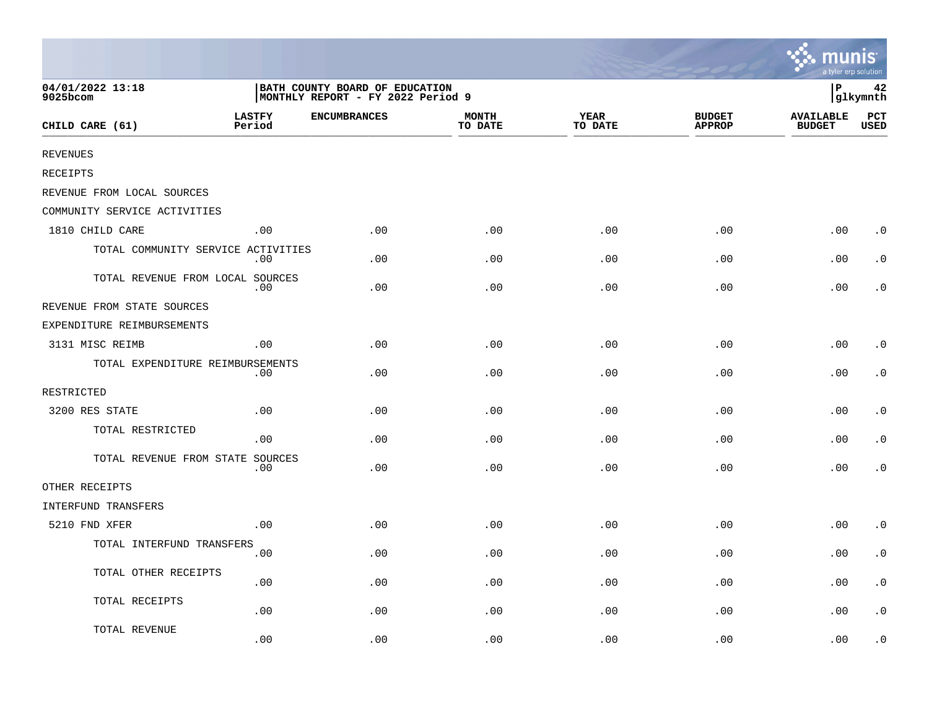|                                    |                         |                                                                     |                         |                        |                                | mıın<br>a tyler erp solution      |                        |
|------------------------------------|-------------------------|---------------------------------------------------------------------|-------------------------|------------------------|--------------------------------|-----------------------------------|------------------------|
| 04/01/2022 13:18<br>9025bcom       |                         | BATH COUNTY BOARD OF EDUCATION<br>MONTHLY REPORT - FY 2022 Period 9 |                         |                        |                                | ∣P                                | 42<br>glkymnth         |
| CHILD CARE (61)                    | <b>LASTFY</b><br>Period | <b>ENCUMBRANCES</b>                                                 | <b>MONTH</b><br>TO DATE | <b>YEAR</b><br>TO DATE | <b>BUDGET</b><br><b>APPROP</b> | <b>AVAILABLE</b><br><b>BUDGET</b> | $_{\rm PCT}$<br>USED   |
| <b>REVENUES</b>                    |                         |                                                                     |                         |                        |                                |                                   |                        |
| RECEIPTS                           |                         |                                                                     |                         |                        |                                |                                   |                        |
| REVENUE FROM LOCAL SOURCES         |                         |                                                                     |                         |                        |                                |                                   |                        |
| COMMUNITY SERVICE ACTIVITIES       |                         |                                                                     |                         |                        |                                |                                   |                        |
| 1810 CHILD CARE                    | .00                     | .00                                                                 | .00                     | .00                    | .00                            | .00                               | $\cdot$ 0              |
| TOTAL COMMUNITY SERVICE ACTIVITIES | .00                     | .00                                                                 | .00                     | .00                    | .00                            | .00                               | $\cdot$ 0              |
| TOTAL REVENUE FROM LOCAL SOURCES   | .00                     | .00                                                                 | .00                     | .00                    | .00                            | .00                               | $\cdot$ 0              |
| REVENUE FROM STATE SOURCES         |                         |                                                                     |                         |                        |                                |                                   |                        |
| EXPENDITURE REIMBURSEMENTS         |                         |                                                                     |                         |                        |                                |                                   |                        |
| 3131 MISC REIMB                    | .00                     | .00                                                                 | .00                     | .00                    | .00                            | .00                               | $\cdot$ 0              |
| TOTAL EXPENDITURE REIMBURSEMENTS   | .00                     | .00                                                                 | .00                     | .00                    | .00                            | .00                               | $\cdot$ 0              |
| RESTRICTED                         |                         |                                                                     |                         |                        |                                |                                   |                        |
| 3200 RES STATE                     | .00                     | .00                                                                 | .00                     | .00                    | .00                            | .00                               | $\cdot$ 0              |
| TOTAL RESTRICTED                   | .00                     | .00                                                                 | .00                     | .00                    | .00                            | .00                               | $\cdot$ 0              |
| TOTAL REVENUE FROM STATE SOURCES   | .00                     | .00                                                                 | .00                     | .00                    | .00                            | .00                               | $\cdot$ 0              |
| OTHER RECEIPTS                     |                         |                                                                     |                         |                        |                                |                                   |                        |
| INTERFUND TRANSFERS                |                         |                                                                     |                         |                        |                                |                                   |                        |
| 5210 FND XFER                      | .00                     | .00                                                                 | .00                     | .00                    | .00                            | .00                               | $\cdot$ 0              |
| TOTAL INTERFUND TRANSFERS          | .00                     | .00                                                                 | .00                     | .00                    | .00                            | .00                               | $\cdot$ 0              |
| TOTAL OTHER RECEIPTS               | .00                     | .00                                                                 | .00                     | .00                    | .00                            | .00                               | $\cdot$ 0              |
| TOTAL RECEIPTS                     | .00                     | .00                                                                 | .00                     | .00                    | .00                            | .00                               | $\boldsymbol{\cdot}$ 0 |
| TOTAL REVENUE                      | .00                     | .00                                                                 | .00                     | .00                    | .00                            | .00                               | . 0                    |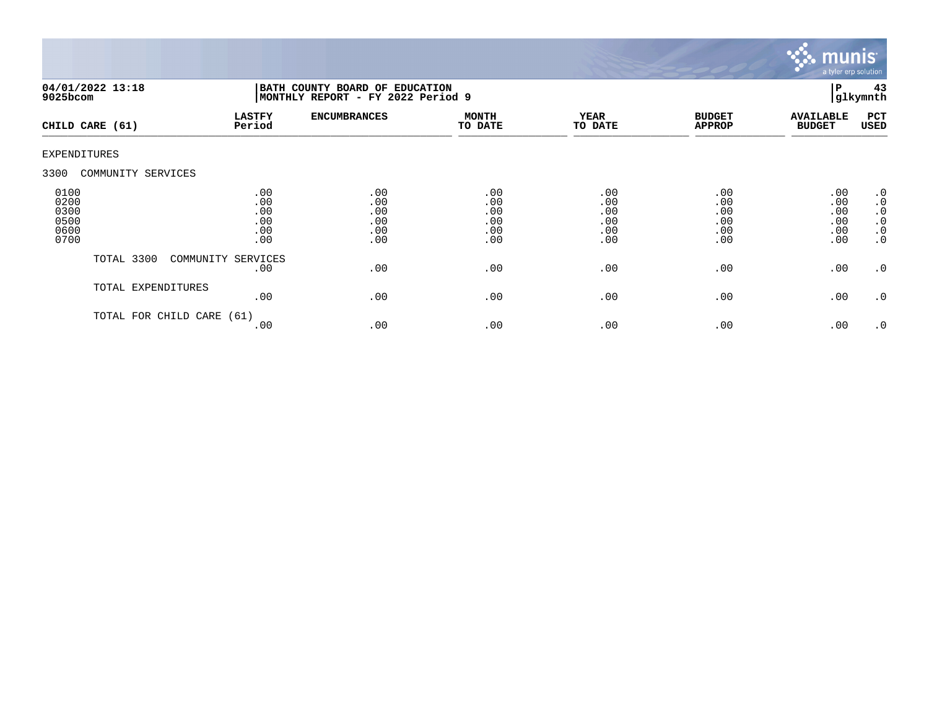

| $9025$ bcom                                  | 04/01/2022 13:18     | BATH COUNTY BOARD OF EDUCATION<br>MONTHLY REPORT - FY 2022 Period 9 |                                        |                                        |                                        |                                        | 43<br>l P<br>glkymnth                  |                                                                     |
|----------------------------------------------|----------------------|---------------------------------------------------------------------|----------------------------------------|----------------------------------------|----------------------------------------|----------------------------------------|----------------------------------------|---------------------------------------------------------------------|
|                                              | CHILD CARE (61)      | <b>LASTFY</b><br>Period                                             | <b>ENCUMBRANCES</b>                    | <b>MONTH</b><br>TO DATE                | <b>YEAR</b><br>TO DATE                 | <b>BUDGET</b><br><b>APPROP</b>         | <b>AVAILABLE</b><br><b>BUDGET</b>      | PCT<br>USED                                                         |
| EXPENDITURES                                 |                      |                                                                     |                                        |                                        |                                        |                                        |                                        |                                                                     |
| 3300                                         | COMMUNITY SERVICES   |                                                                     |                                        |                                        |                                        |                                        |                                        |                                                                     |
| 0100<br>0200<br>0300<br>0500<br>0600<br>0700 |                      | .00<br>.00<br>.00<br>.00<br>.00<br>.00                              | .00<br>.00<br>.00<br>.00<br>.00<br>.00 | .00<br>.00<br>.00<br>.00<br>.00<br>.00 | .00<br>.00<br>.00<br>.00<br>.00<br>.00 | .00<br>.00<br>.00<br>.00<br>.00<br>.00 | .00<br>.00<br>.00<br>.00<br>.00<br>.00 | .0<br>$\cdot$ 0<br>$\cdot$ 0<br>$\cdot$ 0<br>$\cdot$ 0<br>$\cdot$ 0 |
|                                              | TOTAL 3300           | COMMUNITY SERVICES<br>.00                                           | .00                                    | .00                                    | .00                                    | .00                                    | .00                                    | $\cdot$ 0                                                           |
|                                              | TOTAL EXPENDITURES   | .00                                                                 | .00                                    | .00                                    | .00                                    | .00                                    | .00                                    | $\cdot$ 0                                                           |
|                                              | TOTAL FOR CHILD CARE | (61)<br>.00                                                         | .00                                    | .00                                    | .00                                    | .00                                    | .00                                    | $\cdot$ 0                                                           |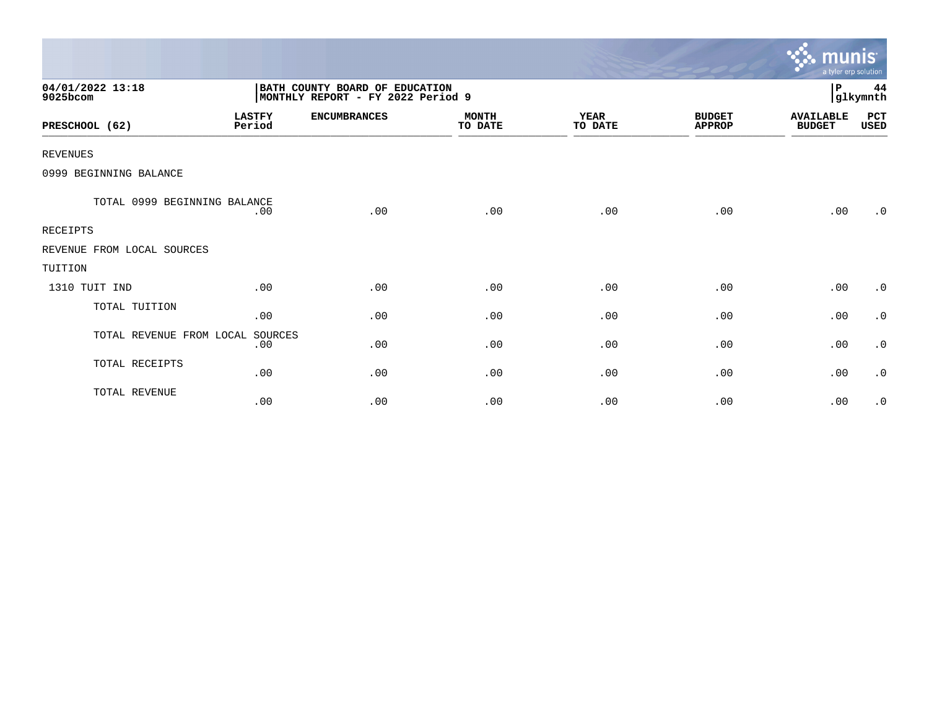|                              |                         |                                                                     |                         |                        |                                | <u>munis </u><br>a tyler erp solution |                |
|------------------------------|-------------------------|---------------------------------------------------------------------|-------------------------|------------------------|--------------------------------|---------------------------------------|----------------|
| 04/01/2022 13:18<br>9025bcom |                         | BATH COUNTY BOARD OF EDUCATION<br>MONTHLY REPORT - FY 2022 Period 9 |                         |                        |                                | P                                     | 44<br>glkymnth |
| PRESCHOOL (62)               | <b>LASTFY</b><br>Period | <b>ENCUMBRANCES</b>                                                 | <b>MONTH</b><br>TO DATE | <b>YEAR</b><br>TO DATE | <b>BUDGET</b><br><b>APPROP</b> | <b>AVAILABLE</b><br><b>BUDGET</b>     | PCT<br>USED    |
| <b>REVENUES</b>              |                         |                                                                     |                         |                        |                                |                                       |                |
| 0999 BEGINNING BALANCE       |                         |                                                                     |                         |                        |                                |                                       |                |
| TOTAL 0999 BEGINNING BALANCE | .00                     | .00                                                                 | .00                     | .00                    | .00                            | .00                                   | .0             |
| <b>RECEIPTS</b>              |                         |                                                                     |                         |                        |                                |                                       |                |
| REVENUE FROM LOCAL SOURCES   |                         |                                                                     |                         |                        |                                |                                       |                |
| TUITION                      |                         |                                                                     |                         |                        |                                |                                       |                |
| 1310 TUIT IND                | .00                     | .00                                                                 | .00                     | .00                    | .00                            | .00                                   | $\cdot$ 0      |
| TOTAL TUITION                | .00                     | .00                                                                 | .00                     | .00                    | .00                            | .00                                   | $\cdot$ 0      |
| TOTAL REVENUE FROM LOCAL     | SOURCES<br>.00          | .00                                                                 | .00                     | .00                    | .00                            | .00                                   | $\cdot$ 0      |
| TOTAL RECEIPTS               | .00                     | .00                                                                 | .00                     | .00                    | .00                            | .00                                   | $\cdot$ 0      |
| TOTAL REVENUE                | .00                     | .00                                                                 | .00                     | .00                    | .00                            | .00                                   | $\cdot$ 0      |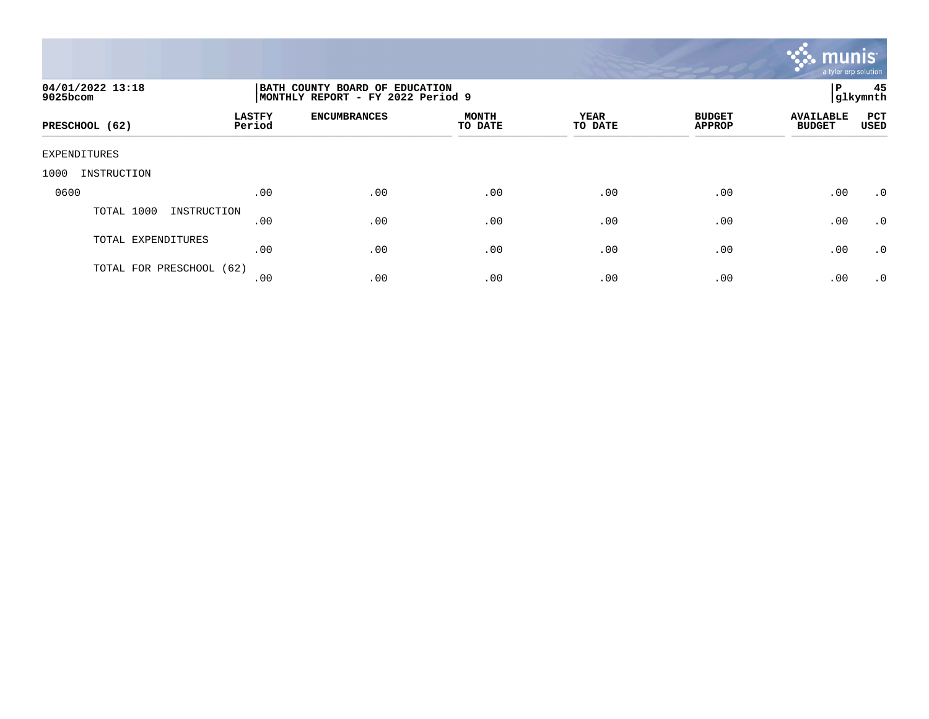

| 04/01/2022 13:18<br>9025bcom |                         | BATH COUNTY BOARD OF EDUCATION<br>MONTHLY REPORT - FY 2022 Period 9 |                         |                 |                                |                                   |             |  |
|------------------------------|-------------------------|---------------------------------------------------------------------|-------------------------|-----------------|--------------------------------|-----------------------------------|-------------|--|
| PRESCHOOL (62)               | <b>LASTFY</b><br>Period | <b>ENCUMBRANCES</b>                                                 | <b>MONTH</b><br>TO DATE | YEAR<br>TO DATE | <b>BUDGET</b><br><b>APPROP</b> | <b>AVAILABLE</b><br><b>BUDGET</b> | PCT<br>USED |  |
| EXPENDITURES                 |                         |                                                                     |                         |                 |                                |                                   |             |  |
| 1000<br>INSTRUCTION          |                         |                                                                     |                         |                 |                                |                                   |             |  |
| 0600                         | .00                     | .00                                                                 | .00                     | .00             | .00                            | .00                               | $\cdot$ 0   |  |
| TOTAL 1000<br>INSTRUCTION    | .00                     | .00                                                                 | .00                     | .00             | .00                            | .00                               | .0          |  |
| TOTAL EXPENDITURES           | .00                     | .00                                                                 | .00                     | .00             | .00                            | .00                               | .0          |  |
| TOTAL FOR PRESCHOOL (62)     | .00                     | .00                                                                 | .00                     | .00             | .00                            | .00                               | $\cdot$ 0   |  |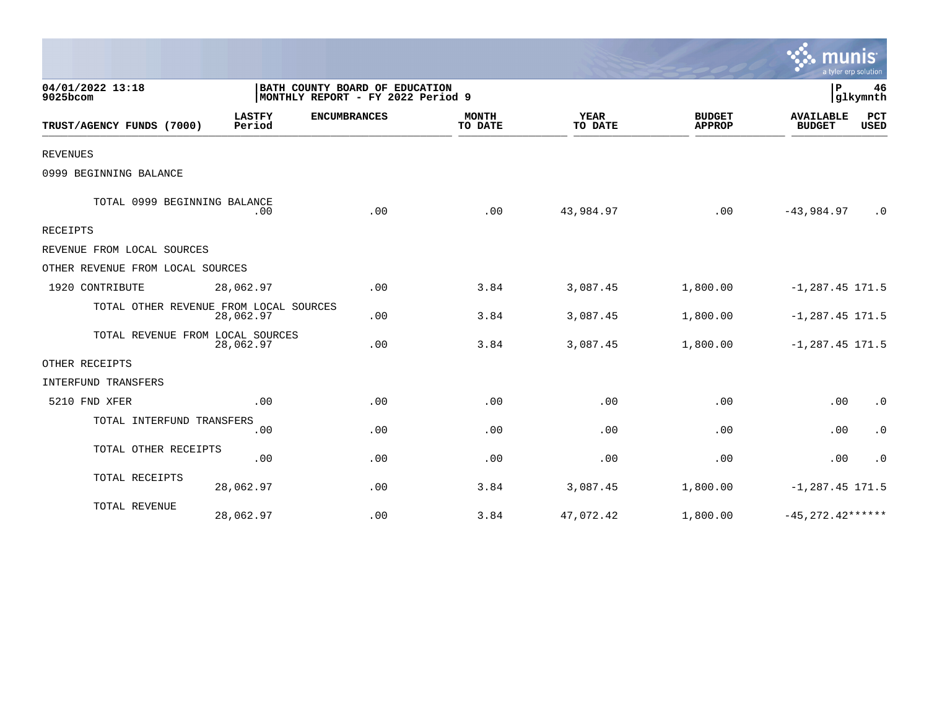|                                        |                         |                                                                     |                         |                        |                                | a tyler erp solution              |                        |
|----------------------------------------|-------------------------|---------------------------------------------------------------------|-------------------------|------------------------|--------------------------------|-----------------------------------|------------------------|
| 04/01/2022 13:18<br>9025bcom           |                         | BATH COUNTY BOARD OF EDUCATION<br>MONTHLY REPORT - FY 2022 Period 9 |                         |                        |                                | $\mathbf P$                       | 46<br>glkymnth         |
| TRUST/AGENCY FUNDS (7000)              | <b>LASTFY</b><br>Period | <b>ENCUMBRANCES</b>                                                 | <b>MONTH</b><br>TO DATE | <b>YEAR</b><br>TO DATE | <b>BUDGET</b><br><b>APPROP</b> | <b>AVAILABLE</b><br><b>BUDGET</b> | PCT<br><b>USED</b>     |
| <b>REVENUES</b>                        |                         |                                                                     |                         |                        |                                |                                   |                        |
| 0999 BEGINNING BALANCE                 |                         |                                                                     |                         |                        |                                |                                   |                        |
| TOTAL 0999 BEGINNING BALANCE           | .00                     | .00                                                                 | .00                     | 43,984.97              | .00                            | $-43,984.97$                      | $\cdot$ 0              |
| <b>RECEIPTS</b>                        |                         |                                                                     |                         |                        |                                |                                   |                        |
| REVENUE FROM LOCAL SOURCES             |                         |                                                                     |                         |                        |                                |                                   |                        |
| OTHER REVENUE FROM LOCAL SOURCES       |                         |                                                                     |                         |                        |                                |                                   |                        |
| 1920 CONTRIBUTE                        | 28,062.97               | .00                                                                 | 3.84                    | 3,087.45               | 1,800.00                       | $-1, 287.45$ 171.5                |                        |
| TOTAL OTHER REVENUE FROM LOCAL SOURCES | 28,062.97               | .00                                                                 | 3.84                    | 3,087.45               | 1,800.00                       | $-1, 287.45$ 171.5                |                        |
| TOTAL REVENUE FROM LOCAL SOURCES       | 28,062.97               | .00                                                                 | 3.84                    | 3,087.45               | 1,800.00                       | $-1, 287.45$ 171.5                |                        |
| OTHER RECEIPTS                         |                         |                                                                     |                         |                        |                                |                                   |                        |
| INTERFUND TRANSFERS                    |                         |                                                                     |                         |                        |                                |                                   |                        |
| 5210 FND XFER                          | .00                     | .00                                                                 | .00                     | .00                    | .00                            | .00                               | $\cdot$ 0              |
| TOTAL INTERFUND TRANSFERS              | .00                     | .00                                                                 | .00                     | .00                    | .00                            | .00                               | $\boldsymbol{\cdot}$ 0 |
| TOTAL OTHER RECEIPTS                   | .00                     | .00                                                                 | .00                     | .00                    | .00                            | .00                               | $\cdot$ 0              |
| TOTAL RECEIPTS                         | 28,062.97               | .00                                                                 | 3.84                    | 3,087.45               | 1,800.00                       | $-1, 287.45$ 171.5                |                        |
| TOTAL REVENUE                          | 28,062.97               | .00                                                                 | 3.84                    | 47,072.42              | 1,800.00                       | $-45, 272.42***$                  |                        |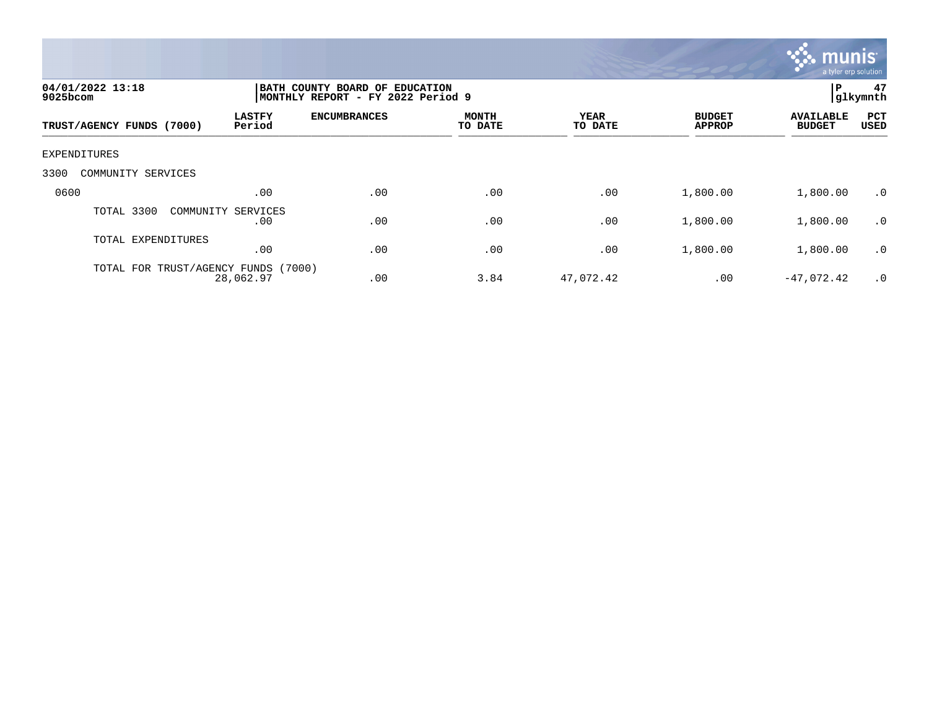

| 04/01/2022 13:18<br>$9025$ bcom     |                           | BATH COUNTY BOARD OF EDUCATION<br>MONTHLY REPORT - FY 2022 Period 9 |                  |                 |                                |                                   |                    |
|-------------------------------------|---------------------------|---------------------------------------------------------------------|------------------|-----------------|--------------------------------|-----------------------------------|--------------------|
| TRUST/AGENCY FUNDS (7000)           | <b>LASTFY</b><br>Period   | <b>ENCUMBRANCES</b>                                                 | MONTH<br>TO DATE | YEAR<br>TO DATE | <b>BUDGET</b><br><b>APPROP</b> | <b>AVAILABLE</b><br><b>BUDGET</b> | PCT<br><b>USED</b> |
| EXPENDITURES                        |                           |                                                                     |                  |                 |                                |                                   |                    |
| 3300<br>COMMUNITY SERVICES          |                           |                                                                     |                  |                 |                                |                                   |                    |
| 0600                                | .00                       | .00                                                                 | .00              | .00             | 1,800.00                       | 1,800.00                          | $\cdot$ 0          |
| TOTAL 3300                          | COMMUNITY SERVICES<br>.00 | .00                                                                 | .00              | .00             | 1,800.00                       | 1,800.00                          | $\cdot$ 0          |
| TOTAL EXPENDITURES                  | .00                       | .00                                                                 | .00              | .00             | 1,800.00                       | 1,800.00                          | $\cdot$ 0          |
| TOTAL FOR TRUST/AGENCY FUNDS (7000) | 28,062.97                 | .00                                                                 | 3.84             | 47,072.42       | .00                            | $-47,072.42$                      | .0                 |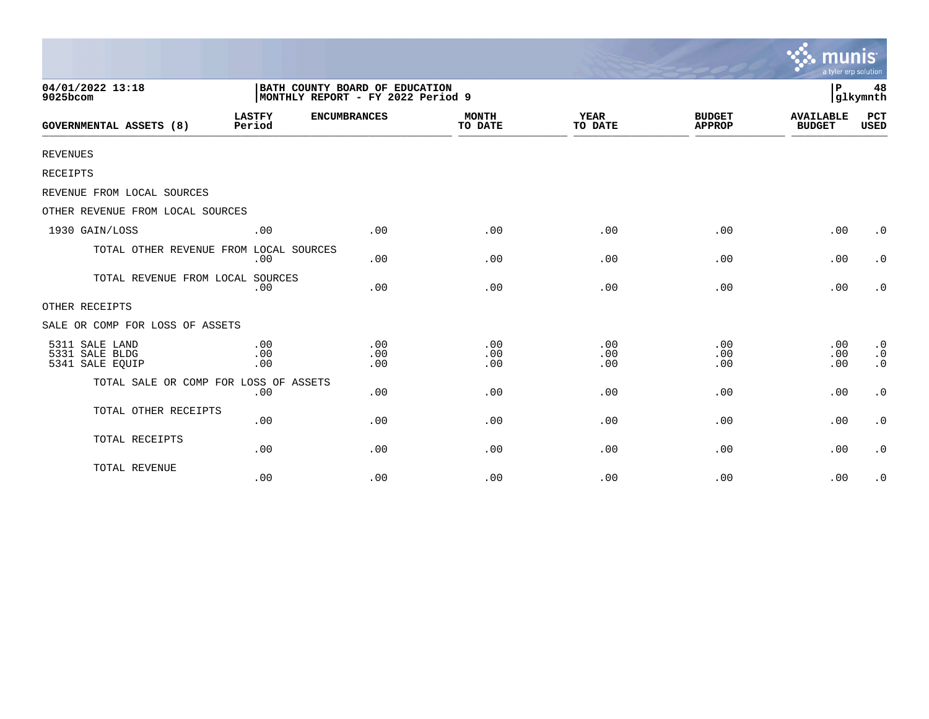|                                                     |                         |                                                                     |                         |                        |                                | munis<br>a tyler erp solution     |                                                  |
|-----------------------------------------------------|-------------------------|---------------------------------------------------------------------|-------------------------|------------------------|--------------------------------|-----------------------------------|--------------------------------------------------|
| 04/01/2022 13:18<br>9025bcom                        |                         | BATH COUNTY BOARD OF EDUCATION<br>MONTHLY REPORT - FY 2022 Period 9 |                         |                        |                                | l P<br>48<br>glkymnth             |                                                  |
| <b>GOVERNMENTAL ASSETS (8)</b>                      | <b>LASTFY</b><br>Period | <b>ENCUMBRANCES</b>                                                 | <b>MONTH</b><br>TO DATE | <b>YEAR</b><br>TO DATE | <b>BUDGET</b><br><b>APPROP</b> | <b>AVAILABLE</b><br><b>BUDGET</b> | <b>PCT</b><br><b>USED</b>                        |
| <b>REVENUES</b>                                     |                         |                                                                     |                         |                        |                                |                                   |                                                  |
| RECEIPTS                                            |                         |                                                                     |                         |                        |                                |                                   |                                                  |
| REVENUE FROM LOCAL SOURCES                          |                         |                                                                     |                         |                        |                                |                                   |                                                  |
| OTHER REVENUE FROM LOCAL SOURCES                    |                         |                                                                     |                         |                        |                                |                                   |                                                  |
| 1930 GAIN/LOSS                                      | .00                     | .00                                                                 | .00                     | .00                    | .00                            | .00                               | $\cdot$ 0                                        |
| TOTAL OTHER REVENUE FROM LOCAL SOURCES              | .00                     | .00                                                                 | .00                     | .00                    | .00                            | .00                               | $\cdot$ 0                                        |
| TOTAL REVENUE FROM LOCAL SOURCES                    | .00                     | .00                                                                 | .00                     | .00                    | .00                            | .00                               | $\cdot$ 0                                        |
| OTHER RECEIPTS                                      |                         |                                                                     |                         |                        |                                |                                   |                                                  |
| SALE OR COMP FOR LOSS OF ASSETS                     |                         |                                                                     |                         |                        |                                |                                   |                                                  |
| 5311 SALE LAND<br>5331 SALE BLDG<br>5341 SALE EQUIP | .00<br>.00<br>.00       | .00<br>.00<br>.00                                                   | .00<br>.00<br>.00       | .00<br>.00<br>.00      | .00<br>.00<br>.00              | .00<br>.00<br>.00                 | $\cdot$ 0<br>$\boldsymbol{\cdot}$ 0<br>$\cdot$ 0 |
| TOTAL SALE OR COMP FOR LOSS OF ASSETS               | .00                     | .00                                                                 | .00                     | .00                    | .00                            | .00                               | $\cdot$ 0                                        |
| TOTAL OTHER RECEIPTS                                | .00                     | .00                                                                 | .00                     | .00                    | .00                            | .00                               | $\cdot$ 0                                        |
| TOTAL RECEIPTS                                      | .00                     | .00                                                                 | .00                     | .00                    | .00                            | .00                               | $\cdot$ 0                                        |
| TOTAL REVENUE                                       | .00                     | .00                                                                 | .00                     | .00                    | .00                            | .00                               | $\cdot$ 0                                        |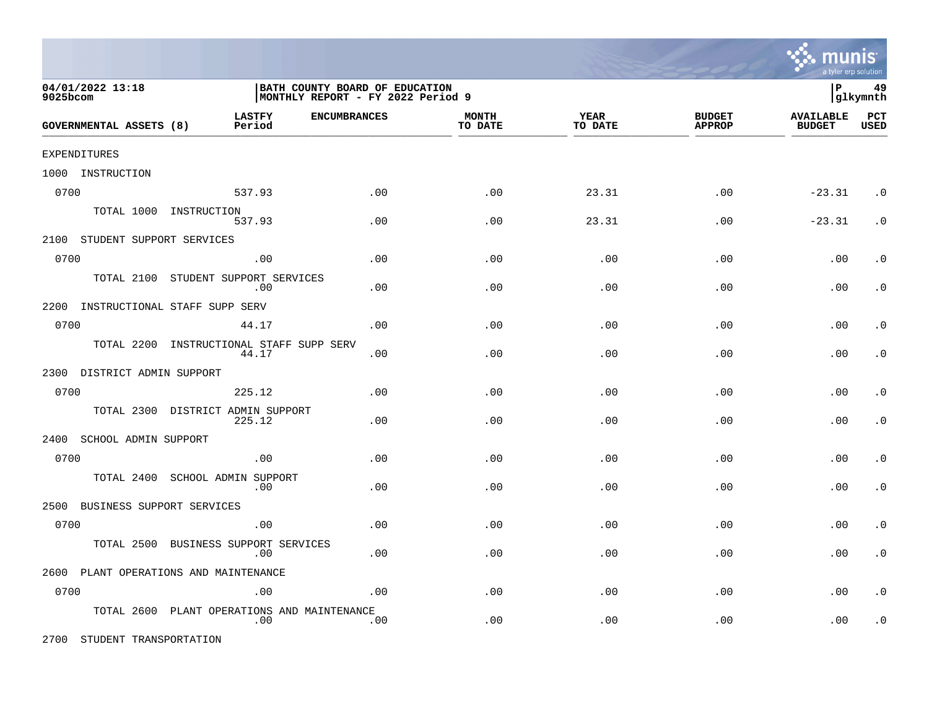

| 04/01/2022 13:18<br>9025bcom       |                                                | BATH COUNTY BOARD OF EDUCATION<br>MONTHLY REPORT - FY 2022 Period 9 |                         |                 |                                |                                   |                    |
|------------------------------------|------------------------------------------------|---------------------------------------------------------------------|-------------------------|-----------------|--------------------------------|-----------------------------------|--------------------|
| GOVERNMENTAL ASSETS (8)            | <b>LASTFY</b><br><b>ENCUMBRANCES</b><br>Period |                                                                     | <b>MONTH</b><br>TO DATE | YEAR<br>TO DATE | <b>BUDGET</b><br><b>APPROP</b> | <b>AVAILABLE</b><br><b>BUDGET</b> | PCT<br><b>USED</b> |
| EXPENDITURES                       |                                                |                                                                     |                         |                 |                                |                                   |                    |
| 1000 INSTRUCTION                   |                                                |                                                                     |                         |                 |                                |                                   |                    |
| 0700                               | 537.93                                         | .00                                                                 | .00                     | 23.31           | .00                            | $-23.31$                          | $\cdot$ 0          |
|                                    | TOTAL 1000 INSTRUCTION<br>537.93               | .00                                                                 | .00                     | 23.31           | .00                            | $-23.31$                          | $\cdot$ 0          |
| 2100 STUDENT SUPPORT SERVICES      |                                                |                                                                     |                         |                 |                                |                                   |                    |
| 0700                               | .00                                            | .00                                                                 | .00                     | .00             | .00                            | .00                               | . $\boldsymbol{0}$ |
| TOTAL 2100                         | STUDENT SUPPORT SERVICES<br>.00                | .00                                                                 | .00                     | .00             | .00                            | .00                               | $\cdot$ 0          |
| 2200 INSTRUCTIONAL STAFF SUPP SERV |                                                |                                                                     |                         |                 |                                |                                   |                    |
| 0700                               | 44.17                                          | .00                                                                 | .00                     | .00             | .00                            | .00                               | $\cdot$ 0          |
| TOTAL 2200                         | INSTRUCTIONAL STAFF SUPP SERV<br>44.17         | .00                                                                 | .00                     | .00             | .00                            | .00                               | $\cdot$ 0          |
| 2300 DISTRICT ADMIN SUPPORT        |                                                |                                                                     |                         |                 |                                |                                   |                    |
| 0700                               | 225.12                                         | .00                                                                 | .00                     | .00             | .00                            | .00                               | $\cdot$ 0          |
| TOTAL 2300                         | DISTRICT ADMIN SUPPORT<br>225.12               | .00                                                                 | .00                     | .00             | .00                            | .00                               | $\cdot$ 0          |
| 2400<br>SCHOOL ADMIN SUPPORT       |                                                |                                                                     |                         |                 |                                |                                   |                    |
| 0700                               | .00                                            | .00                                                                 | .00                     | .00             | .00                            | .00                               | $\cdot$ 0          |
| TOTAL 2400                         | SCHOOL ADMIN SUPPORT<br>.00                    | .00                                                                 | .00                     | .00             | .00                            | .00                               | $\cdot$ 0          |
| BUSINESS SUPPORT SERVICES<br>2500  |                                                |                                                                     |                         |                 |                                |                                   |                    |
| 0700                               | .00                                            | .00                                                                 | .00                     | .00             | .00                            | .00                               | $\cdot$ 0          |
| TOTAL 2500                         | BUSINESS SUPPORT SERVICES<br>.00               | .00                                                                 | .00                     | .00             | .00                            | .00                               | $\cdot$ 0          |
|                                    | 2600 PLANT OPERATIONS AND MAINTENANCE          |                                                                     |                         |                 |                                |                                   |                    |
| 0700                               | .00                                            | .00                                                                 | .00                     | .00             | .00                            | .00                               | $\cdot$ 0          |
| TOTAL 2600                         | PLANT OPERATIONS AND MAINTENANCE<br>.00        | .00                                                                 | .00                     | .00             | .00                            | .00                               | $\cdot$ 0          |

2700 STUDENT TRANSPORTATION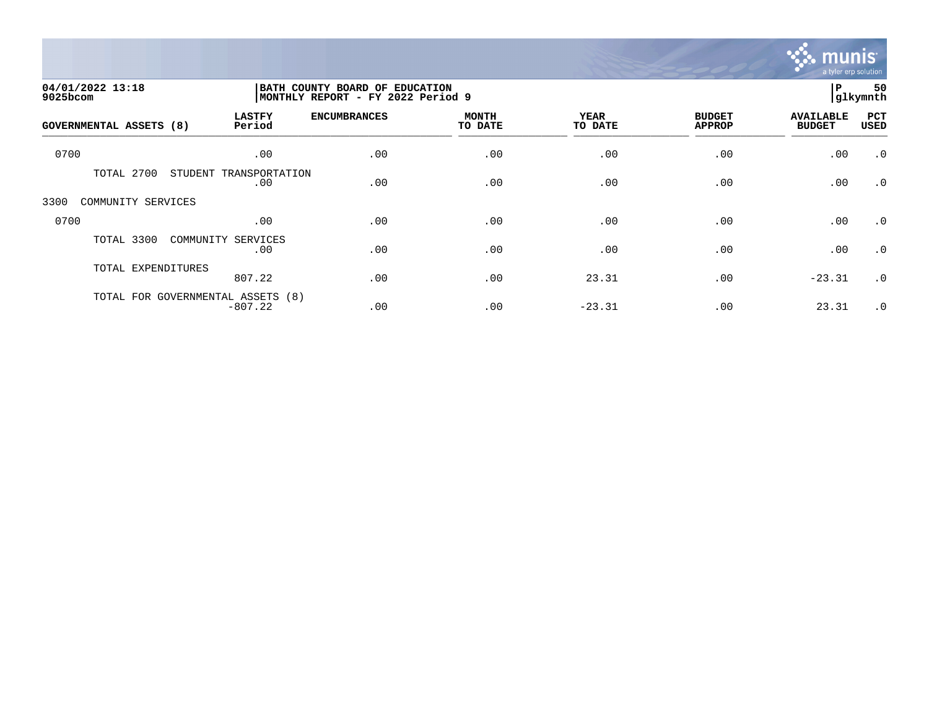

| 04/01/2022 13:18<br>9025bcom   |                                                | BATH COUNTY BOARD OF EDUCATION<br>MONTHLY REPORT - FY 2022 Period 9 |                         |                        |                                |                                   |             |
|--------------------------------|------------------------------------------------|---------------------------------------------------------------------|-------------------------|------------------------|--------------------------------|-----------------------------------|-------------|
| <b>GOVERNMENTAL ASSETS (8)</b> | <b>LASTFY</b><br>Period                        | <b>ENCUMBRANCES</b>                                                 | <b>MONTH</b><br>TO DATE | <b>YEAR</b><br>TO DATE | <b>BUDGET</b><br><b>APPROP</b> | <b>AVAILABLE</b><br><b>BUDGET</b> | PCT<br>USED |
| 0700                           | .00                                            | .00                                                                 | .00                     | .00                    | .00                            | .00                               | $\cdot$ 0   |
| TOTAL 2700                     | STUDENT<br>TRANSPORTATION<br>.00               | .00                                                                 | .00                     | .00                    | .00                            | .00                               | $\cdot$ 0   |
| 3300<br>COMMUNITY SERVICES     |                                                |                                                                     |                         |                        |                                |                                   |             |
| 0700                           | .00                                            | .00                                                                 | .00                     | .00                    | .00                            | .00                               | $\cdot$ 0   |
| TOTAL 3300                     | COMMUNITY SERVICES<br>.00                      | .00                                                                 | .00                     | .00                    | .00                            | .00                               | $\cdot$ 0   |
| TOTAL EXPENDITURES             | 807.22                                         | .00                                                                 | .00                     | 23.31                  | .00                            | $-23.31$                          | $\cdot$ 0   |
|                                | TOTAL FOR GOVERNMENTAL ASSETS (8)<br>$-807.22$ | .00                                                                 | .00                     | $-23.31$               | .00                            | 23.31                             | $\cdot$ 0   |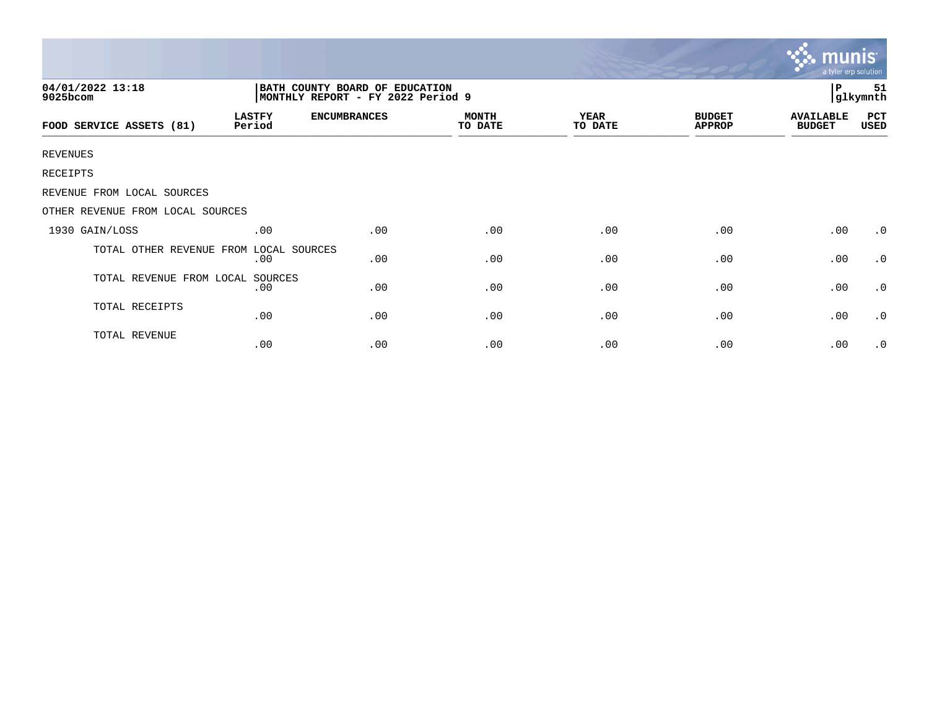|                                                                                                     |                         |                     |                         |                 |                                | mun<br>a tyler erp solution       |                    |
|-----------------------------------------------------------------------------------------------------|-------------------------|---------------------|-------------------------|-----------------|--------------------------------|-----------------------------------|--------------------|
| 04/01/2022 13:18<br>BATH COUNTY BOARD OF EDUCATION<br>MONTHLY REPORT - FY 2022 Period 9<br>9025bcom |                         |                     |                         |                 |                                |                                   | 51<br>glkymnth     |
| FOOD SERVICE ASSETS (81)                                                                            | <b>LASTFY</b><br>Period | <b>ENCUMBRANCES</b> | <b>MONTH</b><br>TO DATE | YEAR<br>TO DATE | <b>BUDGET</b><br><b>APPROP</b> | <b>AVAILABLE</b><br><b>BUDGET</b> | <b>PCT</b><br>USED |
| <b>REVENUES</b>                                                                                     |                         |                     |                         |                 |                                |                                   |                    |
| RECEIPTS                                                                                            |                         |                     |                         |                 |                                |                                   |                    |
| REVENUE FROM LOCAL SOURCES                                                                          |                         |                     |                         |                 |                                |                                   |                    |
| OTHER REVENUE FROM LOCAL SOURCES                                                                    |                         |                     |                         |                 |                                |                                   |                    |
| 1930 GAIN/LOSS                                                                                      | .00                     | .00                 | .00                     | .00             | .00                            | .00                               | $\cdot$ 0          |
| TOTAL OTHER REVENUE FROM                                                                            | LOCAL SOURCES<br>.00    | .00                 | .00                     | .00             | .00                            | .00                               | $\cdot$ 0          |
| TOTAL REVENUE FROM LOCAL                                                                            | SOURCES<br>.00          | .00                 | .00                     | .00             | .00                            | .00                               | $\cdot$ 0          |
| TOTAL RECEIPTS                                                                                      | .00                     | .00                 | .00                     | .00             | .00                            | .00                               | $\cdot$ 0          |
| TOTAL REVENUE                                                                                       | .00                     | .00                 | .00                     | .00             | .00                            | .00                               | $\cdot$ 0          |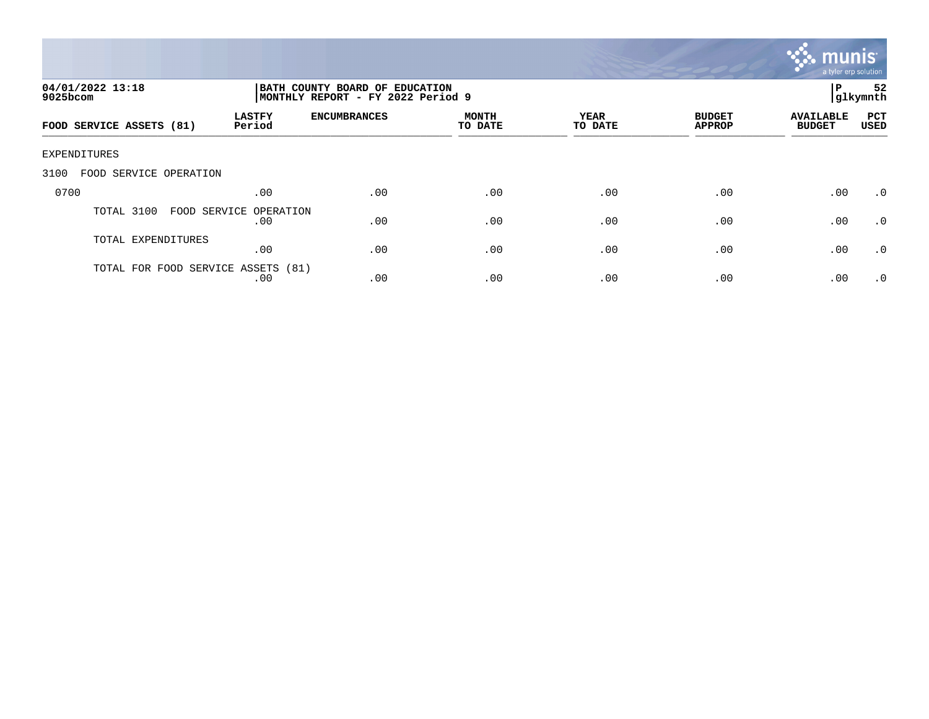

| 04/01/2022 13:18<br>$9025$ bcom    |                               | BATH COUNTY BOARD OF EDUCATION<br>P<br> glkymnth<br>MONTHLY REPORT - FY 2022 Period 9 |                         |                        |                                |                                   |                    |
|------------------------------------|-------------------------------|---------------------------------------------------------------------------------------|-------------------------|------------------------|--------------------------------|-----------------------------------|--------------------|
| FOOD SERVICE ASSETS (81)           | <b>LASTFY</b><br>Period       | <b>ENCUMBRANCES</b>                                                                   | <b>MONTH</b><br>TO DATE | <b>YEAR</b><br>TO DATE | <b>BUDGET</b><br><b>APPROP</b> | <b>AVAILABLE</b><br><b>BUDGET</b> | PCT<br><b>USED</b> |
| EXPENDITURES                       |                               |                                                                                       |                         |                        |                                |                                   |                    |
| 3100<br>FOOD SERVICE OPERATION     |                               |                                                                                       |                         |                        |                                |                                   |                    |
| 0700                               | .00                           | .00                                                                                   | .00                     | .00                    | .00                            | .00                               | $.0 \cdot$         |
| TOTAL 3100                         | FOOD SERVICE OPERATION<br>.00 | .00                                                                                   | .00                     | .00                    | .00                            | .00                               | $\cdot$ 0          |
| TOTAL EXPENDITURES                 | .00                           | .00                                                                                   | .00                     | .00                    | .00                            | .00                               | $\cdot$ 0          |
| TOTAL FOR FOOD SERVICE ASSETS (81) | .00                           | .00                                                                                   | .00                     | .00                    | .00                            | .00                               | $\cdot$ 0          |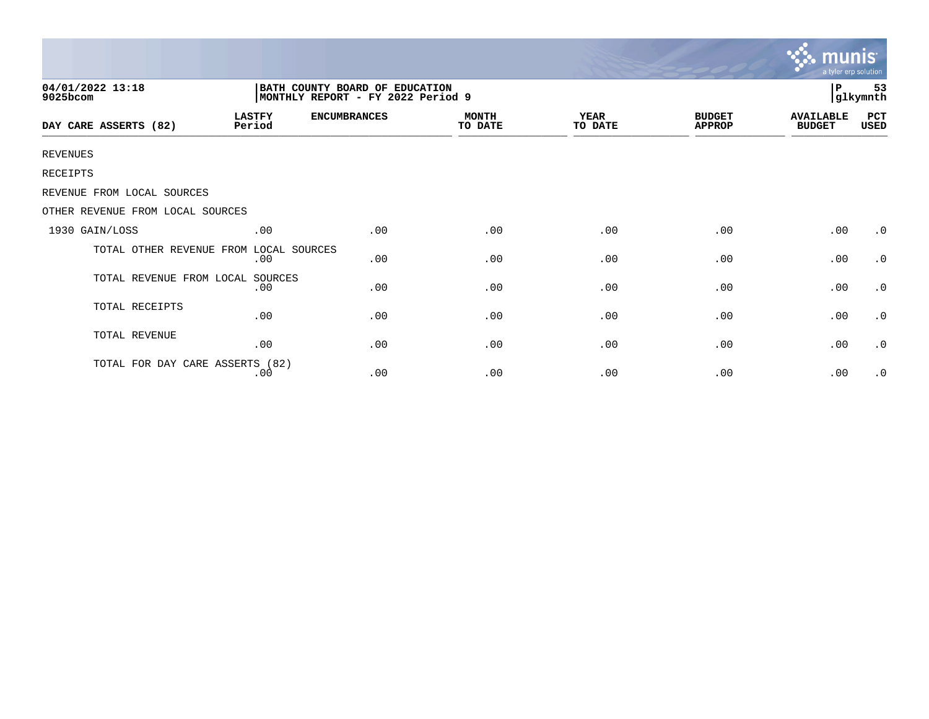|                                  |                                                                      |                     |                         |                 |                                | <b>munis</b><br>a tyler erp solution |                |
|----------------------------------|----------------------------------------------------------------------|---------------------|-------------------------|-----------------|--------------------------------|--------------------------------------|----------------|
| 04/01/2022 13:18<br>9025bcom     | BATH COUNTY BOARD OF EDUCATION<br> MONTHLY REPORT - FY 2022 Period 9 |                     |                         |                 |                                |                                      | 53<br>glkymnth |
| DAY CARE ASSERTS (82)            | <b>LASTFY</b><br>Period                                              | <b>ENCUMBRANCES</b> | <b>MONTH</b><br>TO DATE | YEAR<br>TO DATE | <b>BUDGET</b><br><b>APPROP</b> | <b>AVAILABLE</b><br><b>BUDGET</b>    | PCT<br>USED    |
| <b>REVENUES</b>                  |                                                                      |                     |                         |                 |                                |                                      |                |
| RECEIPTS                         |                                                                      |                     |                         |                 |                                |                                      |                |
| REVENUE FROM LOCAL SOURCES       |                                                                      |                     |                         |                 |                                |                                      |                |
| OTHER REVENUE FROM LOCAL SOURCES |                                                                      |                     |                         |                 |                                |                                      |                |
| 1930 GAIN/LOSS                   | .00                                                                  | .00                 | .00                     | .00             | .00                            | .00                                  | $\cdot$ 0      |
| TOTAL OTHER REVENUE FROM         | LOCAL SOURCES<br>.00                                                 | .00                 | .00                     | .00             | .00                            | .00                                  | $\cdot$ 0      |
| TOTAL REVENUE FROM LOCAL         | SOURCES<br>.00                                                       | .00                 | .00                     | .00             | .00                            | .00                                  | $\cdot$ 0      |
| TOTAL RECEIPTS                   | .00                                                                  | .00                 | .00                     | .00             | .00                            | .00                                  | $\cdot$ 0      |
| TOTAL REVENUE                    | .00                                                                  | .00                 | .00                     | .00             | .00                            | .00                                  | $\cdot$ 0      |
| TOTAL FOR DAY CARE ASSERTS (82)  | .00                                                                  | .00                 | .00                     | .00             | .00                            | .00                                  | $\cdot$ 0      |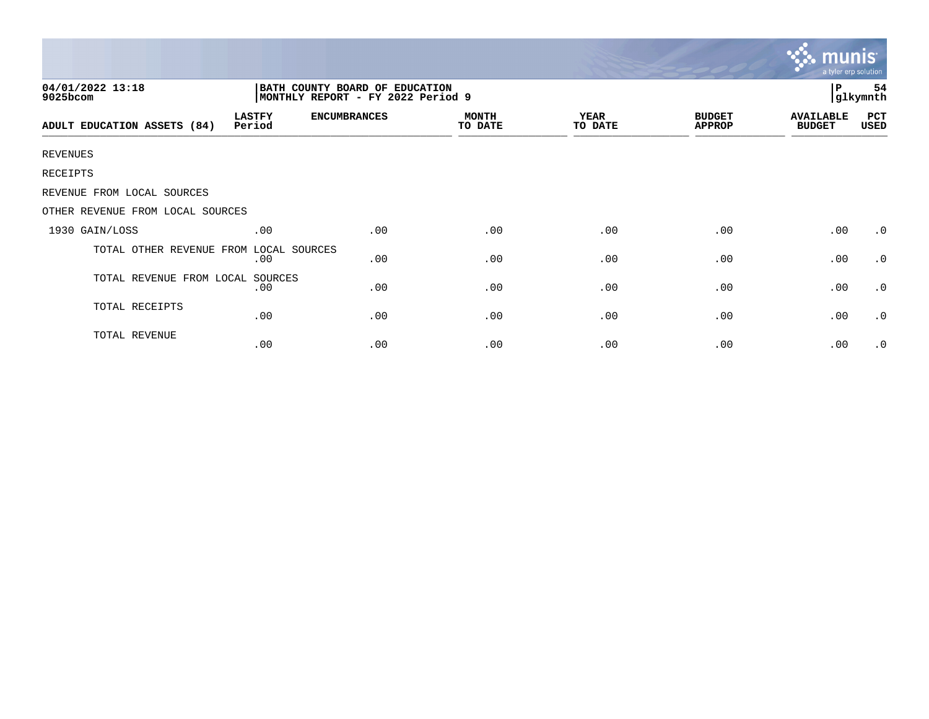|                                  |                         |                                                                     |                         |                        |                                | a tyler erp solution              |                 |
|----------------------------------|-------------------------|---------------------------------------------------------------------|-------------------------|------------------------|--------------------------------|-----------------------------------|-----------------|
| 04/01/2022 13:18<br>9025bcom     |                         | BATH COUNTY BOARD OF EDUCATION<br>MONTHLY REPORT - FY 2022 Period 9 |                         |                        |                                | l P                               | 54<br> glkymnth |
| ADULT EDUCATION ASSETS (84)      | <b>LASTFY</b><br>Period | <b>ENCUMBRANCES</b>                                                 | <b>MONTH</b><br>TO DATE | <b>YEAR</b><br>TO DATE | <b>BUDGET</b><br><b>APPROP</b> | <b>AVAILABLE</b><br><b>BUDGET</b> | PCT<br>USED     |
| <b>REVENUES</b>                  |                         |                                                                     |                         |                        |                                |                                   |                 |
| RECEIPTS                         |                         |                                                                     |                         |                        |                                |                                   |                 |
| REVENUE FROM LOCAL SOURCES       |                         |                                                                     |                         |                        |                                |                                   |                 |
| OTHER REVENUE FROM LOCAL SOURCES |                         |                                                                     |                         |                        |                                |                                   |                 |
| 1930 GAIN/LOSS                   | .00                     | .00                                                                 | .00                     | .00                    | .00                            | .00                               | $\cdot$ 0       |
| TOTAL OTHER REVENUE FROM         | LOCAL SOURCES<br>.00    | .00                                                                 | .00                     | .00                    | .00                            | .00                               | $\cdot$ 0       |
| TOTAL REVENUE FROM LOCAL SOURCES | .00                     | .00                                                                 | .00                     | .00                    | .00                            | .00                               | $\cdot$ 0       |
| TOTAL RECEIPTS                   | .00                     | .00                                                                 | .00                     | .00                    | .00                            | .00                               | $\cdot$ 0       |
| TOTAL REVENUE                    | .00                     | .00                                                                 | .00                     | .00                    | .00                            | .00                               | $\cdot$ 0       |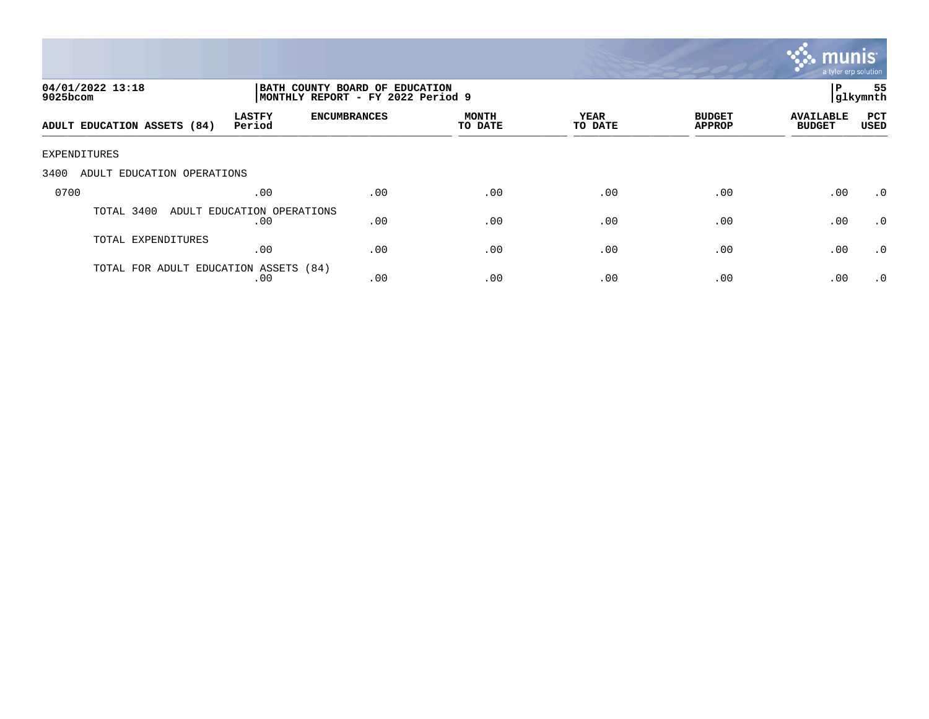

| 04/01/2022 13:18<br>$9025$ bcom       |                                   | BATH COUNTY BOARD OF EDUCATION<br>MONTHLY REPORT - FY 2022 Period 9 | P                | 55<br> glkymnth |                                |                                   |                    |
|---------------------------------------|-----------------------------------|---------------------------------------------------------------------|------------------|-----------------|--------------------------------|-----------------------------------|--------------------|
| ADULT EDUCATION ASSETS (84)           | <b>LASTFY</b><br>Period           | <b>ENCUMBRANCES</b>                                                 | MONTH<br>TO DATE | YEAR<br>TO DATE | <b>BUDGET</b><br><b>APPROP</b> | <b>AVAILABLE</b><br><b>BUDGET</b> | PCT<br><b>USED</b> |
| EXPENDITURES                          |                                   |                                                                     |                  |                 |                                |                                   |                    |
| 3400<br>ADULT EDUCATION OPERATIONS    |                                   |                                                                     |                  |                 |                                |                                   |                    |
| 0700                                  | .00                               | .00                                                                 | .00              | .00             | .00                            | .00                               | $\cdot$ 0          |
| TOTAL 3400                            | ADULT EDUCATION OPERATIONS<br>.00 | .00                                                                 | .00              | .00             | .00                            | .00                               | $\cdot$ 0          |
| TOTAL EXPENDITURES                    | .00                               | .00                                                                 | .00              | .00             | .00                            | .00                               | .0                 |
| TOTAL FOR ADULT EDUCATION ASSETS (84) | .00                               | .00                                                                 | .00              | .00             | .00                            | .00                               | $\cdot$ 0          |